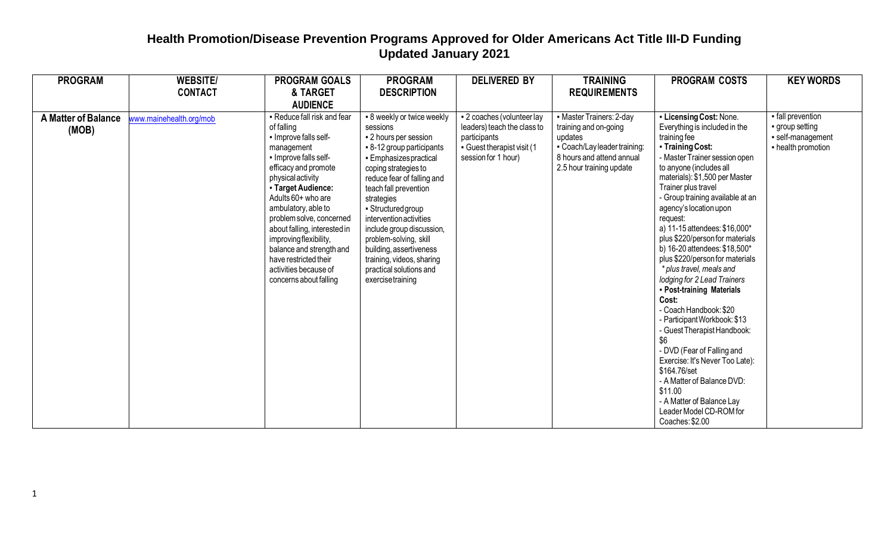| <b>PROGRAM</b>             | <b>WEBSITE/</b>         | <b>PROGRAM GOALS</b>         | <b>PROGRAM</b>             | <b>DELIVERED BY</b>         | <b>TRAINING</b>             | <b>PROGRAM COSTS</b>                            | <b>KEY WORDS</b>   |
|----------------------------|-------------------------|------------------------------|----------------------------|-----------------------------|-----------------------------|-------------------------------------------------|--------------------|
|                            | <b>CONTACT</b>          | & TARGET                     | <b>DESCRIPTION</b>         |                             | <b>REQUIREMENTS</b>         |                                                 |                    |
|                            |                         | <b>AUDIENCE</b>              |                            |                             |                             |                                                 |                    |
| <b>A Matter of Balance</b> | www.mainehealth.org/mob | - Reduce fall risk and fear  | - 8 weekly or twice weekly | - 2 coaches (volunteer lay  | • Master Trainers: 2-day    | - Licensing Cost: None.                         | - fall prevention  |
| (MOB)                      |                         | of falling                   | sessions                   | leaders) teach the class to | training and on-going       | Everything is included in the                   | group setting      |
|                            |                         | - Improve falls self-        | • 2 hours per session      | participants                | updates                     | training fee                                    | · self-management  |
|                            |                         | management                   | • 8-12 group participants  | Guest therapist visit (1    | - Coach/Layleader training: | - Training Cost:                                | - health promotion |
|                            |                         | - Improve falls self-        | • Emphasizes practical     | session for 1 hour)         | 8 hours and attend annual   | - Master Trainer session open                   |                    |
|                            |                         | efficacy and promote         | coping strategies to       |                             | 2.5 hour training update    | to anyone (includes all                         |                    |
|                            |                         | physical activity            | reduce fear of falling and |                             |                             | materials): \$1,500 per Master                  |                    |
|                            |                         | - Target Audience:           | teach fall prevention      |                             |                             | Trainer plus travel                             |                    |
|                            |                         | Adults 60+ who are           | strategies                 |                             |                             | - Group training available at an                |                    |
|                            |                         | ambulatory, able to          | - Structured group         |                             |                             | agency's location upon                          |                    |
|                            |                         | problem solve, concerned     | intervention activities    |                             |                             | request:                                        |                    |
|                            |                         | about falling, interested in | include group discussion,  |                             |                             | a) 11-15 attendees: \$16,000*                   |                    |
|                            |                         | improving flexibility,       | problem-solving, skill     |                             |                             | plus \$220/person for materials                 |                    |
|                            |                         | balance and strength and     | building, assertiveness    |                             |                             | b) 16-20 attendees: \$18,500*                   |                    |
|                            |                         | have restricted their        | training, videos, sharing  |                             |                             | plus \$220/person for materials                 |                    |
|                            |                         | activities because of        | practical solutions and    |                             |                             | * plus travel, meals and                        |                    |
|                            |                         | concerns about falling       | exercisetraining           |                             |                             | lodging for 2 Lead Trainers                     |                    |
|                            |                         |                              |                            |                             |                             | - Post-training Materials                       |                    |
|                            |                         |                              |                            |                             |                             | Cost:                                           |                    |
|                            |                         |                              |                            |                             |                             | - Coach Handbook: \$20                          |                    |
|                            |                         |                              |                            |                             |                             | - Participant Workbook: \$13                    |                    |
|                            |                         |                              |                            |                             |                             | - Guest Therapist Handbook:<br>\$6              |                    |
|                            |                         |                              |                            |                             |                             |                                                 |                    |
|                            |                         |                              |                            |                             |                             | - DVD (Fear of Falling and                      |                    |
|                            |                         |                              |                            |                             |                             | Exercise: It's Never Too Late):<br>\$164.76/set |                    |
|                            |                         |                              |                            |                             |                             | - A Matter of Balance DVD:                      |                    |
|                            |                         |                              |                            |                             |                             | \$11.00                                         |                    |
|                            |                         |                              |                            |                             |                             | - A Matter of Balance Lay                       |                    |
|                            |                         |                              |                            |                             |                             | Leader Model CD-ROM for                         |                    |
|                            |                         |                              |                            |                             |                             |                                                 |                    |
|                            |                         |                              |                            |                             |                             | Coaches: \$2.00                                 |                    |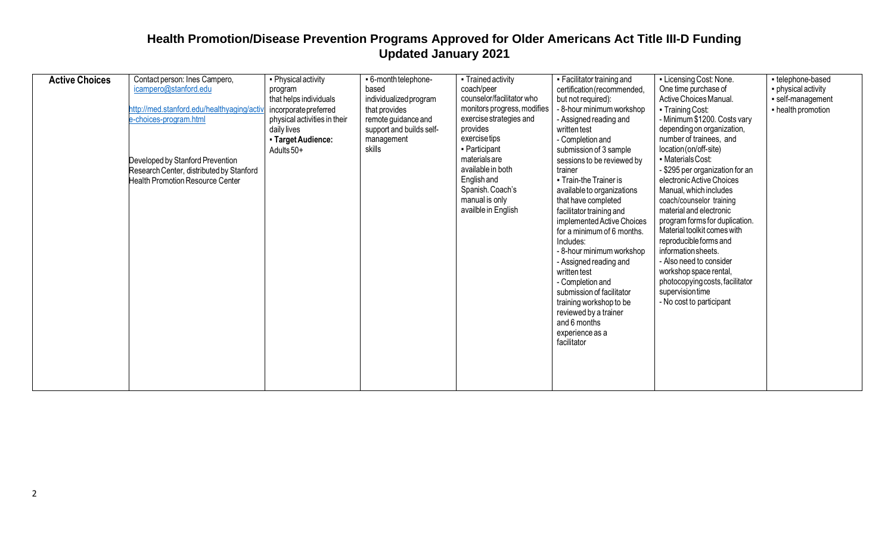| <b>Active Choices</b> | Contact person: Ines Campero,              | • Physical activity          | - 6-month telephone-     | • Trained activity          | • Facilitator training and  | - Licensing Cost: None.         | - telephone-based   |
|-----------------------|--------------------------------------------|------------------------------|--------------------------|-----------------------------|-----------------------------|---------------------------------|---------------------|
|                       | icampero@stanford.edu                      | program                      | based                    | coach/peer                  | certification (recommended, | One time purchase of            | • physical activity |
|                       |                                            | that helps individuals       | individualized program   | counselor/facilitator who   | but not required):          | Active Choices Manual.          | · self-management   |
|                       | http://med.stanford.edu/healthyaging/activ | incorporate preferred        | that provides            | monitors progress, modifies | - 8-hour minimum workshop   | • Training Cost:                | - health promotion  |
|                       | e-choices-program.html                     | physical activities in their | remote guidance and      | exercise strategies and     | - Assigned reading and      | - Minimum \$1200. Costs vary    |                     |
|                       |                                            | daily lives                  | support and builds self- | provides                    | written test                | depending on organization,      |                     |
|                       |                                            | - Target Audience:           | management               | exercisetips                | - Completion and            | number of trainees, and         |                     |
|                       |                                            | Adults 50+                   | skills                   | - Participant               | submission of 3 sample      | location (on/off-site)          |                     |
|                       | Developed by Stanford Prevention           |                              |                          | materials are               | sessions to be reviewed by  | • Materials Cost:               |                     |
|                       | Research Center, distributed by Stanford   |                              |                          | available in both           | trainer                     | - \$295 per organization for an |                     |
|                       | Health Promotion Resource Center           |                              |                          | <b>English</b> and          | • Train-the Trainer is      | electronic Active Choices       |                     |
|                       |                                            |                              |                          | Spanish. Coach's            | available to organizations  | Manual, which includes          |                     |
|                       |                                            |                              |                          | manual is only              | that have completed         | coach/counselor training        |                     |
|                       |                                            |                              |                          | availble in English         | facilitator training and    | material and electronic         |                     |
|                       |                                            |                              |                          |                             | implemented Active Choices  | program forms for duplication.  |                     |
|                       |                                            |                              |                          |                             | for a minimum of 6 months.  | Material toolkit comes with     |                     |
|                       |                                            |                              |                          |                             | Includes:                   | reproducible forms and          |                     |
|                       |                                            |                              |                          |                             | - 8-hour minimum workshop   | information sheets.             |                     |
|                       |                                            |                              |                          |                             | - Assigned reading and      | - Also need to consider         |                     |
|                       |                                            |                              |                          |                             | written test                | workshop space rental,          |                     |
|                       |                                            |                              |                          |                             | - Completion and            | photocopying costs, facilitator |                     |
|                       |                                            |                              |                          |                             | submission of facilitator   | supervisiontime                 |                     |
|                       |                                            |                              |                          |                             |                             | - No cost to participant        |                     |
|                       |                                            |                              |                          |                             | training workshop to be     |                                 |                     |
|                       |                                            |                              |                          |                             | reviewed by a trainer       |                                 |                     |
|                       |                                            |                              |                          |                             | and 6 months                |                                 |                     |
|                       |                                            |                              |                          |                             | experience as a             |                                 |                     |
|                       |                                            |                              |                          |                             | facilitator                 |                                 |                     |
|                       |                                            |                              |                          |                             |                             |                                 |                     |
|                       |                                            |                              |                          |                             |                             |                                 |                     |
|                       |                                            |                              |                          |                             |                             |                                 |                     |
|                       |                                            |                              |                          |                             |                             |                                 |                     |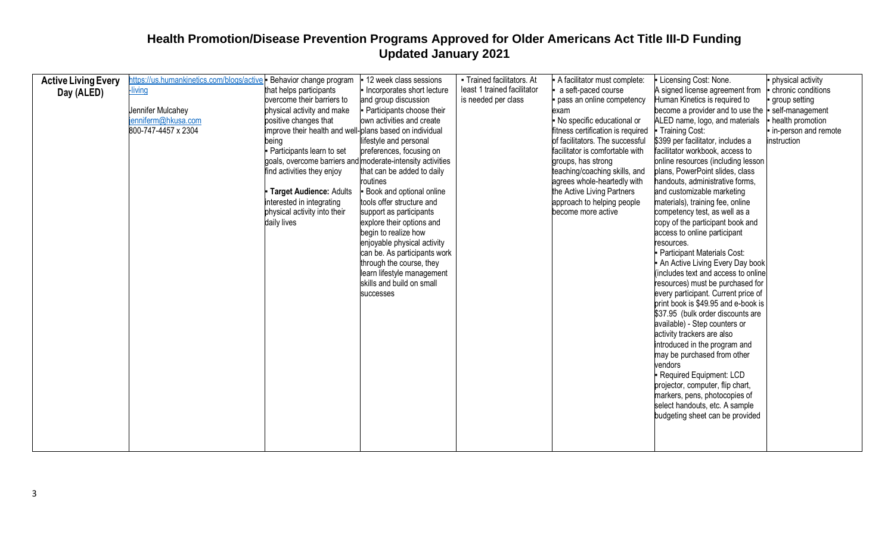| <b>Active Living Every</b> | https://us.humankinetics.com/blogs/active   Behavior change program |                                                            | 12 week class sessions       | - Trained facilitators. At  | A facilitator must complete:      | Licensing Cost: None.                               | physical activity      |
|----------------------------|---------------------------------------------------------------------|------------------------------------------------------------|------------------------------|-----------------------------|-----------------------------------|-----------------------------------------------------|------------------------|
|                            | -living                                                             | that helps participants                                    | Incorporates short lecture   | least 1 trained facilitator | a seft-paced course               | A signed license agreement from                     | - chronic conditions   |
| Day (ALED)                 |                                                                     | overcome their barriers to                                 | and group discussion         | is needed per class         | pass an online competency         | Human Kinetics is required to                       | group setting          |
|                            | Jennifer Mulcahey                                                   | physical activity and make                                 | - Participants choose their  |                             | exam                              | become a provider and to use the  - self-management |                        |
|                            | jenniferm@hkusa.com                                                 | positive changes that                                      | own activities and create    |                             | No specific educational or        | ALED name, logo, and materials                      | health promotion       |
|                            | 800-747-4457 x 2304                                                 | improve their health and well-plans based on individual    |                              |                             | fitness certification is required | - Training Cost:                                    | - in-person and remote |
|                            |                                                                     | being                                                      | lifestyle and personal       |                             | of facilitators. The successful   | \$399 per facilitator, includes a                   | instruction            |
|                            |                                                                     | - Participants learn to set                                | preferences, focusing on     |                             | facilitator is comfortable with   | facilitator workbook, access to                     |                        |
|                            |                                                                     | goals, overcome barriers and moderate-intensity activities |                              |                             | groups, has strong                | online resources (including lesson                  |                        |
|                            |                                                                     | find activities they enjoy                                 | that can be added to daily   |                             | teaching/coaching skills, and     | plans, PowerPoint slides, class                     |                        |
|                            |                                                                     |                                                            | routines                     |                             | agrees whole-heartedly with       | handouts, administrative forms,                     |                        |
|                            |                                                                     | Target Audience: Adults                                    | Book and optional online     |                             | the Active Living Partners        | and customizable marketing                          |                        |
|                            |                                                                     | interested in integrating                                  | tools offer structure and    |                             | approach to helping people        | materials), training fee, online                    |                        |
|                            |                                                                     | physical activity into their                               | support as participants      |                             | become more active                | competency test, as well as a                       |                        |
|                            |                                                                     | daily lives                                                | explore their options and    |                             |                                   | copy of the participant book and                    |                        |
|                            |                                                                     |                                                            | begin to realize how         |                             |                                   | access to online participant                        |                        |
|                            |                                                                     |                                                            | enjoyable physical activity  |                             |                                   | resources.                                          |                        |
|                            |                                                                     |                                                            | can be. As participants work |                             |                                   | Participant Materials Cost:                         |                        |
|                            |                                                                     |                                                            | through the course, they     |                             |                                   | An Active Living Every Day book                     |                        |
|                            |                                                                     |                                                            | learn lifestyle management   |                             |                                   | (includes text and access to online                 |                        |
|                            |                                                                     |                                                            | skills and build on small    |                             |                                   | resources) must be purchased for                    |                        |
|                            |                                                                     |                                                            | successes                    |                             |                                   | every participant. Current price of                 |                        |
|                            |                                                                     |                                                            |                              |                             |                                   | print book is \$49.95 and e-book is                 |                        |
|                            |                                                                     |                                                            |                              |                             |                                   | \$37.95 (bulk order discounts are                   |                        |
|                            |                                                                     |                                                            |                              |                             |                                   | available) - Step counters or                       |                        |
|                            |                                                                     |                                                            |                              |                             |                                   | activity trackers are also                          |                        |
|                            |                                                                     |                                                            |                              |                             |                                   | introduced in the program and                       |                        |
|                            |                                                                     |                                                            |                              |                             |                                   | may be purchased from other<br>vendors              |                        |
|                            |                                                                     |                                                            |                              |                             |                                   | - Required Equipment: LCD                           |                        |
|                            |                                                                     |                                                            |                              |                             |                                   | projector, computer, flip chart,                    |                        |
|                            |                                                                     |                                                            |                              |                             |                                   | markers, pens, photocopies of                       |                        |
|                            |                                                                     |                                                            |                              |                             |                                   | select handouts, etc. A sample                      |                        |
|                            |                                                                     |                                                            |                              |                             |                                   | budgeting sheet can be provided                     |                        |
|                            |                                                                     |                                                            |                              |                             |                                   |                                                     |                        |
|                            |                                                                     |                                                            |                              |                             |                                   |                                                     |                        |
|                            |                                                                     |                                                            |                              |                             |                                   |                                                     |                        |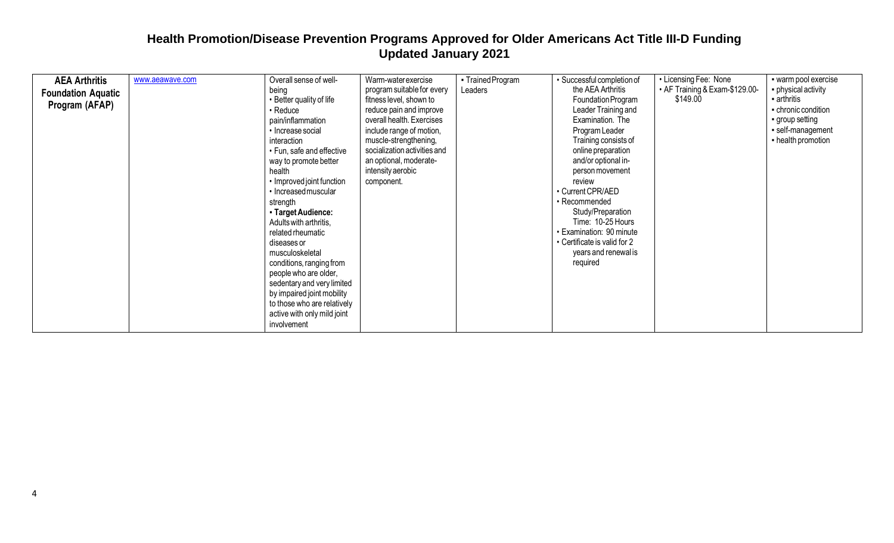| <b>AEA Arthritis</b><br><b>Foundation Aquatic</b><br>Program (AFAP) | www.aeawave.com | Overall sense of well-<br>being<br>• Better quality of life<br>• Reduce<br>pain/inflammation<br>• Increase social<br>interaction<br>• Fun, safe and effective<br>way to promote better<br>health<br>• Improved joint function<br>· Increased muscular<br>strength<br>- Target Audience:<br>Adults with arthritis,<br>related rheumatic<br>diseases or<br>musculoskeletal<br>conditions, ranging from<br>people who are older,<br>sedentary and very limited<br>by impaired joint mobility<br>to those who are relatively<br>active with only mild joint<br>involvement | Warm-water exercise<br>program suitable for every<br>fitness level, shown to<br>reduce pain and improve<br>overall health. Exercises<br>include range of motion,<br>muscle-strengthening,<br>socialization activities and<br>an optional, moderate-<br>intensity aerobic<br>component. | • Trained Program<br>Leaders | • Successful completion of<br>the AEA Arthritis<br>Foundation Program<br>Leader Training and<br>Examination. The<br>Program Leader<br>Training consists of<br>online preparation<br>and/or optional in-<br>person movement<br>review<br>• Current CPR/AED<br>· Recommended<br>Study/Preparation<br>Time: 10-25 Hours<br>• Examination: 90 minute<br>• Certificate is valid for 2<br>years and renewal is<br>required | • Licensing Fee: None<br>• AF Training & Exam-\$129.00-<br>\$149.00 | · warm pool exercise<br>• physical activity<br>arthritis<br>- chronic condition<br>• group setting<br>· self-management<br>- health promotion |
|---------------------------------------------------------------------|-----------------|------------------------------------------------------------------------------------------------------------------------------------------------------------------------------------------------------------------------------------------------------------------------------------------------------------------------------------------------------------------------------------------------------------------------------------------------------------------------------------------------------------------------------------------------------------------------|----------------------------------------------------------------------------------------------------------------------------------------------------------------------------------------------------------------------------------------------------------------------------------------|------------------------------|----------------------------------------------------------------------------------------------------------------------------------------------------------------------------------------------------------------------------------------------------------------------------------------------------------------------------------------------------------------------------------------------------------------------|---------------------------------------------------------------------|-----------------------------------------------------------------------------------------------------------------------------------------------|
|---------------------------------------------------------------------|-----------------|------------------------------------------------------------------------------------------------------------------------------------------------------------------------------------------------------------------------------------------------------------------------------------------------------------------------------------------------------------------------------------------------------------------------------------------------------------------------------------------------------------------------------------------------------------------------|----------------------------------------------------------------------------------------------------------------------------------------------------------------------------------------------------------------------------------------------------------------------------------------|------------------------------|----------------------------------------------------------------------------------------------------------------------------------------------------------------------------------------------------------------------------------------------------------------------------------------------------------------------------------------------------------------------------------------------------------------------|---------------------------------------------------------------------|-----------------------------------------------------------------------------------------------------------------------------------------------|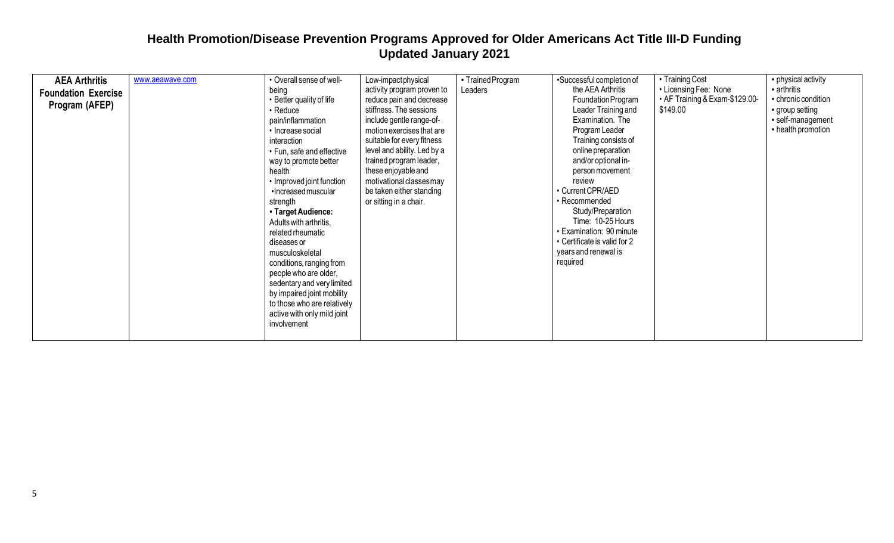| <b>AEA Arthritis</b><br><b>Foundation Exercise</b><br>Program (AFEP) | www.aeawave.com | • Overall sense of well-<br>being<br>• Better quality of life<br>$\cdot$ Reduce<br>pain/inflammation<br>• Increase social<br>interaction<br>• Fun, safe and effective<br>way to promote better<br>health<br>• Improved joint function<br>·Increased muscular<br>strength<br>- Target Audience:<br>Adults with arthritis,<br>related rheumatic<br>diseases or<br>musculoskeletal<br>conditions, ranging from<br>people who are older,<br>sedentary and very limited<br>by impaired joint mobility<br>to those who are relatively | Low-impactphysical<br>activity program proven to<br>reduce pain and decrease<br>stiffness. The sessions<br>include gentle range-of-<br>motion exercises that are<br>suitable for every fitness<br>level and ability. Led by a<br>trained program leader,<br>these enjoyable and<br>motivational classes may<br>be taken either standing<br>or sitting in a chair. | • Trained Program<br>Leaders | •Successful completion of<br>the AEA Arthritis<br>Foundation Program<br>Leader Training and<br>Examination. The<br>Program Leader<br>Training consists of<br>online preparation<br>and/or optional in-<br>person movement<br>review<br>• Current CPR/AED<br>• Recommended<br>Study/Preparation<br>Time: 10-25 Hours<br>· Examination: 90 minute<br>• Certificate is valid for 2<br>years and renewal is<br>required | • Training Cost<br>• Licensing Fee: None<br>• AF Training & Exam-\$129.00-<br>\$149.00 | • physical activity<br>arthritis<br>- chronic condition<br>group setting<br>· self-management<br>- health promotion |
|----------------------------------------------------------------------|-----------------|---------------------------------------------------------------------------------------------------------------------------------------------------------------------------------------------------------------------------------------------------------------------------------------------------------------------------------------------------------------------------------------------------------------------------------------------------------------------------------------------------------------------------------|-------------------------------------------------------------------------------------------------------------------------------------------------------------------------------------------------------------------------------------------------------------------------------------------------------------------------------------------------------------------|------------------------------|---------------------------------------------------------------------------------------------------------------------------------------------------------------------------------------------------------------------------------------------------------------------------------------------------------------------------------------------------------------------------------------------------------------------|----------------------------------------------------------------------------------------|---------------------------------------------------------------------------------------------------------------------|
|                                                                      |                 | active with only mild joint<br>involvement                                                                                                                                                                                                                                                                                                                                                                                                                                                                                      |                                                                                                                                                                                                                                                                                                                                                                   |                              |                                                                                                                                                                                                                                                                                                                                                                                                                     |                                                                                        |                                                                                                                     |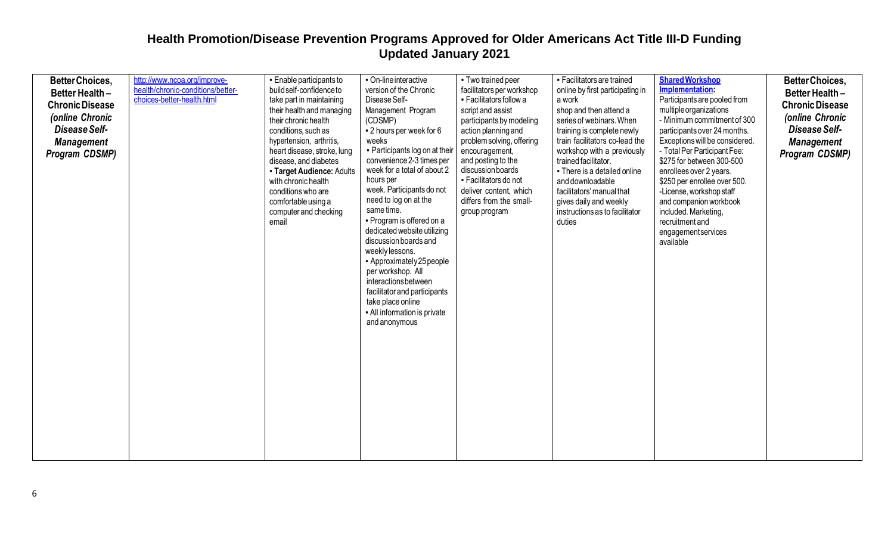| <b>BetterChoices,</b><br><b>Better Health -</b><br><b>Chronic Disease</b><br>(online Chronic<br>Disease Self-<br><b>Management</b><br><b>Program CDSMP)</b> | http://www.ncoa.org/improve-<br>health/chronic-conditions/better-<br>choices-better-health.html | • Enable participants to<br>build self-confidence to<br>take part in maintaining<br>their health and managing<br>their chronic health<br>conditions, such as<br>hypertension, arthritis,<br>heart disease, stroke, lung<br>disease, and diabetes<br>- Target Audience: Adults<br>with chronic health<br>conditions who are<br>comfortable using a<br>computer and checking<br>email | • On-line interactive<br>version of the Chronic<br>Disease Self-<br>Management Program<br>(CDSMP)<br>- 2 hours per week for 6<br>weeks<br>- Participants log on at their<br>convenience 2-3 times per<br>week for a total of about 2<br>hours per<br>week. Participants do not<br>need to log on at the<br>same time.<br>• Program is offered on a<br>dedicated website utilizing<br>discussion boards and<br>weekly lessons.<br>- Approximately 25 people<br>per workshop. All<br>interactions between<br>facilitator and participants<br>take place online<br>- All information is private<br>and anonymous | - Two trained peer<br>facilitators per workshop<br>- Facilitators follow a<br>script and assist<br>participants by modeling<br>action planning and<br>problem solving, offering<br>encouragement,<br>and posting to the<br>discussion boards<br>- Facilitators do not<br>deliver content, which<br>differs from the small-<br>group program | - Facilitators are trained<br>online by first participating in<br>a work<br>shop and then attend a<br>series of webinars. When<br>training is complete newly<br>train facilitators co-lead the<br>workshop with a previously<br>trained facilitator.<br>• There is a detailed online<br>and downloadable<br>facilitators' manual that<br>gives daily and weekly<br>instructions as to facilitator<br>duties | <b>Shared Workshop</b><br>Implementation:<br>Participants are pooled from<br>multiple organizations<br>- Minimum commitment of 300<br>participants over 24 months.<br>Exceptions will be considered.<br>- Total Per Participant Fee:<br>\$275 for between 300-500<br>enrollees over 2 years.<br>\$250 per enrollee over 500.<br>-License, workshop staff<br>and companion workbook<br>included. Marketing,<br>recruitment and<br>engagementservices<br>available | <b>BetterChoices,</b><br>Better Health -<br><b>Chronic Disease</b><br>(online Chronic<br>Disease Self-<br><b>Management</b><br>Program CDSMP) |
|-------------------------------------------------------------------------------------------------------------------------------------------------------------|-------------------------------------------------------------------------------------------------|-------------------------------------------------------------------------------------------------------------------------------------------------------------------------------------------------------------------------------------------------------------------------------------------------------------------------------------------------------------------------------------|---------------------------------------------------------------------------------------------------------------------------------------------------------------------------------------------------------------------------------------------------------------------------------------------------------------------------------------------------------------------------------------------------------------------------------------------------------------------------------------------------------------------------------------------------------------------------------------------------------------|---------------------------------------------------------------------------------------------------------------------------------------------------------------------------------------------------------------------------------------------------------------------------------------------------------------------------------------------|-------------------------------------------------------------------------------------------------------------------------------------------------------------------------------------------------------------------------------------------------------------------------------------------------------------------------------------------------------------------------------------------------------------|------------------------------------------------------------------------------------------------------------------------------------------------------------------------------------------------------------------------------------------------------------------------------------------------------------------------------------------------------------------------------------------------------------------------------------------------------------------|-----------------------------------------------------------------------------------------------------------------------------------------------|
|-------------------------------------------------------------------------------------------------------------------------------------------------------------|-------------------------------------------------------------------------------------------------|-------------------------------------------------------------------------------------------------------------------------------------------------------------------------------------------------------------------------------------------------------------------------------------------------------------------------------------------------------------------------------------|---------------------------------------------------------------------------------------------------------------------------------------------------------------------------------------------------------------------------------------------------------------------------------------------------------------------------------------------------------------------------------------------------------------------------------------------------------------------------------------------------------------------------------------------------------------------------------------------------------------|---------------------------------------------------------------------------------------------------------------------------------------------------------------------------------------------------------------------------------------------------------------------------------------------------------------------------------------------|-------------------------------------------------------------------------------------------------------------------------------------------------------------------------------------------------------------------------------------------------------------------------------------------------------------------------------------------------------------------------------------------------------------|------------------------------------------------------------------------------------------------------------------------------------------------------------------------------------------------------------------------------------------------------------------------------------------------------------------------------------------------------------------------------------------------------------------------------------------------------------------|-----------------------------------------------------------------------------------------------------------------------------------------------|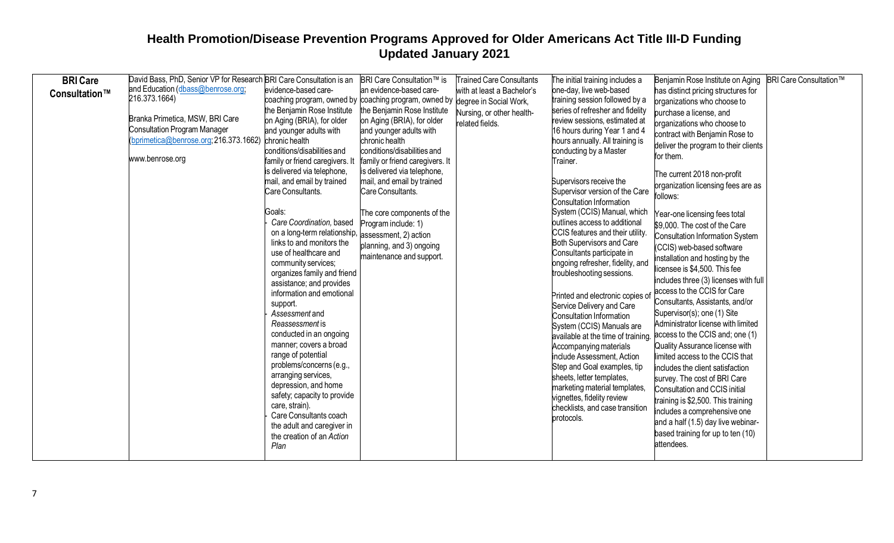| <b>BRI</b> Care | David Bass, PhD, Senior VP for Research BRI Care Consultation is an |                                          | <b>BRI Care Consultation™ is</b>                                             | <b>Trained Care Consultants</b> | The initial training includes a                              | Benjamin Rose Institute on Aging       | <b>BRI Care Consultation™</b> |
|-----------------|---------------------------------------------------------------------|------------------------------------------|------------------------------------------------------------------------------|---------------------------------|--------------------------------------------------------------|----------------------------------------|-------------------------------|
| Consultation™   | and Education (dbass@benrose.org;                                   | evidence-based care-                     | an evidence-based care-                                                      | with at least a Bachelor's      | one-day, live web-based                                      | has distinct pricing structures for    |                               |
|                 | 216.373.1664)                                                       |                                          | coaching program, owned by coaching program, owned by degree in Social Work, |                                 | training session followed by a                               | organizations who choose to            |                               |
|                 |                                                                     | the Benjamin Rose Institute              | the Benjamin Rose Institute                                                  | Nursing, or other health-       | series of refresher and fidelity                             | purchase a license, and                |                               |
|                 | Branka Primetica, MSW, BRI Care                                     | on Aging (BRIA), for older               | on Aging (BRIA), for older                                                   | related fields.                 | review sessions, estimated at                                | organizations who choose to            |                               |
|                 | <b>Consultation Program Manager</b>                                 | and younger adults with                  | and younger adults with                                                      |                                 | 16 hours during Year 1 and 4                                 | contract with Benjamin Rose to         |                               |
|                 | bprimetica@benrose.org; 216.373.1662)                               | chronic health                           | chronic health                                                               |                                 | hours annually. All training is                              | deliver the program to their clients   |                               |
|                 |                                                                     | conditions/disabilities and              | conditions/disabilities and                                                  |                                 | conducting by a Master                                       | for them.                              |                               |
|                 | www.benrose.org                                                     | family or friend caregivers. It          | family or friend caregivers. It                                              |                                 | Trainer.                                                     |                                        |                               |
|                 |                                                                     | is delivered via telephone,              | is delivered via telephone,                                                  |                                 |                                                              | The current 2018 non-profit            |                               |
|                 |                                                                     | mail, and email by trained               | mail, and email by trained                                                   |                                 | Supervisors receive the                                      | organization licensing fees are as     |                               |
|                 |                                                                     | Care Consultants.                        | Care Consultants.                                                            |                                 | Supervisor version of the Care                               | follows:                               |                               |
|                 |                                                                     |                                          |                                                                              |                                 | Consultation Information                                     |                                        |                               |
|                 |                                                                     | Goals:<br>Care Coordination, based       | The core components of the                                                   |                                 | System (CCIS) Manual, which<br>outlines access to additional | Year-one licensing fees total          |                               |
|                 |                                                                     | on a long-term relationship,             | Program include: 1)                                                          |                                 | CCIS features and their utility.                             | \$9,000. The cost of the Care          |                               |
|                 |                                                                     | links to and monitors the                | assessment, 2) action                                                        |                                 | Both Supervisors and Care                                    | <b>Consultation Information System</b> |                               |
|                 |                                                                     | use of healthcare and                    | planning, and 3) ongoing                                                     |                                 | Consultants participate in                                   | (CCIS) web-based software              |                               |
|                 |                                                                     | community services;                      | maintenance and support.                                                     |                                 | ongoing refresher, fidelity, and                             | installation and hosting by the        |                               |
|                 |                                                                     | organizes family and friend              |                                                                              |                                 | troubleshooting sessions.                                    | icensee is \$4,500. This fee           |                               |
|                 |                                                                     | assistance; and provides                 |                                                                              |                                 |                                                              | includes three (3) licenses with full  |                               |
|                 |                                                                     | information and emotional                |                                                                              |                                 | Printed and electronic copies of                             | access to the CCIS for Care            |                               |
|                 |                                                                     | support.                                 |                                                                              |                                 | Service Delivery and Care                                    | Consultants, Assistants, and/or        |                               |
|                 |                                                                     | Assessment and                           |                                                                              |                                 | Consultation Information                                     | Supervisor(s); one (1) Site            |                               |
|                 |                                                                     | Reassessment is                          |                                                                              |                                 | System (CCIS) Manuals are                                    | Administrator license with limited     |                               |
|                 |                                                                     | conducted in an ongoing                  |                                                                              |                                 | available at the time of training.                           | access to the CCIS and; one (1)        |                               |
|                 |                                                                     | manner; covers a broad                   |                                                                              |                                 | Accompanying materials                                       | Quality Assurance license with         |                               |
|                 |                                                                     | range of potential                       |                                                                              |                                 | include Assessment, Action                                   | limited access to the CCIS that        |                               |
|                 |                                                                     | problems/concerns (e.g.,                 |                                                                              |                                 | Step and Goal examples, tip                                  | includes the client satisfaction       |                               |
|                 |                                                                     | arranging services,                      |                                                                              |                                 | sheets, letter templates,                                    | survey. The cost of BRI Care           |                               |
|                 |                                                                     | depression, and home                     |                                                                              |                                 | marketing material templates,                                | Consultation and CCIS initial          |                               |
|                 |                                                                     | safety; capacity to provide              |                                                                              |                                 | vignettes, fidelity review                                   | training is \$2,500. This training     |                               |
|                 |                                                                     | care, strain).<br>Care Consultants coach |                                                                              |                                 | checklists, and case transition                              | includes a comprehensive one           |                               |
|                 |                                                                     | the adult and caregiver in               |                                                                              |                                 | protocols.                                                   | and a half (1.5) day live webinar-     |                               |
|                 |                                                                     | the creation of an Action                |                                                                              |                                 |                                                              | based training for up to ten (10)      |                               |
|                 |                                                                     | Plan                                     |                                                                              |                                 |                                                              | attendees.                             |                               |
|                 |                                                                     |                                          |                                                                              |                                 |                                                              |                                        |                               |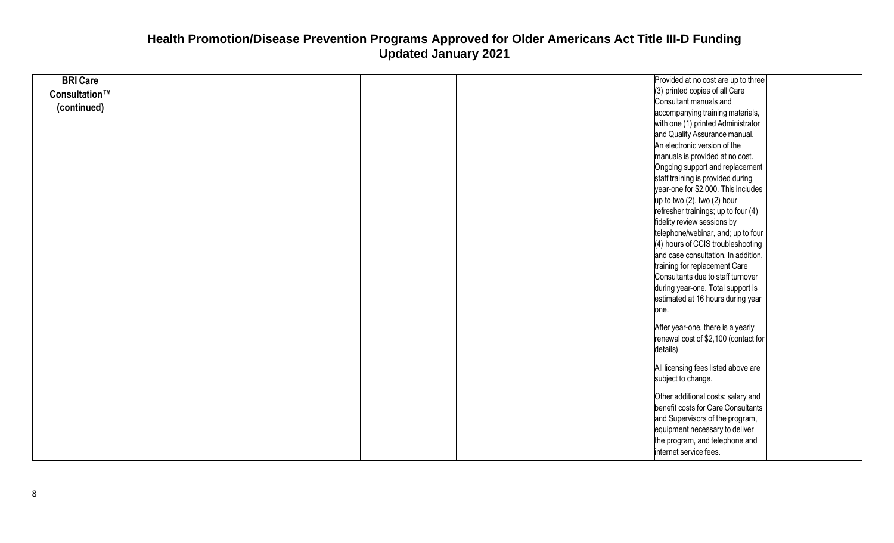| <b>BRI Care</b><br>(3) printed copies of all Care<br>Consultation™<br>Consultant manuals and<br>(continued)<br>accompanying training materials,<br>with one (1) printed Administrator<br>and Quality Assurance manual.<br>An electronic version of the<br>manuals is provided at no cost.<br>Ongoing support and replacement<br>staff training is provided during<br>year-one for \$2,000. This includes<br>up to two (2), two (2) hour<br>refresher trainings; up to four (4)<br>fidelity review sessions by<br>telephone/webinar, and; up to four<br>(4) hours of CCIS troubleshooting<br>and case consultation. In addition,<br>training for replacement Care<br>Consultants due to staff turnover<br>during year-one. Total support is<br>estimated at 16 hours during year<br>one. |
|-----------------------------------------------------------------------------------------------------------------------------------------------------------------------------------------------------------------------------------------------------------------------------------------------------------------------------------------------------------------------------------------------------------------------------------------------------------------------------------------------------------------------------------------------------------------------------------------------------------------------------------------------------------------------------------------------------------------------------------------------------------------------------------------|
|                                                                                                                                                                                                                                                                                                                                                                                                                                                                                                                                                                                                                                                                                                                                                                                         |
|                                                                                                                                                                                                                                                                                                                                                                                                                                                                                                                                                                                                                                                                                                                                                                                         |
|                                                                                                                                                                                                                                                                                                                                                                                                                                                                                                                                                                                                                                                                                                                                                                                         |
|                                                                                                                                                                                                                                                                                                                                                                                                                                                                                                                                                                                                                                                                                                                                                                                         |
|                                                                                                                                                                                                                                                                                                                                                                                                                                                                                                                                                                                                                                                                                                                                                                                         |
|                                                                                                                                                                                                                                                                                                                                                                                                                                                                                                                                                                                                                                                                                                                                                                                         |
|                                                                                                                                                                                                                                                                                                                                                                                                                                                                                                                                                                                                                                                                                                                                                                                         |
|                                                                                                                                                                                                                                                                                                                                                                                                                                                                                                                                                                                                                                                                                                                                                                                         |
|                                                                                                                                                                                                                                                                                                                                                                                                                                                                                                                                                                                                                                                                                                                                                                                         |
|                                                                                                                                                                                                                                                                                                                                                                                                                                                                                                                                                                                                                                                                                                                                                                                         |
|                                                                                                                                                                                                                                                                                                                                                                                                                                                                                                                                                                                                                                                                                                                                                                                         |
|                                                                                                                                                                                                                                                                                                                                                                                                                                                                                                                                                                                                                                                                                                                                                                                         |
|                                                                                                                                                                                                                                                                                                                                                                                                                                                                                                                                                                                                                                                                                                                                                                                         |
|                                                                                                                                                                                                                                                                                                                                                                                                                                                                                                                                                                                                                                                                                                                                                                                         |
|                                                                                                                                                                                                                                                                                                                                                                                                                                                                                                                                                                                                                                                                                                                                                                                         |
|                                                                                                                                                                                                                                                                                                                                                                                                                                                                                                                                                                                                                                                                                                                                                                                         |
|                                                                                                                                                                                                                                                                                                                                                                                                                                                                                                                                                                                                                                                                                                                                                                                         |
|                                                                                                                                                                                                                                                                                                                                                                                                                                                                                                                                                                                                                                                                                                                                                                                         |
|                                                                                                                                                                                                                                                                                                                                                                                                                                                                                                                                                                                                                                                                                                                                                                                         |
|                                                                                                                                                                                                                                                                                                                                                                                                                                                                                                                                                                                                                                                                                                                                                                                         |
|                                                                                                                                                                                                                                                                                                                                                                                                                                                                                                                                                                                                                                                                                                                                                                                         |
| After year-one, there is a yearly                                                                                                                                                                                                                                                                                                                                                                                                                                                                                                                                                                                                                                                                                                                                                       |
| renewal cost of \$2,100 (contact for                                                                                                                                                                                                                                                                                                                                                                                                                                                                                                                                                                                                                                                                                                                                                    |
| details)                                                                                                                                                                                                                                                                                                                                                                                                                                                                                                                                                                                                                                                                                                                                                                                |
|                                                                                                                                                                                                                                                                                                                                                                                                                                                                                                                                                                                                                                                                                                                                                                                         |
| All licensing fees listed above are                                                                                                                                                                                                                                                                                                                                                                                                                                                                                                                                                                                                                                                                                                                                                     |
| subject to change.                                                                                                                                                                                                                                                                                                                                                                                                                                                                                                                                                                                                                                                                                                                                                                      |
| Other additional costs: salary and                                                                                                                                                                                                                                                                                                                                                                                                                                                                                                                                                                                                                                                                                                                                                      |
| benefit costs for Care Consultants                                                                                                                                                                                                                                                                                                                                                                                                                                                                                                                                                                                                                                                                                                                                                      |
| and Supervisors of the program,                                                                                                                                                                                                                                                                                                                                                                                                                                                                                                                                                                                                                                                                                                                                                         |
| equipment necessary to deliver                                                                                                                                                                                                                                                                                                                                                                                                                                                                                                                                                                                                                                                                                                                                                          |
| the program, and telephone and                                                                                                                                                                                                                                                                                                                                                                                                                                                                                                                                                                                                                                                                                                                                                          |
| internet service fees.                                                                                                                                                                                                                                                                                                                                                                                                                                                                                                                                                                                                                                                                                                                                                                  |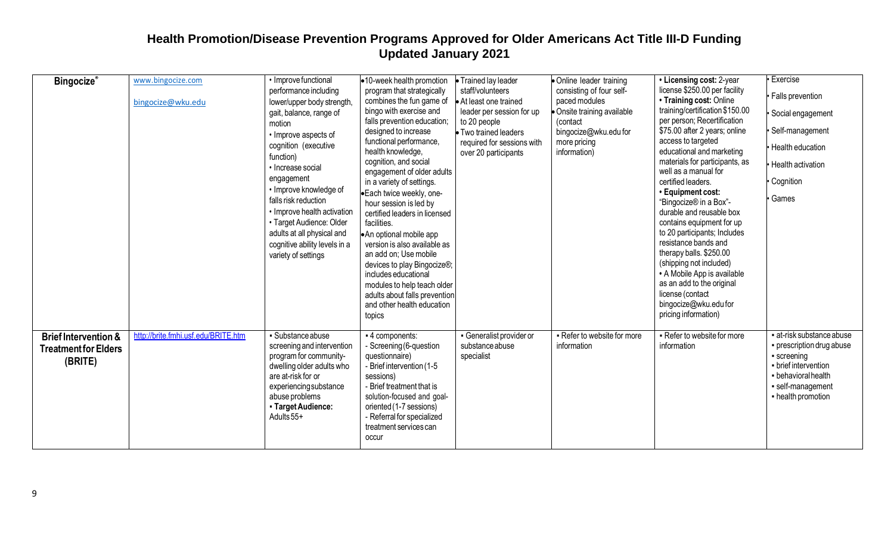| <b>Bingocize®</b>                                                         | www.bingocize.com<br>bingocize@wku.edu | • Improve functional<br>performance including<br>lower/upper body strength,<br>gait, balance, range of<br>motion<br>• Improve aspects of<br>cognition (executive<br>function)<br>• Increase social<br>engagement<br>• Improve knowledge of<br>falls risk reduction<br>• Improve health activation<br>• Target Audience: Older<br>adults at all physical and<br>cognitive ability levels in a<br>variety of settings | •10-week health promotion<br>program that strategically<br>combines the fun game of<br>bingo with exercise and<br>falls prevention education;<br>designed to increase<br>functional performance,<br>health knowledge,<br>cognition, and social<br>engagement of older adults<br>in a variety of settings.<br>Each twice weekly, one-<br>hour session is led by<br>certified leaders in licensed<br>facilities.<br>•An optional mobile app<br>version is also available as<br>an add on; Use mobile<br>devices to play Bingocize®;<br>includes educational<br>modules to help teach older<br>adults about falls prevention<br>and other health education<br>topics | • Trained lay leader<br>staff/volunteers<br>At least one trained<br>leader per session for up<br>to 20 people<br>Two trained leaders<br>required for sessions with<br>over 20 participants | • Online leader training<br>consisting of four self-<br>paced modules<br>• Onsite training available<br>(contact)<br>bingocize@wku.edu for<br>more pricing<br>information) | • Licensing cost: 2-year<br>license \$250.00 per facility<br>• Training cost: Online<br>training/certification \$150.00<br>per person; Recertification<br>\$75.00 after 2 years; online<br>access to targeted<br>educational and marketing<br>materials for participants, as<br>well as a manual for<br>certified leaders.<br>· Equipment cost:<br>"Bingocize® in a Box"-<br>durable and reusable box<br>contains equipment for up<br>to 20 participants; Includes<br>resistance bands and<br>therapy balls. \$250.00<br>(shipping not included)<br>• A Mobile App is available<br>as an add to the original<br>license (contact<br>bingocize@wku.edu for<br>pricing information) | Exercise<br><b>Falls prevention</b><br>Social engagement<br>· Self-management<br>· Health education<br>Health activation<br>Cognition<br>Games                |
|---------------------------------------------------------------------------|----------------------------------------|---------------------------------------------------------------------------------------------------------------------------------------------------------------------------------------------------------------------------------------------------------------------------------------------------------------------------------------------------------------------------------------------------------------------|-------------------------------------------------------------------------------------------------------------------------------------------------------------------------------------------------------------------------------------------------------------------------------------------------------------------------------------------------------------------------------------------------------------------------------------------------------------------------------------------------------------------------------------------------------------------------------------------------------------------------------------------------------------------|--------------------------------------------------------------------------------------------------------------------------------------------------------------------------------------------|----------------------------------------------------------------------------------------------------------------------------------------------------------------------------|-----------------------------------------------------------------------------------------------------------------------------------------------------------------------------------------------------------------------------------------------------------------------------------------------------------------------------------------------------------------------------------------------------------------------------------------------------------------------------------------------------------------------------------------------------------------------------------------------------------------------------------------------------------------------------------|---------------------------------------------------------------------------------------------------------------------------------------------------------------|
| <b>Brief Intervention &amp;</b><br><b>Treatment for Elders</b><br>(BRITE) | http://brite.fmhi.usf.edu/BRITE.htm    | Substance abuse<br>screening and intervention<br>program for community-<br>dwelling older adults who<br>are at-risk for or<br>experiencingsubstance<br>abuse problems<br>- Target Audience:<br>Adults 55+                                                                                                                                                                                                           | - 4 components:<br>- Screening (6-question<br>questionnaire)<br>- Brief intervention (1-5<br>sessions)<br>- Brief treatment that is<br>solution-focused and goal-<br>oriented (1-7 sessions)<br>- Referral for specialized<br>treatment services can<br>occur                                                                                                                                                                                                                                                                                                                                                                                                     | • Generalist provider or<br>substance abuse<br>specialist                                                                                                                                  | - Refer to website for more<br>information                                                                                                                                 | - Refer to website for more<br>information                                                                                                                                                                                                                                                                                                                                                                                                                                                                                                                                                                                                                                        | at-risk substance abuse<br>• prescription drug abuse<br>• screening<br>- brief intervention<br>- behavioral health<br>· self-management<br>- health promotion |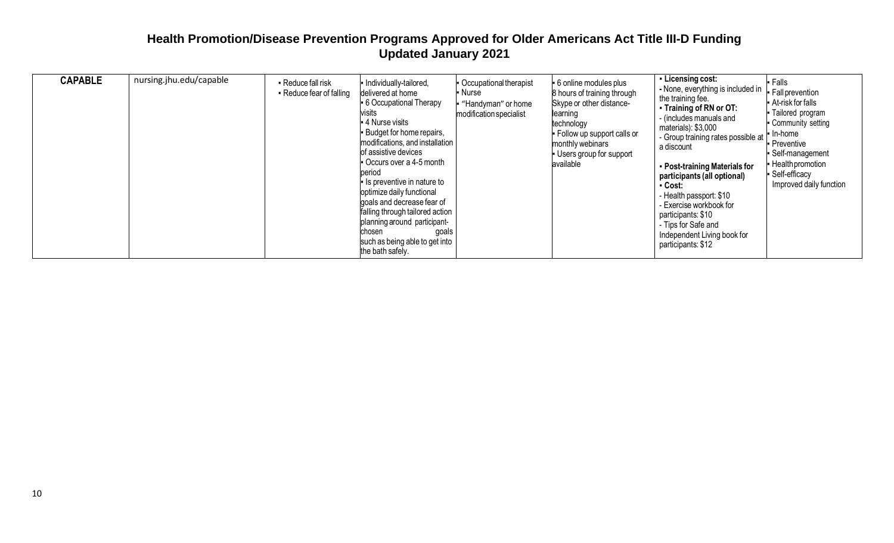| <b>CAPABLE</b> | nursing.jhu.edu/capable | Reduce fall risk<br>• Reduce fear of falling | - Individually-tailored,<br>delivered at home<br>• 6 Occupational Therapy<br>visits<br>- 4 Nurse visits<br>- Budget for home repairs,<br>modifications, and installation<br>of assistive devices<br>Occurs over a 4-5 month<br>period<br>- Is preventive in nature to<br>optimize daily functional<br>goals and decrease fear of<br>falling through tailored action<br>planning around participant-<br>chosen<br>goals<br>such as being able to get into<br>the bath safely. | Occupational therapist<br>∙ Nurse<br>"Handyman" or home<br>modification specialist | - 6 online modules plus<br>8 hours of training through<br>Skype or other distance-<br>learning<br>technology<br>- Follow up support calls or<br>monthly webinars<br>- Users group for support<br>available | - Licensing cost:<br>- None, everything is included in<br>the training fee.<br>- Training of RN or OT:<br>(includes manuals and<br>materials): \$3,000<br>- Group training rates possible at<br>a discount<br>• Post-training Materials for<br>participants (all optional)<br>- Cost:<br>- Health passport: \$10<br>- Exercise workbook for<br>participants: \$10<br>- Tips for Safe and<br>Independent Living book for<br>participants: \$12 | $\blacksquare$ Falls<br>- Fall prevention<br>- At-risk for falls<br>- Tailored program<br>Community setting<br>In-home<br><b>Preventive</b><br>Self-management<br>- Health promotion<br>Self-efficacy<br>Improved daily function |
|----------------|-------------------------|----------------------------------------------|------------------------------------------------------------------------------------------------------------------------------------------------------------------------------------------------------------------------------------------------------------------------------------------------------------------------------------------------------------------------------------------------------------------------------------------------------------------------------|------------------------------------------------------------------------------------|------------------------------------------------------------------------------------------------------------------------------------------------------------------------------------------------------------|-----------------------------------------------------------------------------------------------------------------------------------------------------------------------------------------------------------------------------------------------------------------------------------------------------------------------------------------------------------------------------------------------------------------------------------------------|----------------------------------------------------------------------------------------------------------------------------------------------------------------------------------------------------------------------------------|
|----------------|-------------------------|----------------------------------------------|------------------------------------------------------------------------------------------------------------------------------------------------------------------------------------------------------------------------------------------------------------------------------------------------------------------------------------------------------------------------------------------------------------------------------------------------------------------------------|------------------------------------------------------------------------------------|------------------------------------------------------------------------------------------------------------------------------------------------------------------------------------------------------------|-----------------------------------------------------------------------------------------------------------------------------------------------------------------------------------------------------------------------------------------------------------------------------------------------------------------------------------------------------------------------------------------------------------------------------------------------|----------------------------------------------------------------------------------------------------------------------------------------------------------------------------------------------------------------------------------|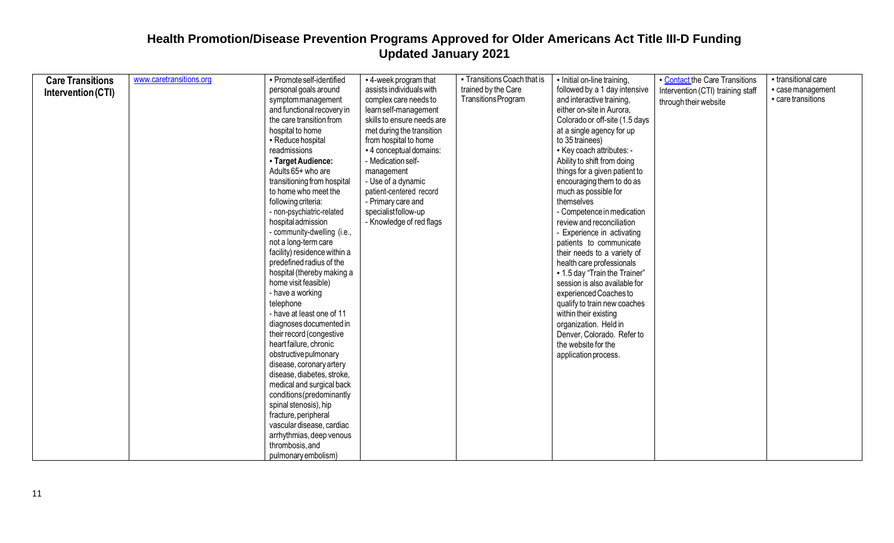| <b>Care Transitions</b> | www.caretransitions.org | - Promote self-identified    | - 4-week program that      | • Transitions Coach that is | - Initial on-line training,    | Contact the Care Transitions      | - transitional care |
|-------------------------|-------------------------|------------------------------|----------------------------|-----------------------------|--------------------------------|-----------------------------------|---------------------|
|                         |                         | personal goals around        | assists individuals with   | trained by the Care         | followed by a 1 day intensive  | Intervention (CTI) training staff | - case management   |
| Intervention (CTI)      |                         | symptommanagement            | complex care needs to      | Transitions Program         | and interactive training,      |                                   | - care transitions  |
|                         |                         | and functional recovery in   | learn self-management      |                             | either on-site in Aurora,      | through their website             |                     |
|                         |                         | the care transition from     | skills to ensure needs are |                             | Colorado or off-site (1.5 days |                                   |                     |
|                         |                         | hospital to home             | met during the transition  |                             | at a single agency for up      |                                   |                     |
|                         |                         | • Reduce hospital            | from hospital to home      |                             | to 35 trainees)                |                                   |                     |
|                         |                         | readmissions                 | - 4 conceptual domains:    |                             | - Key coach attributes: -      |                                   |                     |
|                         |                         | - Target Audience:           | - Medication self-         |                             | Ability to shift from doing    |                                   |                     |
|                         |                         | Adults 65+ who are           | management                 |                             | things for a given patient to  |                                   |                     |
|                         |                         | transitioning from hospital  | - Use of a dynamic         |                             | encouraging them to do as      |                                   |                     |
|                         |                         | to home who meet the         | patient-centered record    |                             | much as possible for           |                                   |                     |
|                         |                         | following criteria:          | - Primary care and         |                             | themselves                     |                                   |                     |
|                         |                         | - non-psychiatric-related    | specialistfollow-up        |                             | - Competence in medication     |                                   |                     |
|                         |                         | hospital admission           | - Knowledge of red flags   |                             | review and reconciliation      |                                   |                     |
|                         |                         | - community-dwelling (i.e.,  |                            |                             | - Experience in activating     |                                   |                     |
|                         |                         | not a long-term care         |                            |                             | patients to communicate        |                                   |                     |
|                         |                         | facility) residence within a |                            |                             | their needs to a variety of    |                                   |                     |
|                         |                         | predefined radius of the     |                            |                             | health care professionals      |                                   |                     |
|                         |                         | hospital (thereby making a   |                            |                             | • 1.5 day "Train the Trainer"  |                                   |                     |
|                         |                         | home visit feasible)         |                            |                             | session is also available for  |                                   |                     |
|                         |                         | - have a working             |                            |                             | experienced Coaches to         |                                   |                     |
|                         |                         | telephone                    |                            |                             | qualify to train new coaches   |                                   |                     |
|                         |                         | - have at least one of 11    |                            |                             | within their existing          |                                   |                     |
|                         |                         | diagnoses documented in      |                            |                             | organization. Held in          |                                   |                     |
|                         |                         | their record (congestive     |                            |                             | Denver, Colorado. Refer to     |                                   |                     |
|                         |                         | heart failure, chronic       |                            |                             | the website for the            |                                   |                     |
|                         |                         | obstructive pulmonary        |                            |                             | application process.           |                                   |                     |
|                         |                         | disease, coronary artery     |                            |                             |                                |                                   |                     |
|                         |                         | disease, diabetes, stroke,   |                            |                             |                                |                                   |                     |
|                         |                         | medical and surgical back    |                            |                             |                                |                                   |                     |
|                         |                         | conditions (predominantly    |                            |                             |                                |                                   |                     |
|                         |                         | spinal stenosis), hip        |                            |                             |                                |                                   |                     |
|                         |                         | fracture, peripheral         |                            |                             |                                |                                   |                     |
|                         |                         | vascular disease, cardiac    |                            |                             |                                |                                   |                     |
|                         |                         | arrhythmias, deep venous     |                            |                             |                                |                                   |                     |
|                         |                         | thrombosis, and              |                            |                             |                                |                                   |                     |
|                         |                         | pulmonary embolism)          |                            |                             |                                |                                   |                     |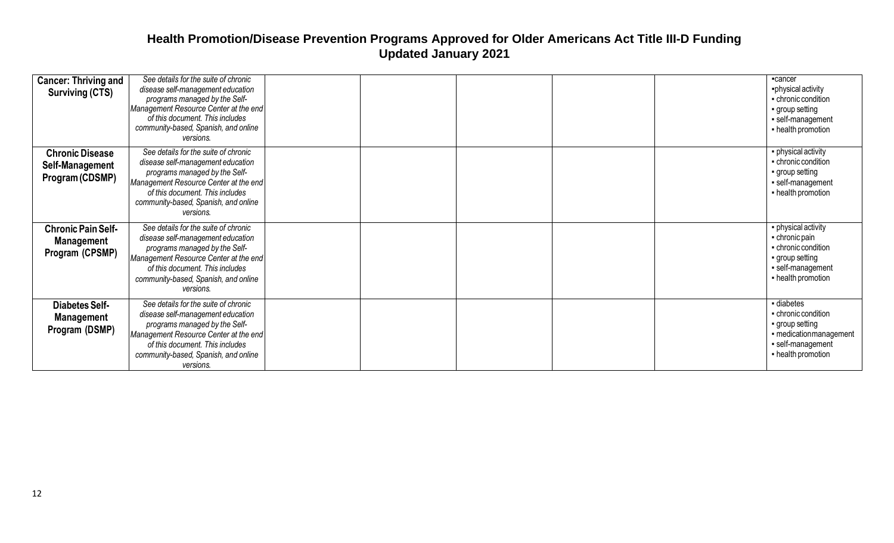| <b>Cancer: Thriving and</b><br><b>Surviving (CTS)</b>             | See details for the suite of chronic<br>disease self-management education<br>programs managed by the Self-<br>Management Resource Center at the end<br>of this document. This includes<br>community-based, Spanish, and online<br>versions. | -cancer<br>-physical activity<br>- chronic condition<br>• group setting<br>· self-management<br>- health promotion       |
|-------------------------------------------------------------------|---------------------------------------------------------------------------------------------------------------------------------------------------------------------------------------------------------------------------------------------|--------------------------------------------------------------------------------------------------------------------------|
| <b>Chronic Disease</b><br>Self-Management<br>Program (CDSMP)      | See details for the suite of chronic<br>disease self-management education<br>programs managed by the Self-<br>Management Resource Center at the end<br>of this document. This includes<br>community-based, Spanish, and online<br>versions. | · physical activity<br>- chronic condition<br>group setting<br>self-management<br>- health promotion                     |
| <b>Chronic Pain Self-</b><br><b>Management</b><br>Program (CPSMP) | See details for the suite of chronic<br>disease self-management education<br>programs managed by the Self-<br>Management Resource Center at the end<br>of this document. This includes<br>community-based, Spanish, and online<br>versions. | · physical activity<br>- chronic pain<br>- chronic condition<br>group setting<br>· self-management<br>- health promotion |
| <b>Diabetes Self-</b><br><b>Management</b><br>Program (DSMP)      | See details for the suite of chronic<br>disease self-management education<br>programs managed by the Self-<br>Management Resource Center at the end<br>of this document. This includes<br>community-based, Spanish, and online<br>versions. | - diabetes<br>- chronic condition<br>group setting<br>- medication management<br>· self-management<br>- health promotion |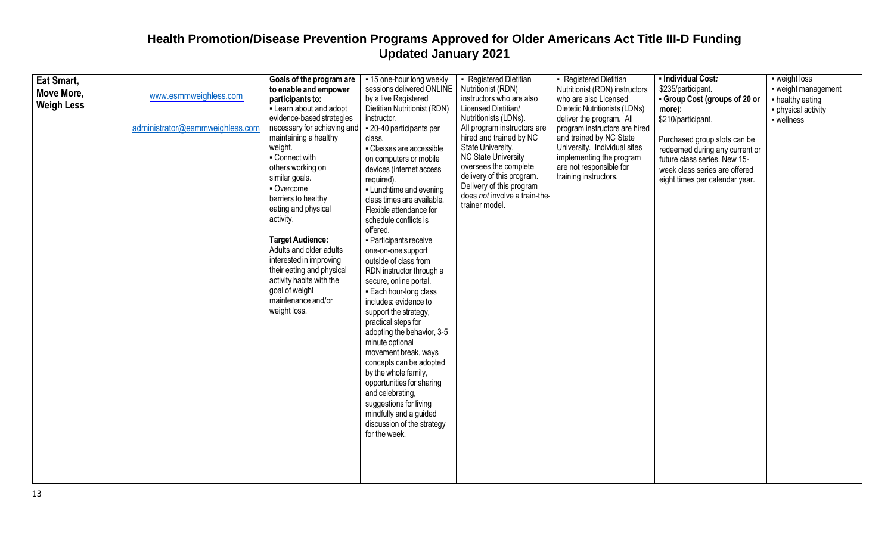| Eat Smart,<br>Move More,<br><b>Weigh Less</b> | www.esmmweighless.com<br>administrator@esmmweighless.com | Goals of the program are<br>to enable and empower<br>participants to:<br>- Learn about and adopt<br>evidence-based strategies<br>necessary for achieving and<br>maintaining a healthy<br>weight.<br>- Connect with<br>others working on<br>similar goals.<br>- Overcome<br>barriers to healthy<br>eating and physical<br>activity.<br><b>Target Audience:</b><br>Adults and older adults<br>interested in improving<br>their eating and physical<br>activity habits with the<br>goal of weight<br>maintenance and/or<br>weight loss. | - 15 one-hour long weekly<br>sessions delivered ONLINE<br>by a live Registered<br>Dietitian Nutritionist (RDN)<br>instructor.<br>- 20-40 participants per<br>class.<br>- Classes are accessible<br>on computers or mobile<br>devices (internet access<br>required).<br>- Lunchtime and evening<br>class times are available.<br>Flexible attendance for<br>schedule conflicts is<br>offered.<br>• Participants receive<br>one-on-one support<br>outside of class from<br>RDN instructor through a<br>secure, online portal.<br>- Each hour-long class<br>includes: evidence to<br>support the strategy,<br>practical steps for<br>adopting the behavior, 3-5<br>minute optional<br>movement break, ways<br>concepts can be adopted<br>by the whole family,<br>opportunities for sharing<br>and celebrating.<br>suggestions for living<br>mindfully and a guided<br>discussion of the strategy<br>for the week. | - Registered Dietitian<br>Nutritionist (RDN)<br>instructors who are also<br>Licensed Dietitian/<br>Nutritionists (LDNs).<br>All program instructors are<br>hired and trained by NC<br>State University.<br><b>NC State University</b><br>oversees the complete<br>delivery of this program.<br>Delivery of this program<br>does not involve a train-the-<br>trainer model. | • Registered Dietitian<br>Nutritionist (RDN) instructors<br>who are also Licensed<br>Dietetic Nutritionists (LDNs)<br>deliver the program. All<br>program instructors are hired<br>and trained by NC State<br>University. Individual sites<br>implementing the program<br>are not responsible for<br>training instructors. | - Individual Cost:<br>\$235/participant.<br>- Group Cost (groups of 20 or<br>more):<br>\$210/participant.<br>Purchased group slots can be<br>redeemed during any current or<br>future class series. New 15-<br>week class series are offered<br>eight times per calendar year. | - weight loss<br>- weight management<br>- healthy eating<br>· physical activity<br>- wellness |
|-----------------------------------------------|----------------------------------------------------------|--------------------------------------------------------------------------------------------------------------------------------------------------------------------------------------------------------------------------------------------------------------------------------------------------------------------------------------------------------------------------------------------------------------------------------------------------------------------------------------------------------------------------------------|----------------------------------------------------------------------------------------------------------------------------------------------------------------------------------------------------------------------------------------------------------------------------------------------------------------------------------------------------------------------------------------------------------------------------------------------------------------------------------------------------------------------------------------------------------------------------------------------------------------------------------------------------------------------------------------------------------------------------------------------------------------------------------------------------------------------------------------------------------------------------------------------------------------|----------------------------------------------------------------------------------------------------------------------------------------------------------------------------------------------------------------------------------------------------------------------------------------------------------------------------------------------------------------------------|----------------------------------------------------------------------------------------------------------------------------------------------------------------------------------------------------------------------------------------------------------------------------------------------------------------------------|--------------------------------------------------------------------------------------------------------------------------------------------------------------------------------------------------------------------------------------------------------------------------------|-----------------------------------------------------------------------------------------------|
|-----------------------------------------------|----------------------------------------------------------|--------------------------------------------------------------------------------------------------------------------------------------------------------------------------------------------------------------------------------------------------------------------------------------------------------------------------------------------------------------------------------------------------------------------------------------------------------------------------------------------------------------------------------------|----------------------------------------------------------------------------------------------------------------------------------------------------------------------------------------------------------------------------------------------------------------------------------------------------------------------------------------------------------------------------------------------------------------------------------------------------------------------------------------------------------------------------------------------------------------------------------------------------------------------------------------------------------------------------------------------------------------------------------------------------------------------------------------------------------------------------------------------------------------------------------------------------------------|----------------------------------------------------------------------------------------------------------------------------------------------------------------------------------------------------------------------------------------------------------------------------------------------------------------------------------------------------------------------------|----------------------------------------------------------------------------------------------------------------------------------------------------------------------------------------------------------------------------------------------------------------------------------------------------------------------------|--------------------------------------------------------------------------------------------------------------------------------------------------------------------------------------------------------------------------------------------------------------------------------|-----------------------------------------------------------------------------------------------|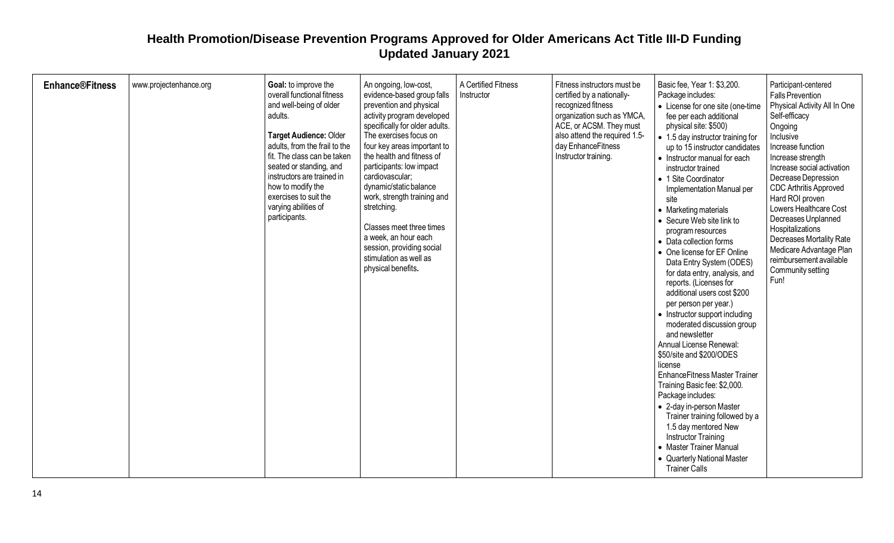| <b>Enhance®Fitness</b> | www.projectenhance.org | Goal: to improve the<br>overall functional fitness<br>and well-being of older<br>adults.<br>Target Audience: Older<br>adults, from the frail to the<br>fit. The class can be taken<br>seated or standing, and<br>instructors are trained in<br>how to modify the<br>exercises to suit the<br>varying abilities of<br>participants. | An ongoing, low-cost,<br>evidence-based group falls<br>prevention and physical<br>activity program developed<br>specifically for older adults.<br>The exercises focus on<br>four key areas important to<br>the health and fitness of<br>participants: low impact<br>cardiovascular;<br>dynamic/static balance<br>work, strength training and<br>stretching.<br>Classes meet three times<br>a week, an hour each<br>session, providing social<br>stimulation as well as<br>physical benefits. | A Certified Fitness<br>Instructor | Fitness instructors must be<br>certified by a nationally-<br>recognized fitness<br>organization such as YMCA,<br>ACE, or ACSM. They must<br>also attend the required 1.5-<br>day EnhanceFitness<br>Instructor training. | Basic fee, Year 1: \$3,200.<br>Package includes:<br>• License for one site (one-time<br>fee per each additional<br>physical site: \$500)<br>• 1.5 day instructor training for<br>up to 15 instructor candidates<br>• Instructor manual for each<br>instructor trained<br>• 1 Site Coordinator<br>Implementation Manual per<br>site<br>• Marketing materials<br>• Secure Web site link to<br>program resources<br>• Data collection forms<br>• One license for EF Online<br>Data Entry System (ODES)<br>for data entry, analysis, and<br>reports. (Licenses for<br>additional users cost \$200<br>per person per year.)<br>• Instructor support including<br>moderated discussion group<br>and newsletter<br>Annual License Renewal:<br>\$50/site and \$200/ODES<br>license<br><b>EnhanceFitness Master Trainer</b><br>Training Basic fee: \$2,000.<br>Package includes:<br>• 2-day in-person Master<br>Trainer training followed by a<br>1.5 day mentored New<br><b>Instructor Training</b><br>• Master Trainer Manual<br>• Quarterly National Master | Participant-centered<br><b>Falls Prevention</b><br>Physical Activity All In One<br>Self-efficacy<br>Ongoing<br>Inclusive<br>Increase function<br>Increase strength<br>Increase social activation<br>Decrease Depression<br>CDC Arthritis Approved<br>Hard ROI proven<br>Lowers Healthcare Cost<br>Decreases Unplanned<br>Hospitalizations<br>Decreases Mortality Rate<br>Medicare Advantage Plan<br>reimbursement available<br>Community setting<br>Fun! |
|------------------------|------------------------|------------------------------------------------------------------------------------------------------------------------------------------------------------------------------------------------------------------------------------------------------------------------------------------------------------------------------------|----------------------------------------------------------------------------------------------------------------------------------------------------------------------------------------------------------------------------------------------------------------------------------------------------------------------------------------------------------------------------------------------------------------------------------------------------------------------------------------------|-----------------------------------|-------------------------------------------------------------------------------------------------------------------------------------------------------------------------------------------------------------------------|-------------------------------------------------------------------------------------------------------------------------------------------------------------------------------------------------------------------------------------------------------------------------------------------------------------------------------------------------------------------------------------------------------------------------------------------------------------------------------------------------------------------------------------------------------------------------------------------------------------------------------------------------------------------------------------------------------------------------------------------------------------------------------------------------------------------------------------------------------------------------------------------------------------------------------------------------------------------------------------------------------------------------------------------------------|----------------------------------------------------------------------------------------------------------------------------------------------------------------------------------------------------------------------------------------------------------------------------------------------------------------------------------------------------------------------------------------------------------------------------------------------------------|
|                        |                        |                                                                                                                                                                                                                                                                                                                                    |                                                                                                                                                                                                                                                                                                                                                                                                                                                                                              |                                   |                                                                                                                                                                                                                         | <b>Trainer Calls</b>                                                                                                                                                                                                                                                                                                                                                                                                                                                                                                                                                                                                                                                                                                                                                                                                                                                                                                                                                                                                                                  |                                                                                                                                                                                                                                                                                                                                                                                                                                                          |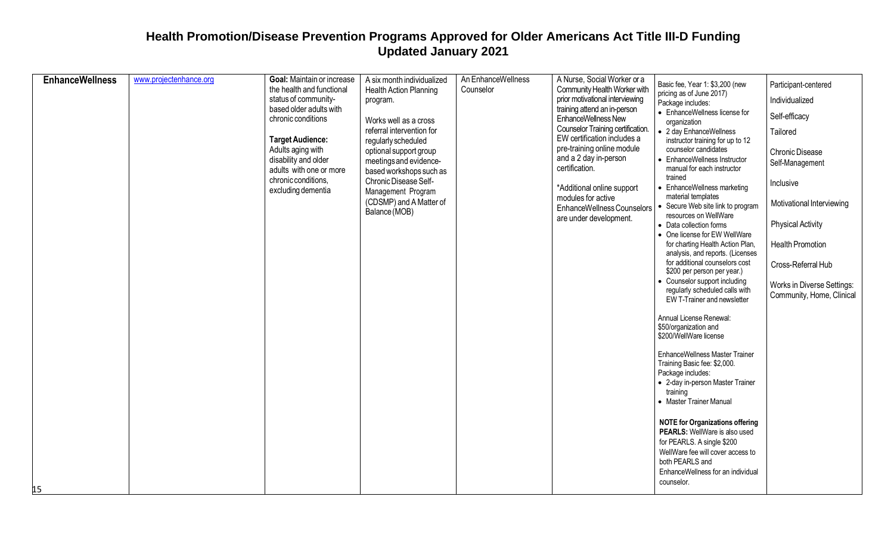| <b>EnhanceWellness</b> | www.projectenhance.org | Goal: Maintain or increase<br>the health and functional<br>status of community-<br>based older adults with<br>chronic conditions<br><b>Target Audience:</b><br>Adults aging with<br>disability and older<br>adults with one or more<br>chronic conditions,<br>excluding dementia | A six month individualized<br><b>Health Action Planning</b><br>program.<br>Works well as a cross<br>referral intervention for<br>regularly scheduled<br>optional support group<br>meetings and evidence-<br>based workshops such as<br>Chronic Disease Self-<br>Management Program<br>(CDSMP) and A Matter of<br>Balance (MOB) | An EnhanceWellness<br>Counselor | A Nurse, Social Worker or a<br>Community Health Worker with<br>prior motivational interviewing<br>training attend an in-person<br><b>EnhanceWellness New</b><br>Counselor Training certification.<br>EW certification includes a<br>pre-training online module<br>and a 2 day in-person<br>certification.<br>*Additional online support<br>modules for active<br>EnhanceWellness Counselors<br>are under development. | Basic fee, Year 1: \$3,200 (new<br>pricing as of June 2017)<br>Package includes:<br>• EnhanceWellness license for<br>organization<br>• 2 day EnhanceWellness<br>instructor training for up to 12<br>counselor candidates<br>• EnhanceWellness Instructor<br>manual for each instructor<br>trained<br>• EnhanceWellness marketing<br>material templates<br>Secure Web site link to program<br>resources on WellWare<br>• Data collection forms<br>• One license for EW WellWare<br>for charting Health Action Plan,<br>analysis, and reports. (Licenses<br>for additional counselors cost<br>\$200 per person per year.)<br>• Counselor support including<br>regularly scheduled calls with<br>EW T-Trainer and newsletter<br>Annual License Renewal:<br>\$50/organization and<br>\$200/WellWare license<br><b>EnhanceWellness Master Trainer</b><br>Training Basic fee: \$2,000.<br>Package includes: | Participant-centered<br>Individualized<br>Self-efficacy<br>Tailored<br>Chronic Disease<br>Self-Management<br>Inclusive<br>Motivational Interviewing<br><b>Physical Activity</b><br><b>Health Promotion</b><br>Cross-Referral Hub<br>Works in Diverse Settings:<br>Community, Home, Clinical |
|------------------------|------------------------|----------------------------------------------------------------------------------------------------------------------------------------------------------------------------------------------------------------------------------------------------------------------------------|--------------------------------------------------------------------------------------------------------------------------------------------------------------------------------------------------------------------------------------------------------------------------------------------------------------------------------|---------------------------------|-----------------------------------------------------------------------------------------------------------------------------------------------------------------------------------------------------------------------------------------------------------------------------------------------------------------------------------------------------------------------------------------------------------------------|-------------------------------------------------------------------------------------------------------------------------------------------------------------------------------------------------------------------------------------------------------------------------------------------------------------------------------------------------------------------------------------------------------------------------------------------------------------------------------------------------------------------------------------------------------------------------------------------------------------------------------------------------------------------------------------------------------------------------------------------------------------------------------------------------------------------------------------------------------------------------------------------------------|---------------------------------------------------------------------------------------------------------------------------------------------------------------------------------------------------------------------------------------------------------------------------------------------|
|                        |                        |                                                                                                                                                                                                                                                                                  |                                                                                                                                                                                                                                                                                                                                |                                 |                                                                                                                                                                                                                                                                                                                                                                                                                       | • 2-day in-person Master Trainer<br>training<br>• Master Trainer Manual<br><b>NOTE for Organizations offering</b>                                                                                                                                                                                                                                                                                                                                                                                                                                                                                                                                                                                                                                                                                                                                                                                     |                                                                                                                                                                                                                                                                                             |
| 15                     |                        |                                                                                                                                                                                                                                                                                  |                                                                                                                                                                                                                                                                                                                                |                                 |                                                                                                                                                                                                                                                                                                                                                                                                                       | PEARLS: WellWare is also used<br>for PEARLS. A single \$200<br>WellWare fee will cover access to<br>both PEARLS and<br>EnhanceWellness for an individual<br>counselor.                                                                                                                                                                                                                                                                                                                                                                                                                                                                                                                                                                                                                                                                                                                                |                                                                                                                                                                                                                                                                                             |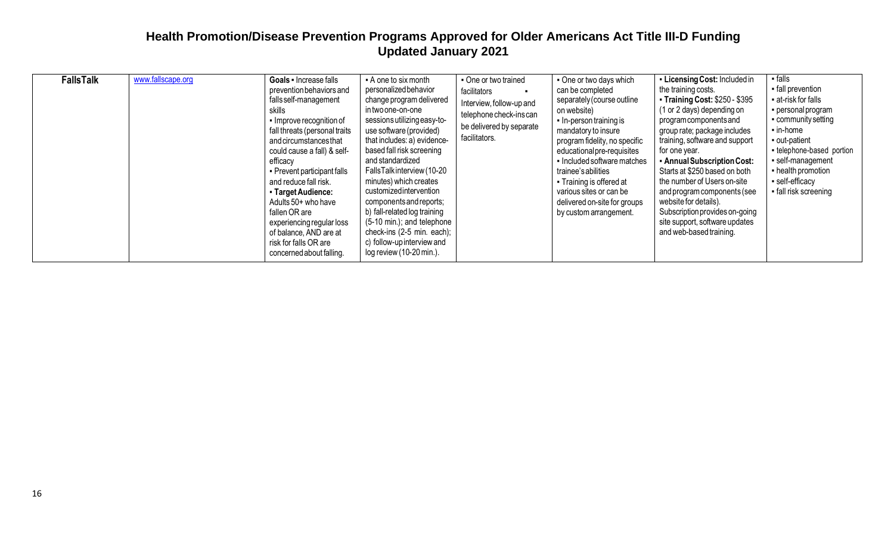| <b>FallsTalk</b> | www.fallscape.org | Goals - Increase falls<br>prevention behaviors and<br>falls self-management<br>skills<br>• Improve recognition of<br>fall threats (personal traits<br>and circumstances that<br>could cause a fall) & self-<br>efficacy<br>• Prevent participant falls<br>and reduce fall risk.<br>- Target Audience:<br>Adults 50+ who have<br>fallen OR are<br>experiencing regular loss<br>of balance, AND are at<br>risk for falls OR are<br>concerned about falling. | - A one to six month<br>personalized behavior<br>change program delivered<br>in two one-on-one<br>sessions utilizing easy-to-<br>use software (provided)<br>that includes: a) evidence-<br>based fall risk screening<br>and standardized<br>FallsTalk interview (10-20<br>minutes) which creates<br>customizedintervention<br>components and reports;<br>b) fall-related log training<br>$(5-10 \text{ min.})$ ; and telephone<br>check-ins (2-5 min. each);<br>c) follow-up interview and<br>log review (10-20 min.). | One or two trained<br>facilitators<br>Interview, follow-up and<br>telephone check-ins can<br>be delivered by separate<br>facilitators. | • One or two days which<br>can be completed<br>separately (course outline<br>on website)<br>In-person training is<br>mandatory to insure<br>program fidelity, no specific<br>educational pre-requisites<br>• Included software matches<br>trainee's abilities<br>• Training is offered at<br>various sites or can be<br>delivered on-site for groups<br>by custom arrangement. | • Licensing Cost: Included in<br>the training costs.<br><b>Training Cost: \$250 - \$395</b><br>(1 or 2 days) depending on<br>program components and<br>group rate; package includes<br>training, software and support<br>for one year.<br>- Annual Subscription Cost:<br>Starts at \$250 based on both<br>the number of Users on-site<br>and program components (see<br>website for details).<br>Subscription provides on-going<br>site support, software updates<br>and web-based training. | $-falls$<br>- fall prevention<br>at-risk for falls<br>• personal program<br>community setting<br>$\blacksquare$ in-home<br>out-patient<br>- telephone-based portion<br>· self-management<br>- health promotion<br>- self-efficacy<br>fall risk screening |
|------------------|-------------------|-----------------------------------------------------------------------------------------------------------------------------------------------------------------------------------------------------------------------------------------------------------------------------------------------------------------------------------------------------------------------------------------------------------------------------------------------------------|------------------------------------------------------------------------------------------------------------------------------------------------------------------------------------------------------------------------------------------------------------------------------------------------------------------------------------------------------------------------------------------------------------------------------------------------------------------------------------------------------------------------|----------------------------------------------------------------------------------------------------------------------------------------|--------------------------------------------------------------------------------------------------------------------------------------------------------------------------------------------------------------------------------------------------------------------------------------------------------------------------------------------------------------------------------|----------------------------------------------------------------------------------------------------------------------------------------------------------------------------------------------------------------------------------------------------------------------------------------------------------------------------------------------------------------------------------------------------------------------------------------------------------------------------------------------|----------------------------------------------------------------------------------------------------------------------------------------------------------------------------------------------------------------------------------------------------------|
|------------------|-------------------|-----------------------------------------------------------------------------------------------------------------------------------------------------------------------------------------------------------------------------------------------------------------------------------------------------------------------------------------------------------------------------------------------------------------------------------------------------------|------------------------------------------------------------------------------------------------------------------------------------------------------------------------------------------------------------------------------------------------------------------------------------------------------------------------------------------------------------------------------------------------------------------------------------------------------------------------------------------------------------------------|----------------------------------------------------------------------------------------------------------------------------------------|--------------------------------------------------------------------------------------------------------------------------------------------------------------------------------------------------------------------------------------------------------------------------------------------------------------------------------------------------------------------------------|----------------------------------------------------------------------------------------------------------------------------------------------------------------------------------------------------------------------------------------------------------------------------------------------------------------------------------------------------------------------------------------------------------------------------------------------------------------------------------------------|----------------------------------------------------------------------------------------------------------------------------------------------------------------------------------------------------------------------------------------------------------|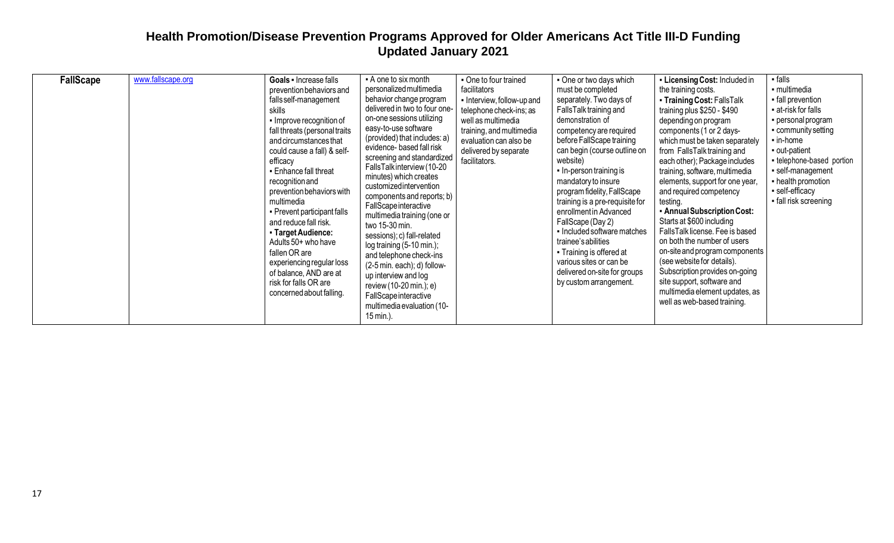| <b>FallScape</b> | www.fallscape.org | Goals - Increase falls<br>prevention behaviors and<br>falls self-management<br>skills<br>• Improve recognition of<br>fall threats (personal traits<br>and circumstances that<br>could cause a fall) & self-<br>efficacy<br>• Enhance fall threat<br>recognition and<br>prevention behaviors with<br>multimedia<br>• Prevent participant falls<br>and reduce fall risk.<br>- Target Audience:<br>Adults 50+ who have<br>fallen OR are<br>experiencing regular loss<br>of balance, AND are at<br>risk for falls OR are<br>concerned about falling. | - A one to six month<br>personalized multimedia<br>behavior change program<br>delivered in two to four one-<br>on-one sessions utilizing<br>easy-to-use software<br>(provided) that includes: a)<br>evidence- based fall risk<br>screening and standardized<br>FallsTalkinterview (10-20<br>minutes) which creates<br>customizedintervention<br>components and reports; b)<br>FallScape interactive<br>multimedia training (one or<br>two 15-30 min.<br>sessions); c) fall-related<br>$log training (5-10 min.);$<br>and telephone check-ins<br>(2-5 min. each); d) follow-<br>up interview and log<br>review (10-20 min.); e)<br>FallScape interactive<br>multimedia evaluation (10-<br>15 min.). | • One to four trained<br>facilitators<br>• Interview, follow-up and<br>telephone check-ins; as<br>well as multimedia<br>training, and multimedia<br>evaluation can also be<br>delivered by separate<br>facilitators. | • One or two days which<br>must be completed<br>separately. Two days of<br>FallsTalk training and<br>demonstration of<br>competency are required<br>before FallScape training<br>can begin (course outline on<br>website)<br>In-person training is<br>mandatory to insure<br>program fidelity, FallScape<br>training is a pre-requisite for<br>enrollment in Advanced<br>FallScape (Day 2)<br>• Included software matches<br>trainee's abilities<br>• Training is offered at<br>various sites or can be<br>delivered on-site for groups<br>by custom arrangement. | - Licensing Cost: Included in<br>the training costs.<br>• Training Cost: FallsTalk<br>training plus \$250 - \$490<br>depending on program<br>components (1 or 2 days-<br>which must be taken separately<br>from FallsTalk training and<br>each other); Package includes<br>training, software, multimedia<br>elements, support for one year<br>and required competency<br>testing.<br>• Annual Subscription Cost:<br>Starts at \$600 including<br>FallsTalk license. Fee is based<br>on both the number of users<br>on-site and program components<br>(see website for details).<br>Subscription provides on-going<br>site support, software and<br>multimedia element updates, as<br>well as web-based training. | $-$ falls<br>• multimedia<br>• fall prevention<br>at-risk for falls<br>· personal program<br>• community setting<br>$\blacksquare$ in-home<br>out-patient<br>- telephone-based portion<br>· self-management<br>- health promotion<br>• self-efficacy<br>• fall risk screening |
|------------------|-------------------|--------------------------------------------------------------------------------------------------------------------------------------------------------------------------------------------------------------------------------------------------------------------------------------------------------------------------------------------------------------------------------------------------------------------------------------------------------------------------------------------------------------------------------------------------|----------------------------------------------------------------------------------------------------------------------------------------------------------------------------------------------------------------------------------------------------------------------------------------------------------------------------------------------------------------------------------------------------------------------------------------------------------------------------------------------------------------------------------------------------------------------------------------------------------------------------------------------------------------------------------------------------|----------------------------------------------------------------------------------------------------------------------------------------------------------------------------------------------------------------------|-------------------------------------------------------------------------------------------------------------------------------------------------------------------------------------------------------------------------------------------------------------------------------------------------------------------------------------------------------------------------------------------------------------------------------------------------------------------------------------------------------------------------------------------------------------------|-------------------------------------------------------------------------------------------------------------------------------------------------------------------------------------------------------------------------------------------------------------------------------------------------------------------------------------------------------------------------------------------------------------------------------------------------------------------------------------------------------------------------------------------------------------------------------------------------------------------------------------------------------------------------------------------------------------------|-------------------------------------------------------------------------------------------------------------------------------------------------------------------------------------------------------------------------------------------------------------------------------|
|------------------|-------------------|--------------------------------------------------------------------------------------------------------------------------------------------------------------------------------------------------------------------------------------------------------------------------------------------------------------------------------------------------------------------------------------------------------------------------------------------------------------------------------------------------------------------------------------------------|----------------------------------------------------------------------------------------------------------------------------------------------------------------------------------------------------------------------------------------------------------------------------------------------------------------------------------------------------------------------------------------------------------------------------------------------------------------------------------------------------------------------------------------------------------------------------------------------------------------------------------------------------------------------------------------------------|----------------------------------------------------------------------------------------------------------------------------------------------------------------------------------------------------------------------|-------------------------------------------------------------------------------------------------------------------------------------------------------------------------------------------------------------------------------------------------------------------------------------------------------------------------------------------------------------------------------------------------------------------------------------------------------------------------------------------------------------------------------------------------------------------|-------------------------------------------------------------------------------------------------------------------------------------------------------------------------------------------------------------------------------------------------------------------------------------------------------------------------------------------------------------------------------------------------------------------------------------------------------------------------------------------------------------------------------------------------------------------------------------------------------------------------------------------------------------------------------------------------------------------|-------------------------------------------------------------------------------------------------------------------------------------------------------------------------------------------------------------------------------------------------------------------------------|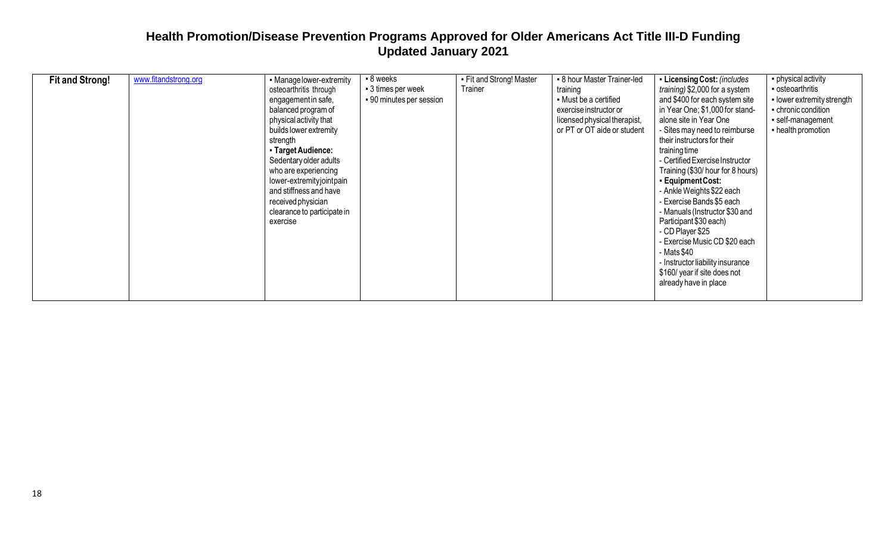| <b>Fit and Strong!</b> | www.fitandstrong.org | • Manage lower-extremity<br>osteoarthritis through<br>engagement in safe,<br>balanced program of<br>physical activity that<br>builds lower extremity<br>strength<br>- Target Audience:<br>Sedentary older adults<br>who are experiencing<br>lower-extremityjointpain<br>and stiffness and have<br>received physician<br>clearance to participate in<br>exercise | - 8 weeks<br>■ 3 times per week<br>• 90 minutes per session | - Fit and Strong! Master<br>Trainer | • 8 hour Master Trainer-led<br>training<br>• Must be a certified<br>exercise instructor or<br>licensed physical therapist,<br>or PT or OT aide or student | - Licensing Cost: (includes<br>training) \$2,000 for a system<br>and \$400 for each system site<br>in Year One; \$1,000 for stand-<br>alone site in Year One<br>- Sites may need to reimburse<br>their instructors for their<br>training time<br>- Certified Exercise Instructor<br>Training (\$30/ hour for 8 hours)<br>- Equipment Cost:<br>- Ankle Weights \$22 each<br>- Exercise Bands \$5 each<br>- Manuals (Instructor \$30 and<br>Participant \$30 each)<br>- CD Player \$25<br>- Exercise Music CD \$20 each<br>- Mats \$40<br>- Instructor liability insurance<br>\$160/ year if site does not<br>already have in place | • physical activity<br>• osteoarthritis<br>• lower extremity strength<br>- chronic condition<br>self-management<br>- health promotion |
|------------------------|----------------------|-----------------------------------------------------------------------------------------------------------------------------------------------------------------------------------------------------------------------------------------------------------------------------------------------------------------------------------------------------------------|-------------------------------------------------------------|-------------------------------------|-----------------------------------------------------------------------------------------------------------------------------------------------------------|-----------------------------------------------------------------------------------------------------------------------------------------------------------------------------------------------------------------------------------------------------------------------------------------------------------------------------------------------------------------------------------------------------------------------------------------------------------------------------------------------------------------------------------------------------------------------------------------------------------------------------------|---------------------------------------------------------------------------------------------------------------------------------------|
|------------------------|----------------------|-----------------------------------------------------------------------------------------------------------------------------------------------------------------------------------------------------------------------------------------------------------------------------------------------------------------------------------------------------------------|-------------------------------------------------------------|-------------------------------------|-----------------------------------------------------------------------------------------------------------------------------------------------------------|-----------------------------------------------------------------------------------------------------------------------------------------------------------------------------------------------------------------------------------------------------------------------------------------------------------------------------------------------------------------------------------------------------------------------------------------------------------------------------------------------------------------------------------------------------------------------------------------------------------------------------------|---------------------------------------------------------------------------------------------------------------------------------------|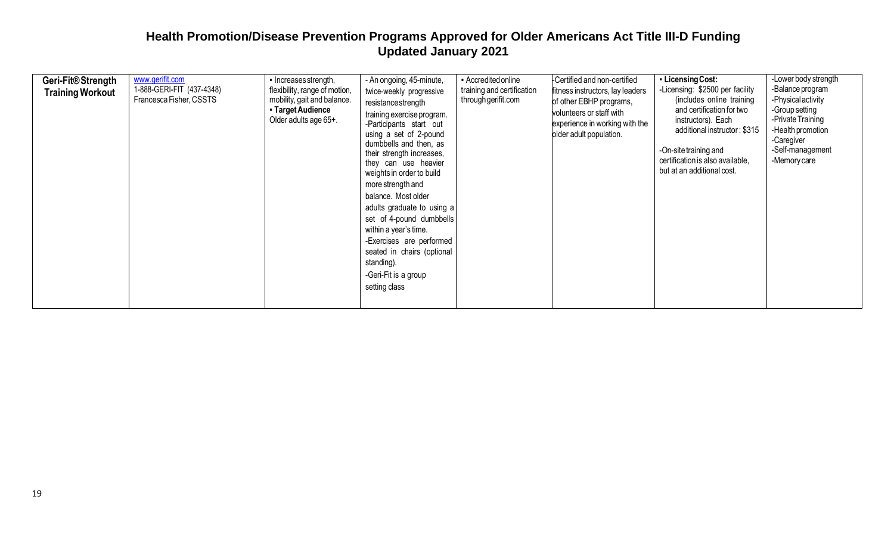| Geri-Fit <sup>®</sup> Strength<br><b>Training Workout</b> | www.gerifit.com<br>1-888-GERI-FIT (437-4348)<br>Francesca Fisher, CSSTS | • Increases strength,<br>flexibility, range of motion,<br>mobility, gait and balance.<br>• Target Audience<br>Older adults age 65+. | - An ongoing, 45-minute,<br>twice-weekly progressive<br>resistance strength<br>training exercise program.<br>-Participants start out<br>using a set of 2-pound<br>dumbbells and then, as<br>their strength increases,<br>they can use heavier<br>weights in order to build<br>more strength and<br>balance. Most older<br>adults graduate to using a<br>set of 4-pound dumbbells<br>within a year's time.<br>-Exercises are performed<br>seated in chairs (optional<br>standing).<br>-Geri-Fit is a group<br>setting class | - Accredited online<br>training and certification<br>through gerifit.com | Certified and non-certified<br>fitness instructors, lay leaders<br>of other EBHP programs,<br>volunteers or staff with<br>experience in working with the<br>older adult population. | • Licensing Cost:<br>-Licensing: \$2500 per facility<br>(includes online training<br>and certification for two<br>instructors). Each<br>additional instructor: \$315<br>-On-site training and<br>certification is also available,<br>but at an additional cost. | -Lower body strength<br>-Balance program<br>-Physical activity<br>-Group setting<br>-Private Training<br>-Health promotion<br>-Caregiver<br>-Self-management<br>-Memory care |
|-----------------------------------------------------------|-------------------------------------------------------------------------|-------------------------------------------------------------------------------------------------------------------------------------|----------------------------------------------------------------------------------------------------------------------------------------------------------------------------------------------------------------------------------------------------------------------------------------------------------------------------------------------------------------------------------------------------------------------------------------------------------------------------------------------------------------------------|--------------------------------------------------------------------------|-------------------------------------------------------------------------------------------------------------------------------------------------------------------------------------|-----------------------------------------------------------------------------------------------------------------------------------------------------------------------------------------------------------------------------------------------------------------|------------------------------------------------------------------------------------------------------------------------------------------------------------------------------|
|-----------------------------------------------------------|-------------------------------------------------------------------------|-------------------------------------------------------------------------------------------------------------------------------------|----------------------------------------------------------------------------------------------------------------------------------------------------------------------------------------------------------------------------------------------------------------------------------------------------------------------------------------------------------------------------------------------------------------------------------------------------------------------------------------------------------------------------|--------------------------------------------------------------------------|-------------------------------------------------------------------------------------------------------------------------------------------------------------------------------------|-----------------------------------------------------------------------------------------------------------------------------------------------------------------------------------------------------------------------------------------------------------------|------------------------------------------------------------------------------------------------------------------------------------------------------------------------------|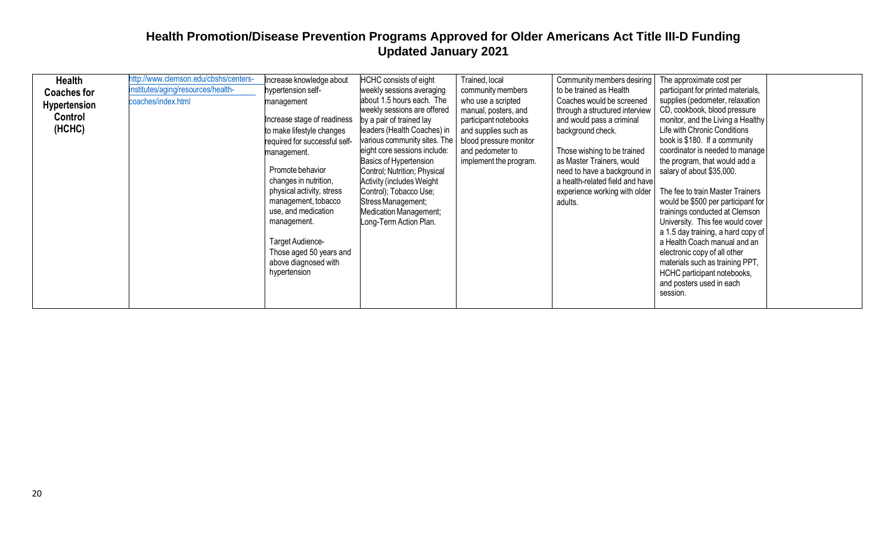| Health<br><b>Coaches for</b><br><b>Hypertension</b><br>Control<br>(HCHC) | http://www.clemson.edu/cbshs/centers-<br>institutes/aging/resources/health-<br>coaches/index.html | ncrease knowledge about<br>hypertension self-<br>management<br>ncrease stage of readiness<br>to make lifestyle changes<br>required for successful self-<br>management.<br>Promote behavior<br>changes in nutrition,<br>physical activity, stress<br>management, tobacco<br>use, and medication<br>management.<br>Target Audience-<br>Those aged 50 years and<br>above diagnosed with<br>hypertension | <b>HCHC</b> consists of eight<br>weekly sessions averaging<br>about 1.5 hours each. The<br>weekly sessions are offered<br>by a pair of trained lay<br>leaders (Health Coaches) in<br>various community sites. The<br>eight core sessions include:<br>Basics of Hypertension<br>Control; Nutrition; Physical<br><b>Activity (includes Weight)</b><br>Control); Tobacco Use;<br>Stress Management;<br>Medication Management;<br>Long-Term Action Plan. | Trained, local<br>community members<br>who use a scripted<br>manual, posters, and<br>participant notebooks<br>and supplies such as<br>blood pressure monitor<br>and pedometer to<br>implement the program. | Community members desiring<br>to be trained as Health<br>Coaches would be screened<br>through a structured interview<br>and would pass a criminal<br>background check.<br>Those wishing to be trained<br>as Master Trainers, would<br>need to have a background in<br>a health-related field and have<br>experience working with older<br>adults. | The approximate cost per<br>participant for printed materials,<br>supplies (pedometer, relaxation<br>CD, cookbook, blood pressure<br>monitor, and the Living a Healthy<br>Life with Chronic Conditions<br>book is \$180. If a community<br>coordinator is needed to manage<br>the program, that would add a<br>salary of about \$35,000.<br>The fee to train Master Trainers<br>would be \$500 per participant for<br>trainings conducted at Clemson<br>University. This fee would cover<br>a 1.5 day training, a hard copy of<br>a Health Coach manual and an<br>electronic copy of all other<br>materials such as training PPT,<br>HCHC participant notebooks,<br>and posters used in each<br>session. |  |
|--------------------------------------------------------------------------|---------------------------------------------------------------------------------------------------|------------------------------------------------------------------------------------------------------------------------------------------------------------------------------------------------------------------------------------------------------------------------------------------------------------------------------------------------------------------------------------------------------|------------------------------------------------------------------------------------------------------------------------------------------------------------------------------------------------------------------------------------------------------------------------------------------------------------------------------------------------------------------------------------------------------------------------------------------------------|------------------------------------------------------------------------------------------------------------------------------------------------------------------------------------------------------------|---------------------------------------------------------------------------------------------------------------------------------------------------------------------------------------------------------------------------------------------------------------------------------------------------------------------------------------------------|----------------------------------------------------------------------------------------------------------------------------------------------------------------------------------------------------------------------------------------------------------------------------------------------------------------------------------------------------------------------------------------------------------------------------------------------------------------------------------------------------------------------------------------------------------------------------------------------------------------------------------------------------------------------------------------------------------|--|
|--------------------------------------------------------------------------|---------------------------------------------------------------------------------------------------|------------------------------------------------------------------------------------------------------------------------------------------------------------------------------------------------------------------------------------------------------------------------------------------------------------------------------------------------------------------------------------------------------|------------------------------------------------------------------------------------------------------------------------------------------------------------------------------------------------------------------------------------------------------------------------------------------------------------------------------------------------------------------------------------------------------------------------------------------------------|------------------------------------------------------------------------------------------------------------------------------------------------------------------------------------------------------------|---------------------------------------------------------------------------------------------------------------------------------------------------------------------------------------------------------------------------------------------------------------------------------------------------------------------------------------------------|----------------------------------------------------------------------------------------------------------------------------------------------------------------------------------------------------------------------------------------------------------------------------------------------------------------------------------------------------------------------------------------------------------------------------------------------------------------------------------------------------------------------------------------------------------------------------------------------------------------------------------------------------------------------------------------------------------|--|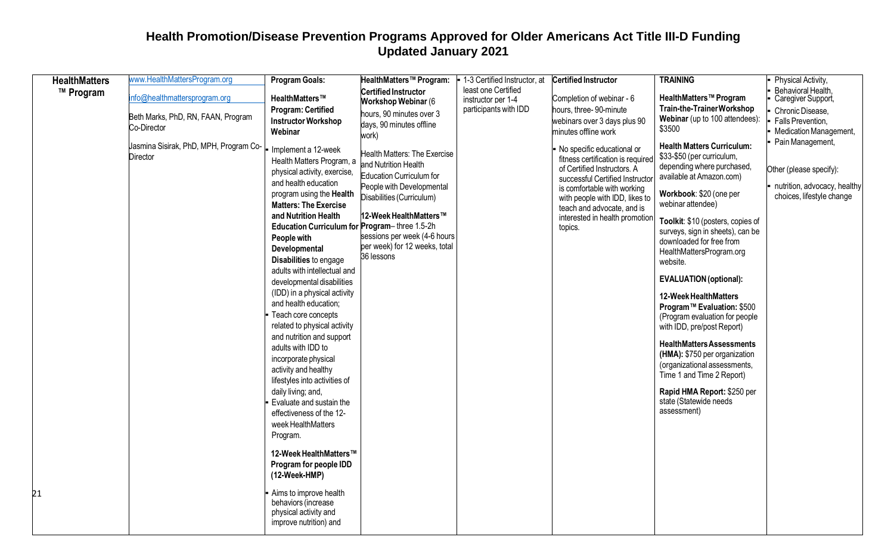| <b>HealthMatters</b> | www.HealthMattersProgram.org                       | <b>Program Goals:</b>                                                                                                                                                                                                                                                                                                                                                                                                                                                                                              | HealthMatters™ Program:                                                                                                                                                                                                                             | - 1-3 Certified Instructor, at | <b>Certified Instructor</b>                                                                                                                                                                                                                                                   | <b>TRAINING</b>                                                                                                                                                                                                                                                                                                                                                                                                                                                                | Physical Activity,                                                                                       |
|----------------------|----------------------------------------------------|--------------------------------------------------------------------------------------------------------------------------------------------------------------------------------------------------------------------------------------------------------------------------------------------------------------------------------------------------------------------------------------------------------------------------------------------------------------------------------------------------------------------|-----------------------------------------------------------------------------------------------------------------------------------------------------------------------------------------------------------------------------------------------------|--------------------------------|-------------------------------------------------------------------------------------------------------------------------------------------------------------------------------------------------------------------------------------------------------------------------------|--------------------------------------------------------------------------------------------------------------------------------------------------------------------------------------------------------------------------------------------------------------------------------------------------------------------------------------------------------------------------------------------------------------------------------------------------------------------------------|----------------------------------------------------------------------------------------------------------|
| ™ Program            |                                                    |                                                                                                                                                                                                                                                                                                                                                                                                                                                                                                                    | Certified Instructor                                                                                                                                                                                                                                | least one Certified            |                                                                                                                                                                                                                                                                               |                                                                                                                                                                                                                                                                                                                                                                                                                                                                                | Behavioral Health,                                                                                       |
|                      | nfo@healthmattersprogram.org                       | HealthMatters™                                                                                                                                                                                                                                                                                                                                                                                                                                                                                                     | Workshop Webinar (6                                                                                                                                                                                                                                 | instructor per 1-4             | Completion of webinar - 6                                                                                                                                                                                                                                                     | HealthMatters <sup>™</sup> Program                                                                                                                                                                                                                                                                                                                                                                                                                                             | Caregiver Support,                                                                                       |
|                      | Beth Marks, PhD, RN, FAAN, Program                 | <b>Program: Certified</b>                                                                                                                                                                                                                                                                                                                                                                                                                                                                                          | hours, 90 minutes over 3                                                                                                                                                                                                                            | participants with IDD          | hours, three-90-minute                                                                                                                                                                                                                                                        | Train-the-TrainerWorkshop                                                                                                                                                                                                                                                                                                                                                                                                                                                      | Chronic Disease,                                                                                         |
|                      | Co-Director                                        | <b>Instructor Workshop</b>                                                                                                                                                                                                                                                                                                                                                                                                                                                                                         | days, 90 minutes offline                                                                                                                                                                                                                            |                                | webinars over 3 days plus 90                                                                                                                                                                                                                                                  | Webinar (up to 100 attendees):<br>\$3500                                                                                                                                                                                                                                                                                                                                                                                                                                       | Falls Prevention,                                                                                        |
|                      |                                                    | Webinar                                                                                                                                                                                                                                                                                                                                                                                                                                                                                                            | work)                                                                                                                                                                                                                                               |                                | minutes offline work                                                                                                                                                                                                                                                          |                                                                                                                                                                                                                                                                                                                                                                                                                                                                                | <b>Medication Management,</b>                                                                            |
|                      | Jasmina Sisirak, PhD, MPH, Program Co-<br>Director | Implement a 12-week<br>Health Matters Program, a<br>physical activity, exercise,<br>and health education<br>program using the Health<br><b>Matters: The Exercise</b><br>and Nutrition Health<br>Education Curriculum for Program-three 1.5-2h<br>People with<br>Developmental<br>Disabilities to engage<br>adults with intellectual and<br>developmental disabilities<br>(IDD) in a physical activity<br>and health education;<br>Teach core concepts<br>related to physical activity<br>and nutrition and support | Health Matters: The Exercise<br>and Nutrition Health<br>Education Curriculum for<br>People with Developmental<br>Disabilities (Curriculum)<br>12-Week HealthMatters™<br>sessions per week (4-6 hours<br>per week) for 12 weeks, total<br>36 lessons |                                | No specific educational or<br>fitness certification is required<br>of Certified Instructors. A<br>successful Certified Instructor<br>is comfortable with working<br>with people with IDD, likes to<br>teach and advocate, and is<br>interested in health promotion<br>topics. | <b>Health Matters Curriculum:</b><br>\$33-\$50 (per curriculum,<br>depending where purchased,<br>available at Amazon.com)<br>Workbook: \$20 (one per<br>webinar attendee)<br>Toolkit: \$10 (posters, copies of<br>surveys, sign in sheets), can be<br>downloaded for free from<br>HealthMattersProgram.org<br>website.<br><b>EVALUATION</b> (optional):<br>12-Week HealthMatters<br>Program™ Evaluation: \$500<br>(Program evaluation for people<br>with IDD, pre/post Report) | Pain Management,<br>Other (please specify):<br>nutrition, advocacy, healthy<br>choices, lifestyle change |
|                      |                                                    | adults with IDD to<br>incorporate physical<br>activity and healthy<br>lifestyles into activities of<br>daily living; and,<br>Evaluate and sustain the<br>effectiveness of the 12-<br>week HealthMatters<br>Program.<br>12-Week HealthMatters™<br>Program for people IDD<br>(12-Week-HMP)                                                                                                                                                                                                                           |                                                                                                                                                                                                                                                     |                                |                                                                                                                                                                                                                                                                               | <b>HealthMatters Assessments</b><br>(HMA): \$750 per organization<br>(organizational assessments,<br>Time 1 and Time 2 Report)<br>Rapid HMA Report: \$250 per<br>state (Statewide needs<br>assessment)                                                                                                                                                                                                                                                                         |                                                                                                          |
| 21                   |                                                    | Aims to improve health<br>behaviors (increase<br>physical activity and<br>improve nutrition) and                                                                                                                                                                                                                                                                                                                                                                                                                   |                                                                                                                                                                                                                                                     |                                |                                                                                                                                                                                                                                                                               |                                                                                                                                                                                                                                                                                                                                                                                                                                                                                |                                                                                                          |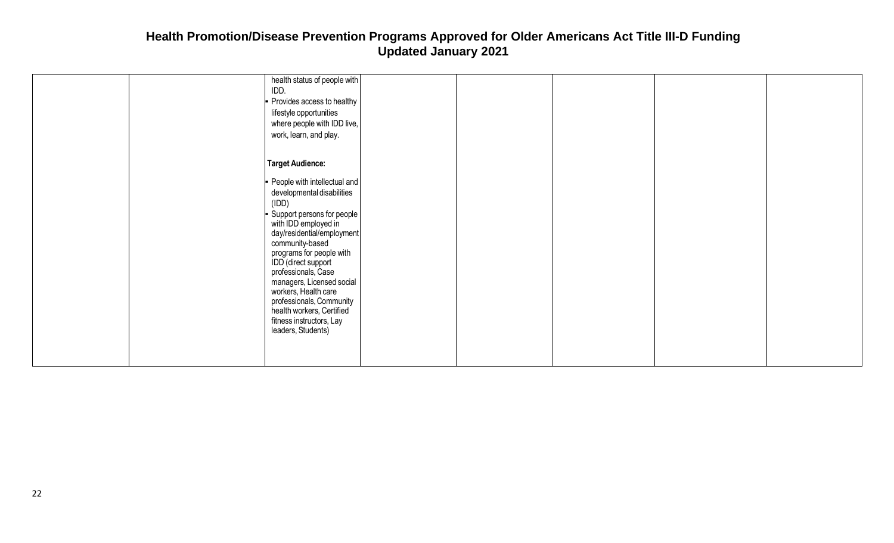| health status of people with<br>IDD.<br>- Provides access to healthy<br>lifestyle opportunities<br>where people with IDD live,<br>work, learn, and play.                                                                                                                                                                                                                                                                 |  |  |
|--------------------------------------------------------------------------------------------------------------------------------------------------------------------------------------------------------------------------------------------------------------------------------------------------------------------------------------------------------------------------------------------------------------------------|--|--|
| Target Audience:                                                                                                                                                                                                                                                                                                                                                                                                         |  |  |
| - People with intellectual and<br>developmental disabilities<br>(IDD)<br>- Support persons for people<br>with IDD employed in<br>day/residential/employment<br>community-based<br>programs for people with<br>IDD (direct support<br>professionals, Case<br>managers, Licensed social<br>workers, Health care<br>professionals, Community<br>health workers, Certified<br>fitness instructors, Lay<br>leaders, Students) |  |  |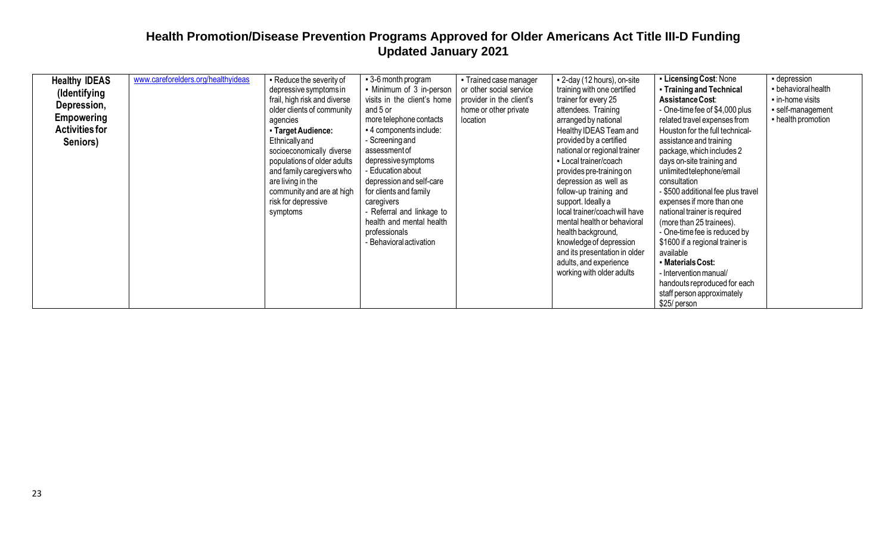| <b>Healthy IDEAS</b><br>(Identifying<br>Depression,<br><b>Empowering</b><br><b>Activities for</b><br>Seniors) | www.careforelders.org/healthyideas | - Reduce the severity of<br>depressive symptoms in<br>frail, high risk and diverse<br>older clients of community<br>agencies<br>- Target Audience:<br><b>Ethnically and</b><br>socioeconomically diverse<br>populations of older adults<br>and family caregivers who<br>are living in the<br>community and are at high<br>risk for depressive<br>symptoms | • 3-6 month program<br>• Minimum of 3 in-person<br>visits in the client's home<br>and 5 or<br>more telephone contacts<br>- 4 components include:<br>- Screening and<br>assessment of<br>depressive symptoms<br>- Education about<br>depression and self-care<br>for clients and family<br>caregivers<br>- Referral and linkage to<br>health and mental health<br>professionals<br>Behavioral activation | • Trained case manager<br>or other social service<br>provider in the client's<br>home or other private<br>location | - 2-day (12 hours), on-site<br>training with one certified<br>trainer for every 25<br>attendees. Training<br>arranged by national<br>Healthy IDEAS Team and<br>provided by a certified<br>national or regional trainer<br>- Local trainer/coach<br>provides pre-training on<br>depression as well as<br>follow-up training and<br>support. Ideally a<br>local trainer/coach will have<br>mental health or behavioral<br>health background,<br>knowledge of depression<br>and its presentation in older<br>adults, and experience<br>working with older adults | • Licensing Cost: None<br>- Training and Technical<br>Assistance Cost:<br>- One-time fee of \$4,000 plus<br>related travel expenses from<br>Houston for the full technical-<br>assistance and training<br>package, which includes 2<br>days on-site training and<br>unlimited telephone/email<br>consultation<br>- \$500 additional fee plus travel<br>expenses if more than one<br>national trainer is required<br>(more than 25 trainees).<br>- One-time fee is reduced by<br>\$1600 if a regional trainer is<br>available<br>• Materials Cost:<br>- Intervention manual/<br>handouts reproduced for each<br>staff person approximately<br>\$25/ person | - depression<br>- behavioral health<br>in-home visits<br>· self-management<br>- health promotion |
|---------------------------------------------------------------------------------------------------------------|------------------------------------|-----------------------------------------------------------------------------------------------------------------------------------------------------------------------------------------------------------------------------------------------------------------------------------------------------------------------------------------------------------|---------------------------------------------------------------------------------------------------------------------------------------------------------------------------------------------------------------------------------------------------------------------------------------------------------------------------------------------------------------------------------------------------------|--------------------------------------------------------------------------------------------------------------------|---------------------------------------------------------------------------------------------------------------------------------------------------------------------------------------------------------------------------------------------------------------------------------------------------------------------------------------------------------------------------------------------------------------------------------------------------------------------------------------------------------------------------------------------------------------|-----------------------------------------------------------------------------------------------------------------------------------------------------------------------------------------------------------------------------------------------------------------------------------------------------------------------------------------------------------------------------------------------------------------------------------------------------------------------------------------------------------------------------------------------------------------------------------------------------------------------------------------------------------|--------------------------------------------------------------------------------------------------|
|---------------------------------------------------------------------------------------------------------------|------------------------------------|-----------------------------------------------------------------------------------------------------------------------------------------------------------------------------------------------------------------------------------------------------------------------------------------------------------------------------------------------------------|---------------------------------------------------------------------------------------------------------------------------------------------------------------------------------------------------------------------------------------------------------------------------------------------------------------------------------------------------------------------------------------------------------|--------------------------------------------------------------------------------------------------------------------|---------------------------------------------------------------------------------------------------------------------------------------------------------------------------------------------------------------------------------------------------------------------------------------------------------------------------------------------------------------------------------------------------------------------------------------------------------------------------------------------------------------------------------------------------------------|-----------------------------------------------------------------------------------------------------------------------------------------------------------------------------------------------------------------------------------------------------------------------------------------------------------------------------------------------------------------------------------------------------------------------------------------------------------------------------------------------------------------------------------------------------------------------------------------------------------------------------------------------------------|--------------------------------------------------------------------------------------------------|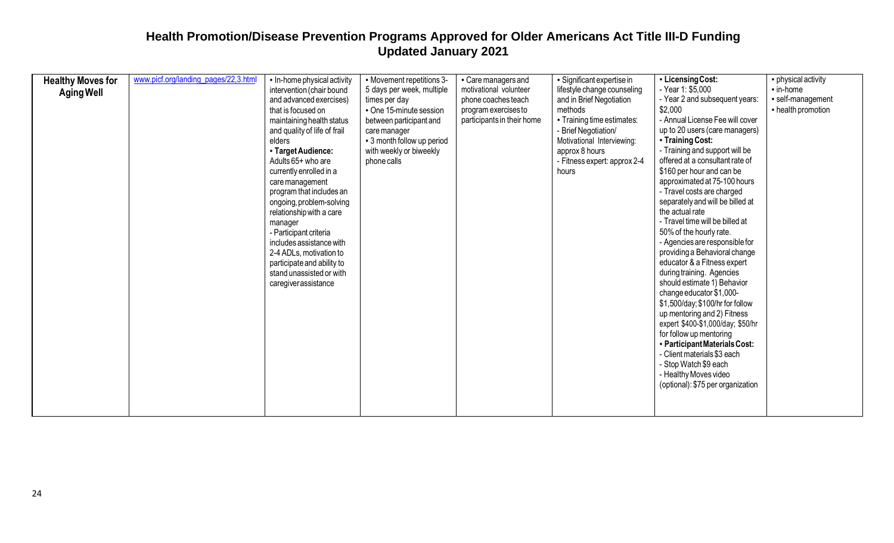| <b>Healthy Moves for</b> | www.picf.org/landing_pages/22,3.html | - In-home physical activity  | - Movement repetitions 3-  | • Care managers and        | - Significant expertise in   | - Licensing Cost:                 | • physical activity    |
|--------------------------|--------------------------------------|------------------------------|----------------------------|----------------------------|------------------------------|-----------------------------------|------------------------|
|                          |                                      | intervention (chair bound    | 5 days per week, multiple  | motivational volunteer     | lifestyle change counseling  | - Year 1: \$5,000                 | $\blacksquare$ in-home |
| <b>Aging Well</b>        |                                      | and advanced exercises)      | times per day              | phone coaches teach        | and in Brief Negotiation     | - Year 2 and subsequent years:    | · self-management      |
|                          |                                      | that is focused on           | • One 15-minute session    | program exercises to       | methods                      | \$2,000                           | - health promotion     |
|                          |                                      | maintaining health status    | between participant and    | participants in their home | • Training time estimates:   | - Annual License Fee will cover   |                        |
|                          |                                      | and quality of life of frail | care manager               |                            | - Brief Negotiation/         | up to 20 users (care managers)    |                        |
|                          |                                      | elders                       | - 3 month follow up period |                            | Motivational Interviewing:   | • Training Cost:                  |                        |
|                          |                                      | - Target Audience:           | with weekly or biweekly    |                            | approx 8 hours               | - Training and support will be    |                        |
|                          |                                      | Adults 65+ who are           | phone calls                |                            | - Fitness expert: approx 2-4 | offered at a consultant rate of   |                        |
|                          |                                      | currently enrolled in a      |                            |                            | hours                        | \$160 per hour and can be         |                        |
|                          |                                      | care management              |                            |                            |                              | approximated at 75-100 hours      |                        |
|                          |                                      | program that includes an     |                            |                            |                              | - Travel costs are charged        |                        |
|                          |                                      | ongoing, problem-solving     |                            |                            |                              | separately and will be billed at  |                        |
|                          |                                      | relationship with a care     |                            |                            |                              | the actual rate                   |                        |
|                          |                                      | manager                      |                            |                            |                              | - Travel time will be billed at   |                        |
|                          |                                      | - Participant criteria       |                            |                            |                              | 50% of the hourly rate.           |                        |
|                          |                                      | includes assistance with     |                            |                            |                              | - Agencies are responsible for    |                        |
|                          |                                      | 2-4 ADLs, motivation to      |                            |                            |                              | providing a Behavioral change     |                        |
|                          |                                      | participate and ability to   |                            |                            |                              | educator & a Fitness expert       |                        |
|                          |                                      | stand unassisted or with     |                            |                            |                              | during training. Agencies         |                        |
|                          |                                      | caregiverassistance          |                            |                            |                              | should estimate 1) Behavior       |                        |
|                          |                                      |                              |                            |                            |                              | change educator \$1,000-          |                        |
|                          |                                      |                              |                            |                            |                              | \$1,500/day; \$100/hr for follow  |                        |
|                          |                                      |                              |                            |                            |                              | up mentoring and 2) Fitness       |                        |
|                          |                                      |                              |                            |                            |                              | expert \$400-\$1,000/day; \$50/hr |                        |
|                          |                                      |                              |                            |                            |                              | for follow up mentoring           |                        |
|                          |                                      |                              |                            |                            |                              | - Participant Materials Cost:     |                        |
|                          |                                      |                              |                            |                            |                              | - Client materials \$3 each       |                        |
|                          |                                      |                              |                            |                            |                              | - Stop Watch \$9 each             |                        |
|                          |                                      |                              |                            |                            |                              | - Healthy Moves video             |                        |
|                          |                                      |                              |                            |                            |                              | (optional): \$75 per organization |                        |
|                          |                                      |                              |                            |                            |                              |                                   |                        |
|                          |                                      |                              |                            |                            |                              |                                   |                        |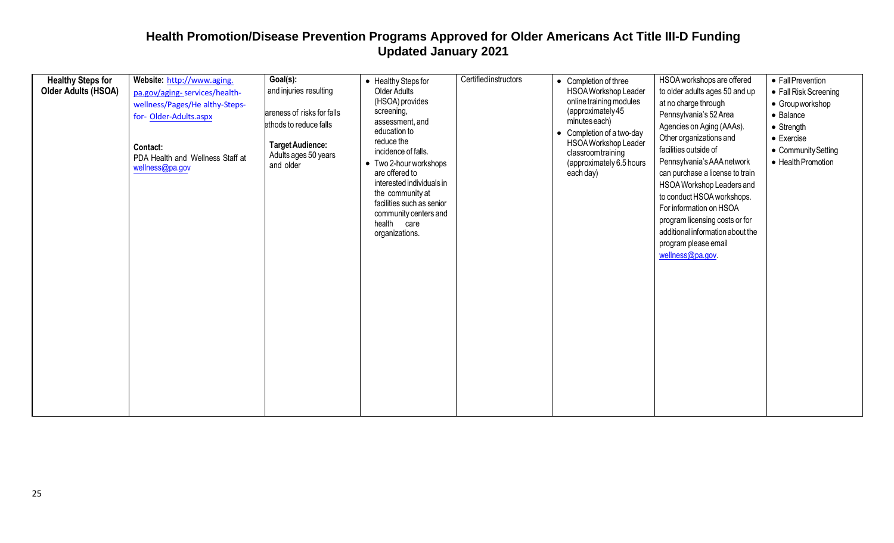| <b>Healthy Steps for</b>   | Website: http://www.aging.                                                               | Goal(s):                                                                               | • Healthy Steps for                                                                                                                                                                                                                   | Certified instructors | • Completion of three                                                                                            | HSOA workshops are offered                                                                                                                                                                                                                                                                                                                             | • Fall Prevention                                                                     |
|----------------------------|------------------------------------------------------------------------------------------|----------------------------------------------------------------------------------------|---------------------------------------------------------------------------------------------------------------------------------------------------------------------------------------------------------------------------------------|-----------------------|------------------------------------------------------------------------------------------------------------------|--------------------------------------------------------------------------------------------------------------------------------------------------------------------------------------------------------------------------------------------------------------------------------------------------------------------------------------------------------|---------------------------------------------------------------------------------------|
| <b>Older Adults (HSOA)</b> | pa.gov/aging-services/health-<br>wellness/Pages/He althy-Steps-<br>for-Older-Adults.aspx | and injuries resulting<br>areness of risks for falls                                   | <b>Older Adults</b><br>(HSOA) provides<br>screening,<br>assessment, and                                                                                                                                                               |                       | HSOA Workshop Leader<br>online training modules<br>(approximately 45<br>minutes each)                            | to older adults ages 50 and up<br>at no charge through<br>Pennsylvania's 52 Area                                                                                                                                                                                                                                                                       | • Fall Risk Screening<br>• Group workshop<br>• Balance                                |
|                            | Contact:<br>PDA Health and Wellness Staff at<br>wellness@pa.gov                          | ethods to reduce falls<br><b>Target Audience:</b><br>Adults ages 50 years<br>and older | education to<br>reduce the<br>incidence of falls.<br>• Two 2-hour workshops<br>are offered to<br>interested individuals in<br>the community at<br>facilities such as senior<br>community centers and<br>health care<br>organizations. |                       | • Completion of a two-day<br>HSOA Workshop Leader<br>classroomtraining<br>(approximately 6.5 hours)<br>each day) | Agencies on Aging (AAAs).<br>Other organizations and<br>facilities outside of<br>Pennsylvania's AAA network<br>can purchase a license to train<br>HSOA Workshop Leaders and<br>to conduct HSOA workshops.<br>For information on HSOA<br>program licensing costs or for<br>additional information about the<br>program please email<br>wellness@pa.gov. | $\bullet$ Strength<br>$\bullet$ Exercise<br>• Community Setting<br>• Health Promotion |
|                            |                                                                                          |                                                                                        |                                                                                                                                                                                                                                       |                       |                                                                                                                  |                                                                                                                                                                                                                                                                                                                                                        |                                                                                       |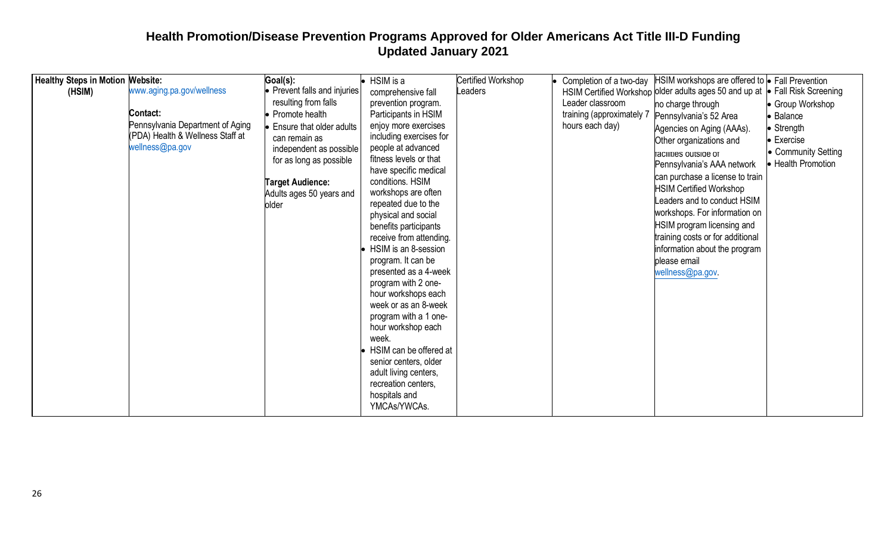| <b>Healthy Steps in Motion Website:</b> |                                  | Goal(s):                           | $\bullet$ HSIM is a         | <b>Certified Workshop</b> |                           | Completion of a two-day HSIM workshops are offered to $\bullet$ Fall Prevention |                       |
|-----------------------------------------|----------------------------------|------------------------------------|-----------------------------|---------------------------|---------------------------|---------------------------------------------------------------------------------|-----------------------|
| (HSIM)                                  | www.aging.pa.gov/wellness        | • Prevent falls and injuries       | comprehensive fall          | Leaders                   |                           | HSIM Certified Workshop older adults ages 50 and up at                          | • Fall Risk Screening |
|                                         |                                  | resulting from falls               | prevention program.         |                           | Leader classroom          | no charge through                                                               | • Group Workshop      |
|                                         | Contact:                         | • Promote health                   | Participants in HSIM        |                           | training (approximately 7 | Pennsylvania's 52 Area                                                          | • Balance             |
|                                         | Pennsylvania Department of Aging | $\bullet$ Ensure that older adults | enjoy more exercises        |                           | hours each day)           | Agencies on Aging (AAAs).                                                       | • Strength            |
|                                         | (PDA) Health & Wellness Staff at | can remain as                      | including exercises for     |                           |                           |                                                                                 | $\bullet$ Exercise    |
|                                         | wellness@pa.gov                  | independent as possible            | people at advanced          |                           |                           | Other organizations and                                                         |                       |
|                                         |                                  | for as long as possible            | fitness levels or that      |                           |                           | racilities outside of                                                           | • Community Setting   |
|                                         |                                  |                                    | have specific medical       |                           |                           | Pennsylvania's AAA network                                                      | • Health Promotion    |
|                                         |                                  | <b>Target Audience:</b>            | conditions. HSIM            |                           |                           | can purchase a license to train                                                 |                       |
|                                         |                                  | Adults ages 50 years and           | workshops are often         |                           |                           | <b>HSIM Certified Workshop</b>                                                  |                       |
|                                         |                                  | older                              | repeated due to the         |                           |                           | Leaders and to conduct HSIM                                                     |                       |
|                                         |                                  |                                    | physical and social         |                           |                           | workshops. For information on                                                   |                       |
|                                         |                                  |                                    | benefits participants       |                           |                           | HSIM program licensing and                                                      |                       |
|                                         |                                  |                                    | receive from attending.     |                           |                           | training costs or for additional                                                |                       |
|                                         |                                  |                                    | HSIM is an 8-session        |                           |                           | information about the program                                                   |                       |
|                                         |                                  |                                    | program. It can be          |                           |                           | please email                                                                    |                       |
|                                         |                                  |                                    | presented as a 4-week       |                           |                           | wellness@pa.gov.                                                                |                       |
|                                         |                                  |                                    | program with 2 one-         |                           |                           |                                                                                 |                       |
|                                         |                                  |                                    | hour workshops each         |                           |                           |                                                                                 |                       |
|                                         |                                  |                                    | week or as an 8-week        |                           |                           |                                                                                 |                       |
|                                         |                                  |                                    | program with a 1 one-       |                           |                           |                                                                                 |                       |
|                                         |                                  |                                    | hour workshop each<br>week. |                           |                           |                                                                                 |                       |
|                                         |                                  |                                    | HSIM can be offered at      |                           |                           |                                                                                 |                       |
|                                         |                                  |                                    | senior centers, older       |                           |                           |                                                                                 |                       |
|                                         |                                  |                                    | adult living centers,       |                           |                           |                                                                                 |                       |
|                                         |                                  |                                    | recreation centers,         |                           |                           |                                                                                 |                       |
|                                         |                                  |                                    | hospitals and               |                           |                           |                                                                                 |                       |
|                                         |                                  |                                    | YMCAs/YWCAs.                |                           |                           |                                                                                 |                       |
|                                         |                                  |                                    |                             |                           |                           |                                                                                 |                       |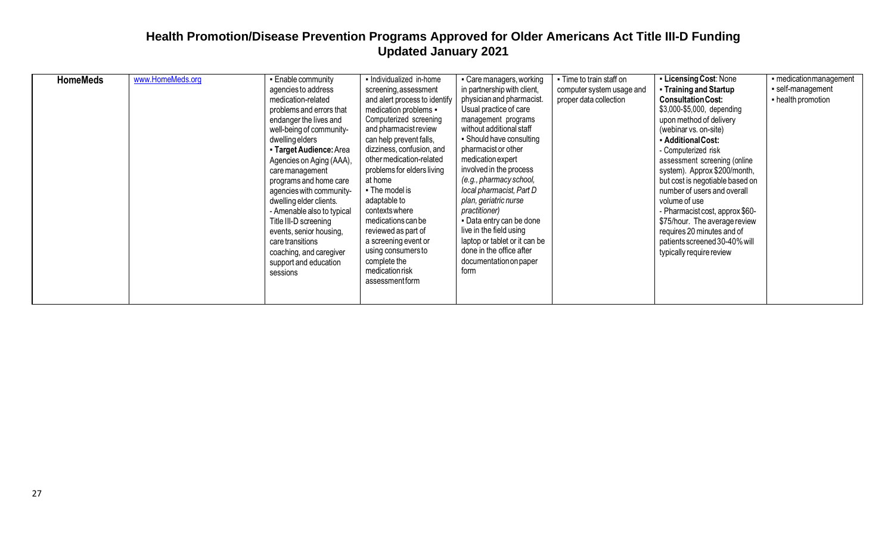| <b>HomeMeds</b> | www.HomeMeds.org | • Enable community<br>agencies to address<br>medication-related<br>problems and errors that<br>endanger the lives and<br>well-being of community-<br>dwelling elders<br>- Target Audience: Area<br>Agencies on Aging (AAA),<br>care management<br>programs and home care<br>agencies with community-<br>dwelling elder clients.<br>- Amenable also to typical<br>Title III-D screening<br>events, senior housing,<br>care transitions<br>coaching, and caregiver<br>support and education<br>sessions | - Individualized in-home<br>screening, assessment<br>and alert process to identify<br>medication problems -<br>Computerized screening<br>and pharmacist review<br>can help prevent falls,<br>dizziness, confusion, and<br>other medication-related<br>problems for elders living<br>at home<br>• The model is<br>adaptable to<br>contexts where<br>medications can be<br>reviewed as part of<br>a screening event or<br>using consumers to<br>complete the<br>medication risk<br>assessmentform | • Care managers, working<br>in partnership with client,<br>physician and pharmacist.<br>Usual practice of care<br>management programs<br>without additional staff<br>• Should have consulting<br>pharmacist or other<br>medication expert<br>involved in the process<br>(e.g., pharmacy school,<br>local pharmacist, Part D<br>plan, geriatric nurse<br>practitioner)<br>- Data entry can be done<br>live in the field using<br>laptop or tablet or it can be<br>done in the office after<br>documentation on paper<br>form | . Time to train staff on<br>computer system usage and<br>proper data collection | • Licensing Cost: None<br>• Training and Startup<br><b>Consultation Cost:</b><br>\$3,000-\$5,000, depending<br>upon method of delivery<br>(webinar vs. on-site)<br>- Additional Cost:<br>- Computerized risk<br>assessment screening (online<br>system). Approx \$200/month,<br>but cost is negotiable based on<br>number of users and overall<br>volume of use<br>- Pharmacist cost, approx \$60-<br>\$75/hour. The average review<br>requires 20 minutes and of<br>patients screened 30-40% will<br>typically require review | - medication management<br>self-management<br>- health promotion |
|-----------------|------------------|-------------------------------------------------------------------------------------------------------------------------------------------------------------------------------------------------------------------------------------------------------------------------------------------------------------------------------------------------------------------------------------------------------------------------------------------------------------------------------------------------------|-------------------------------------------------------------------------------------------------------------------------------------------------------------------------------------------------------------------------------------------------------------------------------------------------------------------------------------------------------------------------------------------------------------------------------------------------------------------------------------------------|-----------------------------------------------------------------------------------------------------------------------------------------------------------------------------------------------------------------------------------------------------------------------------------------------------------------------------------------------------------------------------------------------------------------------------------------------------------------------------------------------------------------------------|---------------------------------------------------------------------------------|--------------------------------------------------------------------------------------------------------------------------------------------------------------------------------------------------------------------------------------------------------------------------------------------------------------------------------------------------------------------------------------------------------------------------------------------------------------------------------------------------------------------------------|------------------------------------------------------------------|
|-----------------|------------------|-------------------------------------------------------------------------------------------------------------------------------------------------------------------------------------------------------------------------------------------------------------------------------------------------------------------------------------------------------------------------------------------------------------------------------------------------------------------------------------------------------|-------------------------------------------------------------------------------------------------------------------------------------------------------------------------------------------------------------------------------------------------------------------------------------------------------------------------------------------------------------------------------------------------------------------------------------------------------------------------------------------------|-----------------------------------------------------------------------------------------------------------------------------------------------------------------------------------------------------------------------------------------------------------------------------------------------------------------------------------------------------------------------------------------------------------------------------------------------------------------------------------------------------------------------------|---------------------------------------------------------------------------------|--------------------------------------------------------------------------------------------------------------------------------------------------------------------------------------------------------------------------------------------------------------------------------------------------------------------------------------------------------------------------------------------------------------------------------------------------------------------------------------------------------------------------------|------------------------------------------------------------------|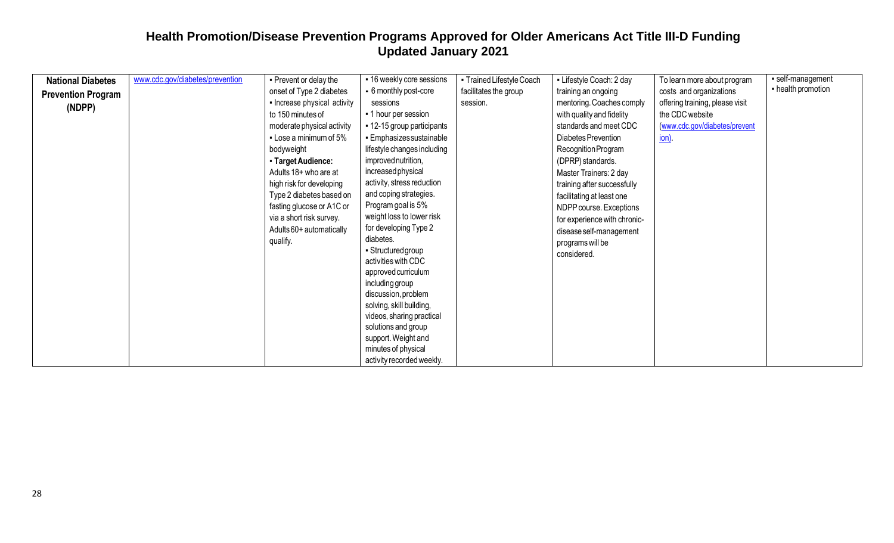| <b>National Diabetes</b>  | www.cdc.gov/diabetes/prevention | - Prevent or delay the       | - 16 weekly core sessions                 | • Trained Lifestyle Coach | - Lifestyle Coach: 2 day     | To learn more about program     | self-management    |
|---------------------------|---------------------------------|------------------------------|-------------------------------------------|---------------------------|------------------------------|---------------------------------|--------------------|
| <b>Prevention Program</b> |                                 | onset of Type 2 diabetes     | - 6 monthly post-core                     | facilitates the group     | training an ongoing          | costs and organizations         | - health promotion |
| (NDPP)                    |                                 | - Increase physical activity | sessions                                  | session.                  | mentoring. Coaches comply    | offering training, please visit |                    |
|                           |                                 | to 150 minutes of            | • 1 hour per session                      |                           | with quality and fidelity    | the CDC website                 |                    |
|                           |                                 | moderate physical activity   | ■ 12-15 group participants                |                           | standards and meet CDC       | (www.cdc.gov/diabetes/prevent   |                    |
|                           |                                 | • Lose a minimum of 5%       | • Emphasizes sustainable                  |                           | Diabetes Prevention          | <u>ion</u>                      |                    |
|                           |                                 | bodyweight                   | lifestyle changes including               |                           | Recognition Program          |                                 |                    |
|                           |                                 | - Target Audience:           | improved nutrition,                       |                           | (DPRP) standards.            |                                 |                    |
|                           |                                 | Adults 18+ who are at        | increased physical                        |                           | Master Trainers: 2 day       |                                 |                    |
|                           |                                 | high risk for developing     | activity, stress reduction                |                           | training after successfully  |                                 |                    |
|                           |                                 | Type 2 diabetes based on     | and coping strategies.                    |                           | facilitating at least one    |                                 |                    |
|                           |                                 | fasting glucose or A1C or    | Program goal is 5%                        |                           | NDPP course. Exceptions      |                                 |                    |
|                           |                                 | via a short risk survey.     | weight loss to lower risk                 |                           | for experience with chronic- |                                 |                    |
|                           |                                 | Adults 60+ automatically     | for developing Type 2                     |                           | disease self-management      |                                 |                    |
|                           |                                 | qualify.                     | diabetes.                                 |                           | programs will be             |                                 |                    |
|                           |                                 |                              | • Structured group<br>activities with CDC |                           | considered.                  |                                 |                    |
|                           |                                 |                              |                                           |                           |                              |                                 |                    |
|                           |                                 |                              | approved curriculum<br>including group    |                           |                              |                                 |                    |
|                           |                                 |                              | discussion, problem                       |                           |                              |                                 |                    |
|                           |                                 |                              | solving, skill building,                  |                           |                              |                                 |                    |
|                           |                                 |                              | videos, sharing practical                 |                           |                              |                                 |                    |
|                           |                                 |                              | solutions and group                       |                           |                              |                                 |                    |
|                           |                                 |                              | support. Weight and                       |                           |                              |                                 |                    |
|                           |                                 |                              | minutes of physical                       |                           |                              |                                 |                    |
|                           |                                 |                              | activity recorded weekly.                 |                           |                              |                                 |                    |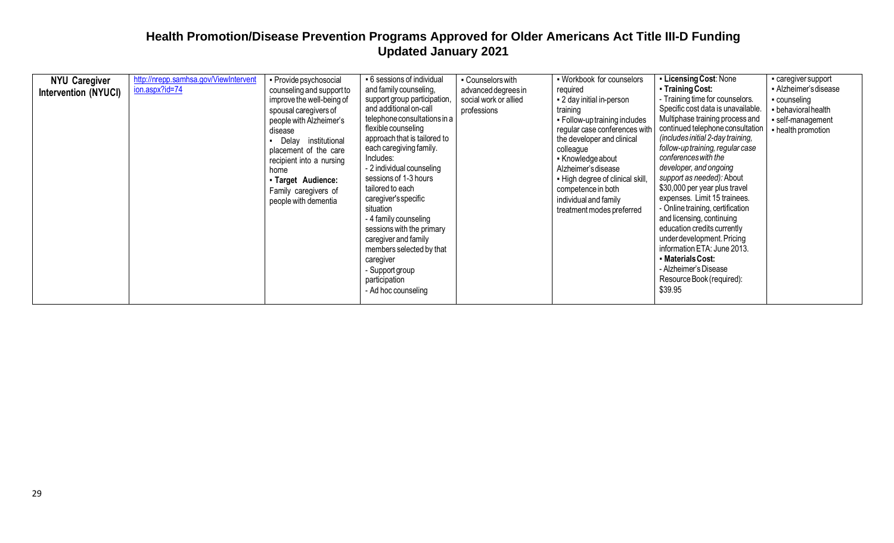| <b>NYU Caregiver</b><br>Intervention (NYUCI) | http://nrepp.samhsa.gov/ViewIntervent<br>ion.aspx?id=74 | • Provide psychosocial<br>counseling and support to<br>improve the well-being of<br>spousal caregivers of<br>people with Alzheimer's<br>disease<br>Delay institutional<br>placement of the care<br>recipient into a nursing<br>home<br>- Target Audience:<br>Family caregivers of<br>people with dementia | • 6 sessions of individual<br>and family counseling,<br>support group participation,<br>and additional on-call<br>telephone consultations in a<br>flexible counseling<br>approach that is tailored to<br>each caregiving family.<br>Includes:<br>- 2 individual counseling<br>sessions of 1-3 hours<br>tailored to each<br>caregiver's specific<br>situation<br>- 4 family counseling<br>sessions with the primary<br>caregiver and family<br>members selected by that<br>caregiver<br>- Support group<br>participation<br>- Ad hoc counseling | - Counselors with<br>advanced degrees in<br>social work or allied<br>professions | • Workbook for counselors<br>required<br>- 2 day initial in-person<br>training<br>• Follow-up training includes<br>regular case conferences with<br>the developer and clinical<br>colleague<br>• Knowledge about<br>Alzheimer's disease<br>- High degree of clinical skill,<br>competence in both<br>individual and family<br>treatment modes preferred | • Licensing Cost: None<br>• Training Cost:<br>- Training time for counselors.<br>Specific cost data is unavailable.<br>Multiphase training process and<br>continued telephone consultation<br>(includes initial 2-day training,<br>follow-up training, regular case<br>conferences with the<br>developer, and ongoing<br>support as needed): About<br>\$30,000 per year plus travel<br>expenses. Limit 15 trainees.<br>- Online training, certification<br>and licensing, continuing<br>education credits currently<br>under development. Pricing<br>information ETA: June 2013.<br>• Materials Cost:<br>- Alzheimer's Disease<br>Resource Book (required):<br>\$39.95 | - caregiver support<br>• Alzheimer's disease<br>counseling<br>- behavioral health<br>· self-management<br>- health promotion |
|----------------------------------------------|---------------------------------------------------------|-----------------------------------------------------------------------------------------------------------------------------------------------------------------------------------------------------------------------------------------------------------------------------------------------------------|------------------------------------------------------------------------------------------------------------------------------------------------------------------------------------------------------------------------------------------------------------------------------------------------------------------------------------------------------------------------------------------------------------------------------------------------------------------------------------------------------------------------------------------------|----------------------------------------------------------------------------------|---------------------------------------------------------------------------------------------------------------------------------------------------------------------------------------------------------------------------------------------------------------------------------------------------------------------------------------------------------|------------------------------------------------------------------------------------------------------------------------------------------------------------------------------------------------------------------------------------------------------------------------------------------------------------------------------------------------------------------------------------------------------------------------------------------------------------------------------------------------------------------------------------------------------------------------------------------------------------------------------------------------------------------------|------------------------------------------------------------------------------------------------------------------------------|
|----------------------------------------------|---------------------------------------------------------|-----------------------------------------------------------------------------------------------------------------------------------------------------------------------------------------------------------------------------------------------------------------------------------------------------------|------------------------------------------------------------------------------------------------------------------------------------------------------------------------------------------------------------------------------------------------------------------------------------------------------------------------------------------------------------------------------------------------------------------------------------------------------------------------------------------------------------------------------------------------|----------------------------------------------------------------------------------|---------------------------------------------------------------------------------------------------------------------------------------------------------------------------------------------------------------------------------------------------------------------------------------------------------------------------------------------------------|------------------------------------------------------------------------------------------------------------------------------------------------------------------------------------------------------------------------------------------------------------------------------------------------------------------------------------------------------------------------------------------------------------------------------------------------------------------------------------------------------------------------------------------------------------------------------------------------------------------------------------------------------------------------|------------------------------------------------------------------------------------------------------------------------------|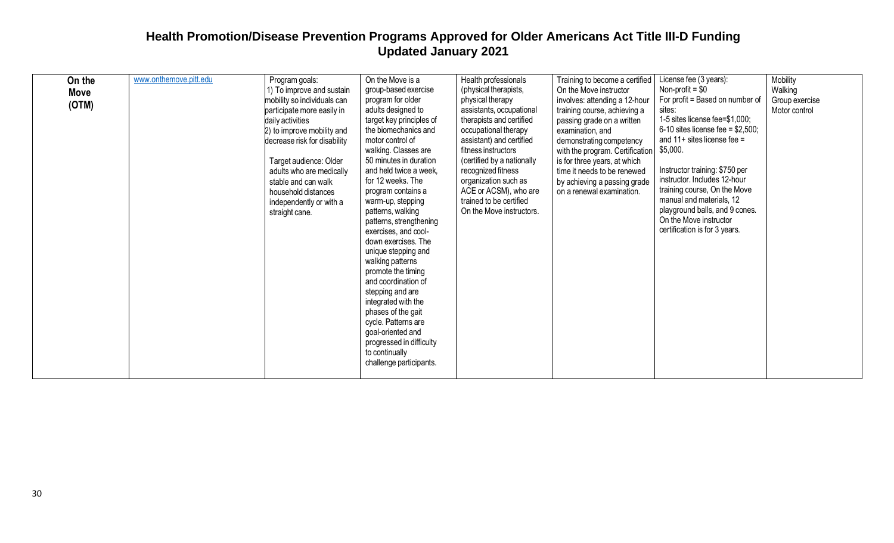| On the<br>Move<br>(OTM) | www.onthemove.pitt.edu | Program goals:<br>1) To improve and sustain<br>mobility so individuals can<br>participate more easily in<br>daily activities<br>2) to improve mobility and<br>decrease risk for disability<br>Target audience: Older<br>adults who are medically<br>stable and can walk<br>household distances<br>independently or with a<br>straight cane. | On the Move is a<br>group-based exercise<br>program for older<br>adults designed to<br>target key principles of<br>the biomechanics and<br>motor control of<br>walking. Classes are<br>50 minutes in duration<br>and held twice a week,<br>for 12 weeks. The<br>program contains a<br>warm-up, stepping<br>patterns, walking<br>patterns, strengthening<br>exercises, and cool-<br>down exercises. The<br>unique stepping and<br>walking patterns<br>promote the timing<br>and coordination of<br>stepping and are<br>integrated with the<br>phases of the gait<br>cycle. Patterns are<br>goal-oriented and<br>progressed in difficulty<br>to continually<br>challenge participants. | Health professionals<br>(physical therapists,<br>physical therapy<br>assistants, occupational<br>therapists and certified<br>occupational therapy<br>assistant) and certified<br>fitness instructors<br>(certified by a nationally<br>recognized fitness<br>organization such as<br>ACE or ACSM), who are<br>trained to be certified<br>On the Move instructors. | Training to become a certified<br>On the Move instructor<br>involves: attending a 12-hour<br>training course, achieving a<br>passing grade on a written<br>examination, and<br>demonstrating competency<br>with the program. Certification<br>is for three years, at which<br>time it needs to be renewed<br>by achieving a passing grade<br>on a renewal examination. | License fee (3 years):<br>Non-profit = $$0$<br>For profit = Based on number of<br>sites:<br>1-5 sites license fee=\$1,000;<br>6-10 sites license fee = $$2,500$ ;<br>and $11+$ sites license fee =<br>\$5,000.<br>Instructor training: \$750 per<br>instructor. Includes 12-hour<br>training course, On the Move<br>manual and materials, 12<br>playground balls, and 9 cones.<br>On the Move instructor<br>certification is for 3 years. | Mobility<br>Walking<br>Group exercise<br>Motor control |
|-------------------------|------------------------|---------------------------------------------------------------------------------------------------------------------------------------------------------------------------------------------------------------------------------------------------------------------------------------------------------------------------------------------|--------------------------------------------------------------------------------------------------------------------------------------------------------------------------------------------------------------------------------------------------------------------------------------------------------------------------------------------------------------------------------------------------------------------------------------------------------------------------------------------------------------------------------------------------------------------------------------------------------------------------------------------------------------------------------------|------------------------------------------------------------------------------------------------------------------------------------------------------------------------------------------------------------------------------------------------------------------------------------------------------------------------------------------------------------------|------------------------------------------------------------------------------------------------------------------------------------------------------------------------------------------------------------------------------------------------------------------------------------------------------------------------------------------------------------------------|-------------------------------------------------------------------------------------------------------------------------------------------------------------------------------------------------------------------------------------------------------------------------------------------------------------------------------------------------------------------------------------------------------------------------------------------|--------------------------------------------------------|
|-------------------------|------------------------|---------------------------------------------------------------------------------------------------------------------------------------------------------------------------------------------------------------------------------------------------------------------------------------------------------------------------------------------|--------------------------------------------------------------------------------------------------------------------------------------------------------------------------------------------------------------------------------------------------------------------------------------------------------------------------------------------------------------------------------------------------------------------------------------------------------------------------------------------------------------------------------------------------------------------------------------------------------------------------------------------------------------------------------------|------------------------------------------------------------------------------------------------------------------------------------------------------------------------------------------------------------------------------------------------------------------------------------------------------------------------------------------------------------------|------------------------------------------------------------------------------------------------------------------------------------------------------------------------------------------------------------------------------------------------------------------------------------------------------------------------------------------------------------------------|-------------------------------------------------------------------------------------------------------------------------------------------------------------------------------------------------------------------------------------------------------------------------------------------------------------------------------------------------------------------------------------------------------------------------------------------|--------------------------------------------------------|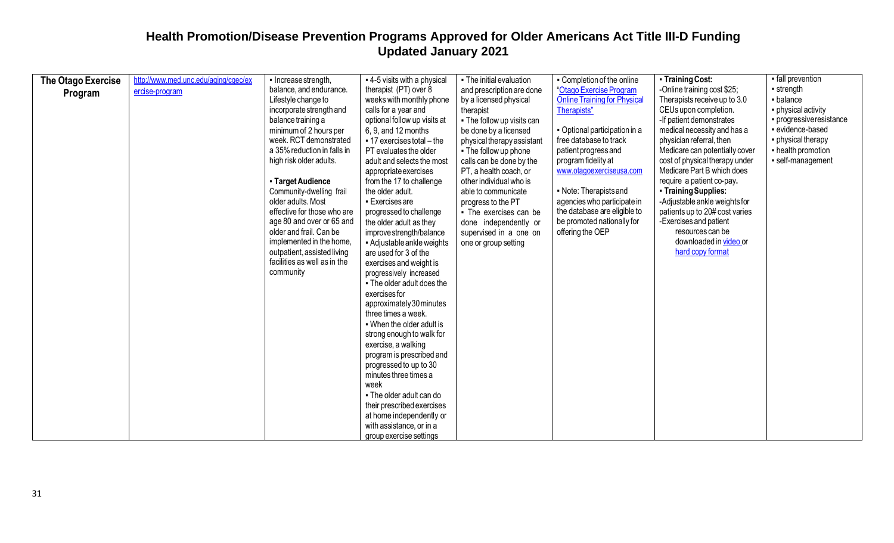| The Otago Exercise | http://www.med.unc.edu/aging/cgec/ex | - Increase strength,         | - 4-5 visits with a physical     | - The initial evaluation   | - Completion of the online          | - Training Cost:               | - fall prevention       |
|--------------------|--------------------------------------|------------------------------|----------------------------------|----------------------------|-------------------------------------|--------------------------------|-------------------------|
|                    | ercise-program                       | balance, and endurance.      | therapist (PT) over 8            | and prescription are done  | "Otago Exercise Program             | -Online training cost \$25;    | - strength              |
| Program            |                                      | Lifestyle change to          | weeks with monthly phone         | by a licensed physical     | <b>Online Training for Physical</b> | Therapists receive up to 3.0   | - balance               |
|                    |                                      | incorporate strength and     | calls for a year and             | therapist                  | Therapists"                         | CEUs upon completion.          | · physical activity     |
|                    |                                      | balance training a           | optional follow up visits at     | - The follow up visits can |                                     | -If patient demonstrates       | · progressiveresistance |
|                    |                                      | minimum of 2 hours per       | 6, 9, and 12 months              | be done by a licensed      | - Optional participation in a       | medical necessity and has a    | - evidence-based        |
|                    |                                      | week. RCT demonstrated       | $-17$ exercises total $-$ the    | physical therapy assistant | free database to track              | physician referral, then       | • physical therapy      |
|                    |                                      | a 35% reduction in falls in  | PT evaluates the older           | - The follow up phone      | patient progress and                | Medicare can potentially cover | - health promotion      |
|                    |                                      | high risk older adults.      | adult and selects the most       | calls can be done by the   | program fidelity at                 | cost of physical therapy under | self-management         |
|                    |                                      |                              | appropriate exercises            | PT, a health coach, or     | www.otagoexerciseusa.com            | Medicare Part B which does     |                         |
|                    |                                      | • Target Audience            | from the 17 to challenge         | other individual who is    |                                     | require a patient co-pay.      |                         |
|                    |                                      | Community-dwelling frail     | the older adult.                 | able to communicate        | • Note: Therapists and              | - Training Supplies:           |                         |
|                    |                                      | older adults. Most           | • Exercises are                  | progress to the PT         | agencies who participate in         | -Adjustable ankle weights for  |                         |
|                    |                                      | effective for those who are  | progressed to challenge          | - The exercises can be     | the database are eligible to        | patients up to 20# cost varies |                         |
|                    |                                      | age 80 and over or 65 and    | the older adult as they          | done independently or      | be promoted nationally for          | -Exercises and patient         |                         |
|                    |                                      | older and frail. Can be      | improve strength/balance         | supervised in a one on     | offering the OEP                    | resources can be               |                         |
|                    |                                      | implemented in the home,     | - Adjustable ankle weights       | one or group setting       |                                     | downloaded in video or         |                         |
|                    |                                      | outpatient, assisted living  | are used for 3 of the            |                            |                                     | hard copy format               |                         |
|                    |                                      | facilities as well as in the | exercises and weight is          |                            |                                     |                                |                         |
|                    |                                      | community                    | progressively increased          |                            |                                     |                                |                         |
|                    |                                      |                              | . The older adult does the       |                            |                                     |                                |                         |
|                    |                                      |                              | exercises for                    |                            |                                     |                                |                         |
|                    |                                      |                              | approximately 30 minutes         |                            |                                     |                                |                         |
|                    |                                      |                              | three times a week.              |                            |                                     |                                |                         |
|                    |                                      |                              | . When the older adult is        |                            |                                     |                                |                         |
|                    |                                      |                              | strong enough to walk for        |                            |                                     |                                |                         |
|                    |                                      |                              | exercise, a walking              |                            |                                     |                                |                         |
|                    |                                      |                              | program is prescribed and        |                            |                                     |                                |                         |
|                    |                                      |                              | progressed to up to 30           |                            |                                     |                                |                         |
|                    |                                      |                              | minutes three times a            |                            |                                     |                                |                         |
|                    |                                      |                              | week<br>- The older adult can do |                            |                                     |                                |                         |
|                    |                                      |                              | their prescribed exercises       |                            |                                     |                                |                         |
|                    |                                      |                              | at home independently or         |                            |                                     |                                |                         |
|                    |                                      |                              | with assistance, or in a         |                            |                                     |                                |                         |
|                    |                                      |                              | group exercise settings          |                            |                                     |                                |                         |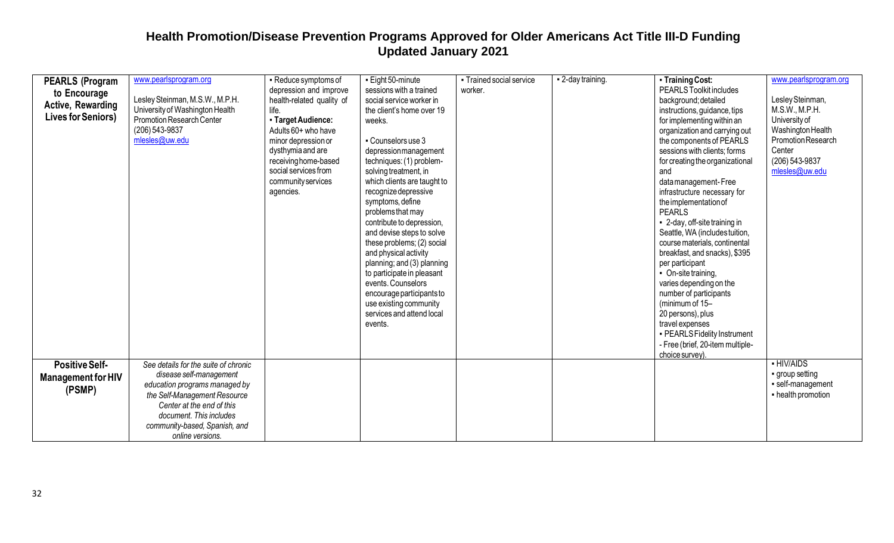| <b>PEARLS (Program</b><br>to Encourage<br>Active, Rewarding<br><b>Lives for Seniors)</b> | www.pearlsprogram.org<br>Lesley Steinman, M.S.W., M.P.H.<br>University of Washington Health<br>Promotion Research Center<br>(206) 543-9837<br>mlesles@uw.edu                                                                                  | - Reduce symptoms of<br>depression and improve<br>health-related quality of<br>life.<br>- Target Audience:<br>Adults 60+ who have<br>minor depression or<br>dysthymia and are<br>receiving home-based<br>social services from<br>community services<br>agencies. | - Eight 50-minute<br>sessions with a trained<br>social service worker in<br>the client's home over 19<br>weeks.<br>- Counselors use 3<br>depressionmanagement<br>techniques: (1) problem-<br>solving treatment, in<br>which clients are taught to<br>recognize depressive<br>symptoms, define<br>problems that may<br>contribute to depression,<br>and devise steps to solve<br>these problems; (2) social<br>and physical activity<br>planning; and (3) planning<br>to participate in pleasant<br>events. Counselors<br>encourage participants to<br>use existing community<br>services and attend local<br>events. | • Trained social service<br>worker. | - 2-day training. | - Training Cost:<br>PEARLS Toolkit includes<br>background; detailed<br>instructions, guidance, tips<br>for implementing within an<br>organization and carrying out<br>the components of PEARLS<br>sessions with clients; forms<br>for creating the organizational<br>and<br>data management-Free<br>infrastructure necessary for<br>the implementation of<br><b>PEARLS</b><br>- 2-day, off-site training in<br>Seattle, WA (includestuition,<br>course materials, continental<br>breakfast, and snacks), \$395<br>per participant<br>• On-site training,<br>varies depending on the<br>number of participants<br>(minimum of 15-<br>20 persons), plus<br>travel expenses<br>- PEARLS Fidelity Instrument<br>- Free (brief, 20-item multiple-<br>choice survey). | www.pearlsprogram.org<br>Lesley Steinman,<br>M.S.W., M.P.H.<br>University of<br>Washington Health<br>Promotion Research<br>Center<br>(206) 543-9837<br>mlesles@uw.edu |
|------------------------------------------------------------------------------------------|-----------------------------------------------------------------------------------------------------------------------------------------------------------------------------------------------------------------------------------------------|------------------------------------------------------------------------------------------------------------------------------------------------------------------------------------------------------------------------------------------------------------------|----------------------------------------------------------------------------------------------------------------------------------------------------------------------------------------------------------------------------------------------------------------------------------------------------------------------------------------------------------------------------------------------------------------------------------------------------------------------------------------------------------------------------------------------------------------------------------------------------------------------|-------------------------------------|-------------------|-----------------------------------------------------------------------------------------------------------------------------------------------------------------------------------------------------------------------------------------------------------------------------------------------------------------------------------------------------------------------------------------------------------------------------------------------------------------------------------------------------------------------------------------------------------------------------------------------------------------------------------------------------------------------------------------------------------------------------------------------------------------|-----------------------------------------------------------------------------------------------------------------------------------------------------------------------|
| <b>Positive Self-</b><br><b>Management for HIV</b><br>(PSMP)                             | See details for the suite of chronic<br>disease self-management<br>education programs managed by<br>the Self-Management Resource<br>Center at the end of this<br>document. This includes<br>community-based, Spanish, and<br>online versions. |                                                                                                                                                                                                                                                                  |                                                                                                                                                                                                                                                                                                                                                                                                                                                                                                                                                                                                                      |                                     |                   |                                                                                                                                                                                                                                                                                                                                                                                                                                                                                                                                                                                                                                                                                                                                                                 | - HIV/AIDS<br>group setting<br>· self-management<br>- health promotion                                                                                                |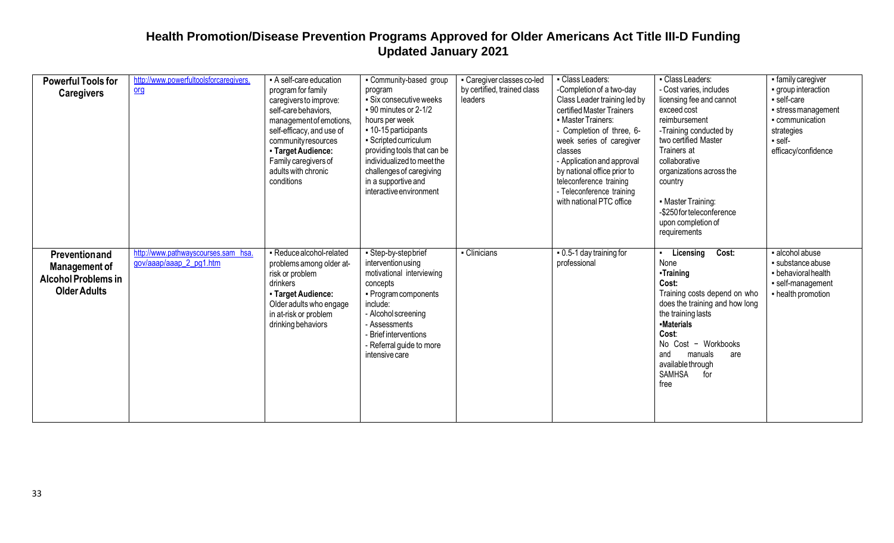| <b>Powerful Tools for</b><br><b>Caregivers</b>                                             | http://www.powerfultoolsforcaregivers.<br>$org$                | - A self-care education<br>program for family<br>caregivers to improve:<br>self-care behaviors,<br>management of emotions,<br>self-efficacy, and use of<br>community resources<br>- Target Audience:<br>Family caregivers of<br>adults with chronic<br>conditions | Community-based group<br>program<br>- Six consecutive weeks<br>$-90$ minutes or 2-1/2<br>hours per week<br>■ 10-15 participants<br>• Scripted curriculum<br>providing tools that can be<br>individualized to meet the<br>challenges of caregiving<br>in a supportive and<br>interactive environment | - Caregiver classes co-led<br>by certified, trained class<br>leaders | - Class Leaders:<br>-Completion of a two-day<br>Class Leader training led by<br>certified Master Trainers<br>• Master Trainers:<br>- Completion of three, 6-<br>week series of caregiver<br>classes<br>- Application and approval<br>by national office prior to<br>teleconference training<br>- Teleconference training<br>with national PTC office | - Class Leaders:<br>- Cost varies, includes<br>licensing fee and cannot<br>exceed cost<br>reimbursement<br>-Training conducted by<br>two certified Master<br>Trainers at<br>collaborative<br>organizations across the<br>country<br>• Master Training:<br>-\$250 for teleconference<br>upon completion of<br>requirements | · family caregiver<br>· group interaction<br>self-care<br>stress management<br>communication<br>strategies<br>- self-<br>efficacy/confidence |
|--------------------------------------------------------------------------------------------|----------------------------------------------------------------|-------------------------------------------------------------------------------------------------------------------------------------------------------------------------------------------------------------------------------------------------------------------|-----------------------------------------------------------------------------------------------------------------------------------------------------------------------------------------------------------------------------------------------------------------------------------------------------|----------------------------------------------------------------------|------------------------------------------------------------------------------------------------------------------------------------------------------------------------------------------------------------------------------------------------------------------------------------------------------------------------------------------------------|---------------------------------------------------------------------------------------------------------------------------------------------------------------------------------------------------------------------------------------------------------------------------------------------------------------------------|----------------------------------------------------------------------------------------------------------------------------------------------|
| Preventionand<br><b>Management of</b><br><b>Alcohol Problems in</b><br><b>Older Adults</b> | http://www.pathwayscourses.sam hsa.<br>gov/aaap/aaap 2 pg1.htm | - Reduce alcohol-related<br>problems among older at-<br>risk or problem<br>drinkers<br>- Target Audience:<br>Older adults who engage<br>in at-risk or problem<br>drinking behaviors                                                                               | - Step-by-stepbrief<br>intervention using<br>motivational interviewing<br>concepts<br>• Program components<br>include:<br>- Alcohol screening<br>- Assessments<br><b>Brief interventions</b><br>- Referral guide to more<br>intensive care                                                          | - Clinicians                                                         | . 0.5-1 day training for<br>professional                                                                                                                                                                                                                                                                                                             | Cost:<br>Licensing<br>None<br>-Training<br>Cost:<br>Training costs depend on who<br>does the training and how long<br>the training lasts<br>-Materials<br>Cost:<br>No Cost - Workbooks<br>manuals<br>and<br>are<br>availablethrough<br>SAMHSA<br>for<br>free                                                              | · alcohol abuse<br>· substance abuse<br>- behavioral health<br>· self-management<br>- health promotion                                       |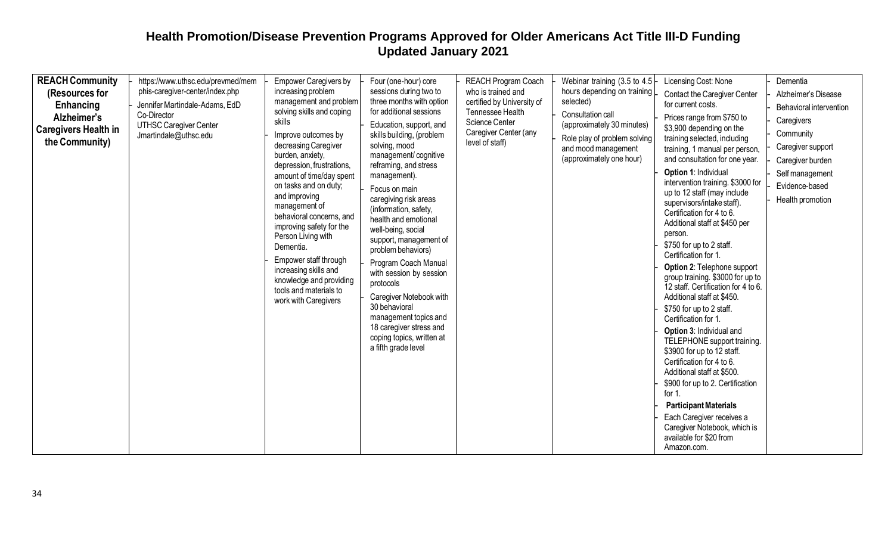| <b>REACH Community</b><br>(Resources for<br>Enhancing<br>Alzheimer's<br><b>Caregivers Health in</b><br>the Community) | https://www.uthsc.edu/prevmed/mem<br>phis-caregiver-center/index.php<br>Jennifer Martindale-Adams, EdD<br>Co-Director<br><b>UTHSC Caregiver Center</b><br>Jmartindale@uthsc.edu | <b>Empower Caregivers by</b><br>increasing problem<br>management and problem<br>solving skills and coping<br>skills<br>Improve outcomes by<br>decreasing Caregiver<br>burden, anxiety,<br>depression, frustrations,<br>amount of time/day spent<br>on tasks and on duty;<br>and improving<br>management of<br>behavioral concerns, and<br>improving safety for the<br>Person Living with<br>Dementia.<br>Empower staff through<br>increasing skills and<br>knowledge and providing<br>tools and materials to<br>work with Caregivers | Four (one-hour) core<br>sessions during two to<br>three months with option<br>for additional sessions<br>Education, support, and<br>skills building, (problem<br>solving, mood<br>management/cognitive<br>reframing, and stress<br>management).<br>Focus on main<br>caregiving risk areas<br>(information, safety,<br>health and emotional<br>well-being, social<br>support, management of<br>problem behaviors)<br>Program Coach Manual<br>with session by session<br>protocols<br>Caregiver Notebook with<br>30 behavioral<br>management topics and<br>18 caregiver stress and<br>coping topics, written at<br>a fifth grade level | <b>REACH Program Coach</b><br>who is trained and<br>certified by University of<br>Tennessee Health<br>Science Center<br>Caregiver Center (any<br>level of staff) | Webinar training (3.5 to 4.5<br>hours depending on training<br>selected)<br>Consultation call<br>(approximately 30 minutes)<br>Role play of problem solving<br>and mood management<br>(approximately one hour) | Licensing Cost: None<br><b>Contact the Caregiver Center</b><br>for current costs.<br>Prices range from \$750 to<br>\$3,900 depending on the<br>training selected, including<br>training, 1 manual per person,<br>and consultation for one year.<br>Option 1: Individual<br>intervention training. \$3000 for<br>up to 12 staff (may include<br>supervisors/intake staff).<br>Certification for 4 to 6.<br>Additional staff at \$450 per<br>person.<br>\$750 for up to 2 staff.<br>Certification for 1.<br><b>Option 2: Telephone support</b><br>group training. \$3000 for up to<br>12 staff. Certification for 4 to 6.<br>Additional staff at \$450.<br>\$750 for up to 2 staff.<br>Certification for 1.<br>Option 3: Individual and<br>TELEPHONE support training.<br>\$3900 for up to 12 staff.<br>Certification for 4 to 6.<br>Additional staff at \$500.<br>\$900 for up to 2. Certification<br>for 1.<br><b>Participant Materials</b><br>Each Caregiver receives a<br>Caregiver Notebook, which is<br>available for \$20 from<br>Amazon.com. | Dementia<br>Alzheimer's Disease<br>Behavioral intervention<br>Caregivers<br>Community<br>Caregiver support<br>Caregiver burden<br>Self management<br>Evidence-based<br>Health promotion |
|-----------------------------------------------------------------------------------------------------------------------|---------------------------------------------------------------------------------------------------------------------------------------------------------------------------------|--------------------------------------------------------------------------------------------------------------------------------------------------------------------------------------------------------------------------------------------------------------------------------------------------------------------------------------------------------------------------------------------------------------------------------------------------------------------------------------------------------------------------------------|--------------------------------------------------------------------------------------------------------------------------------------------------------------------------------------------------------------------------------------------------------------------------------------------------------------------------------------------------------------------------------------------------------------------------------------------------------------------------------------------------------------------------------------------------------------------------------------------------------------------------------------|------------------------------------------------------------------------------------------------------------------------------------------------------------------|----------------------------------------------------------------------------------------------------------------------------------------------------------------------------------------------------------------|----------------------------------------------------------------------------------------------------------------------------------------------------------------------------------------------------------------------------------------------------------------------------------------------------------------------------------------------------------------------------------------------------------------------------------------------------------------------------------------------------------------------------------------------------------------------------------------------------------------------------------------------------------------------------------------------------------------------------------------------------------------------------------------------------------------------------------------------------------------------------------------------------------------------------------------------------------------------------------------------------------------------------------------------------|-----------------------------------------------------------------------------------------------------------------------------------------------------------------------------------------|
|-----------------------------------------------------------------------------------------------------------------------|---------------------------------------------------------------------------------------------------------------------------------------------------------------------------------|--------------------------------------------------------------------------------------------------------------------------------------------------------------------------------------------------------------------------------------------------------------------------------------------------------------------------------------------------------------------------------------------------------------------------------------------------------------------------------------------------------------------------------------|--------------------------------------------------------------------------------------------------------------------------------------------------------------------------------------------------------------------------------------------------------------------------------------------------------------------------------------------------------------------------------------------------------------------------------------------------------------------------------------------------------------------------------------------------------------------------------------------------------------------------------------|------------------------------------------------------------------------------------------------------------------------------------------------------------------|----------------------------------------------------------------------------------------------------------------------------------------------------------------------------------------------------------------|----------------------------------------------------------------------------------------------------------------------------------------------------------------------------------------------------------------------------------------------------------------------------------------------------------------------------------------------------------------------------------------------------------------------------------------------------------------------------------------------------------------------------------------------------------------------------------------------------------------------------------------------------------------------------------------------------------------------------------------------------------------------------------------------------------------------------------------------------------------------------------------------------------------------------------------------------------------------------------------------------------------------------------------------------|-----------------------------------------------------------------------------------------------------------------------------------------------------------------------------------------|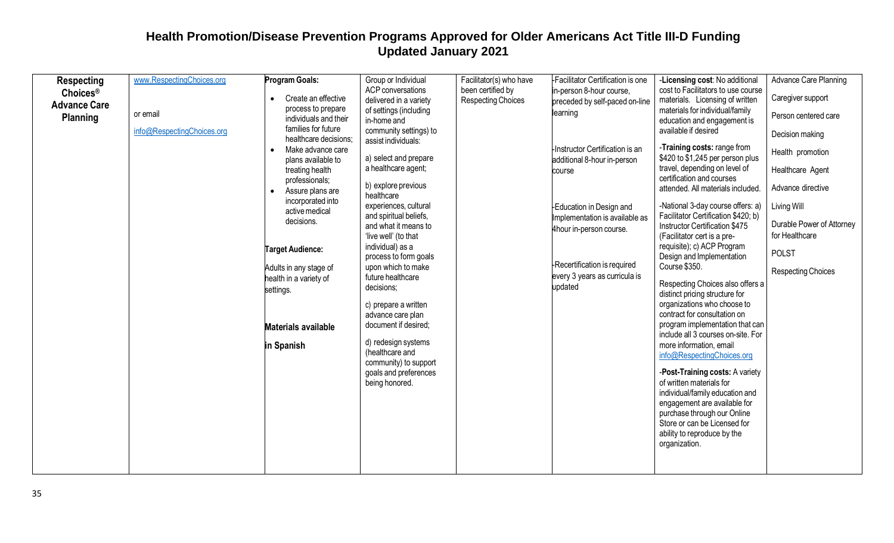| <b>Respecting</b>    | www.RespectingChoices.org  | Program Goals:                          | Group or Individual                            | Facilitator(s) who have | Facilitator Certification is one | -Licensing cost: No additional                                        | Advance Care Planning     |
|----------------------|----------------------------|-----------------------------------------|------------------------------------------------|-------------------------|----------------------------------|-----------------------------------------------------------------------|---------------------------|
| Choices <sup>®</sup> |                            |                                         | ACP conversations                              | been certified by       | in-person 8-hour course,         | cost to Facilitators to use course                                    |                           |
| <b>Advance Care</b>  |                            | Create an effective                     | delivered in a variety                         | Respecting Choices      | preceded by self-paced on-line   | materials. Licensing of written                                       | Caregiver support         |
|                      | or email                   | process to prepare                      | of settings (including                         |                         | learning                         | materials for individual/family                                       | Person centered care      |
| <b>Planning</b>      |                            | individuals and their                   | in-home and                                    |                         |                                  | education and engagement is                                           |                           |
|                      | info@RespectingChoices.org | families for future                     | community settings) to                         |                         |                                  | available if desired                                                  | Decision making           |
|                      |                            | healthcare decisions;                   | assist individuals:                            |                         | Instructor Certification is an   | -Training costs: range from                                           |                           |
|                      |                            | Make advance care<br>plans available to | a) select and prepare                          |                         | additional 8-hour in-person      | \$420 to \$1,245 per person plus                                      | Health promotion          |
|                      |                            | treating health                         | a healthcare agent;                            |                         |                                  | travel, depending on level of                                         | Healthcare Agent          |
|                      |                            | professionals;                          |                                                |                         | course                           | certification and courses                                             |                           |
|                      |                            | Assure plans are<br>$\bullet$           | b) explore previous                            |                         |                                  | attended. All materials included.                                     | Advance directive         |
|                      |                            | incorporated into                       | healthcare                                     |                         |                                  |                                                                       |                           |
|                      |                            | active medical                          | experiences, cultural                          |                         | -Education in Design and         | -National 3-day course offers: a)                                     | Living Will               |
|                      |                            | decisions.                              | and spiritual beliefs,<br>and what it means to |                         | Implementation is available as   | Facilitator Certification \$420; b)<br>Instructor Certification \$475 | Durable Power of Attorney |
|                      |                            |                                         | 'live well' (to that                           |                         | 4hour in-person course.          | (Facilitator cert is a pre-                                           | for Healthcare            |
|                      |                            |                                         | individual) as a                               |                         |                                  | requisite); c) ACP Program                                            |                           |
|                      |                            | <b>Target Audience:</b>                 | process to form goals                          |                         |                                  | Design and Implementation                                             | <b>POLST</b>              |
|                      |                            | Adults in any stage of                  | upon which to make                             |                         | -Recertification is required     | Course \$350.                                                         |                           |
|                      |                            | health in a variety of                  | future healthcare                              |                         | every 3 years as curricula is    |                                                                       | Respecting Choices        |
|                      |                            | settings.                               | decisions;                                     |                         | updated                          | Respecting Choices also offers a                                      |                           |
|                      |                            |                                         |                                                |                         |                                  | distinct pricing structure for                                        |                           |
|                      |                            |                                         | c) prepare a written                           |                         |                                  | organizations who choose to<br>contract for consultation on           |                           |
|                      |                            |                                         | advance care plan<br>document if desired;      |                         |                                  | program implementation that can                                       |                           |
|                      |                            | <b>Materials available</b>              |                                                |                         |                                  | include all 3 courses on-site. For                                    |                           |
|                      |                            | in Spanish                              | d) redesign systems                            |                         |                                  | more information, email                                               |                           |
|                      |                            |                                         | (healthcare and                                |                         |                                  | info@RespectingChoices.org                                            |                           |
|                      |                            |                                         | community) to support                          |                         |                                  |                                                                       |                           |
|                      |                            |                                         | goals and preferences                          |                         |                                  | -Post-Training costs: A variety                                       |                           |
|                      |                            |                                         | being honored.                                 |                         |                                  | of written materials for                                              |                           |
|                      |                            |                                         |                                                |                         |                                  | individual/family education and                                       |                           |
|                      |                            |                                         |                                                |                         |                                  | engagement are available for<br>purchase through our Online           |                           |
|                      |                            |                                         |                                                |                         |                                  | Store or can be Licensed for                                          |                           |
|                      |                            |                                         |                                                |                         |                                  | ability to reproduce by the                                           |                           |
|                      |                            |                                         |                                                |                         |                                  | organization.                                                         |                           |
|                      |                            |                                         |                                                |                         |                                  |                                                                       |                           |
|                      |                            |                                         |                                                |                         |                                  |                                                                       |                           |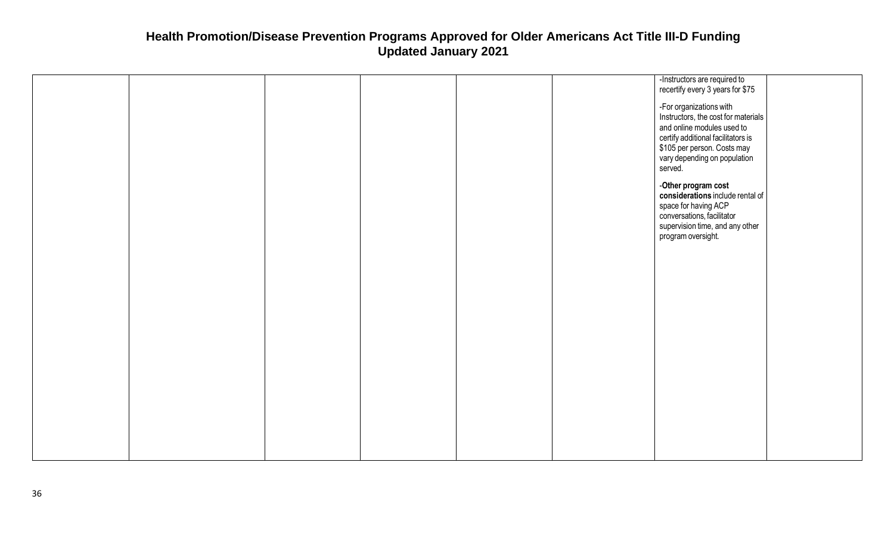|  |  |  | -Instructors are required to        |  |
|--|--|--|-------------------------------------|--|
|  |  |  | recertify every 3 years for \$75    |  |
|  |  |  |                                     |  |
|  |  |  | -For organizations with             |  |
|  |  |  |                                     |  |
|  |  |  | Instructors, the cost for materials |  |
|  |  |  | and online modules used to          |  |
|  |  |  |                                     |  |
|  |  |  | certify additional facilitators is  |  |
|  |  |  | \$105 per person. Costs may         |  |
|  |  |  | vary depending on population        |  |
|  |  |  |                                     |  |
|  |  |  | served.                             |  |
|  |  |  |                                     |  |
|  |  |  | -Other program cost                 |  |
|  |  |  | considerations include rental of    |  |
|  |  |  |                                     |  |
|  |  |  | space for having ACP                |  |
|  |  |  | conversations, facilitator          |  |
|  |  |  | supervision time, and any other     |  |
|  |  |  |                                     |  |
|  |  |  | program oversight.                  |  |
|  |  |  |                                     |  |
|  |  |  |                                     |  |
|  |  |  |                                     |  |
|  |  |  |                                     |  |
|  |  |  |                                     |  |
|  |  |  |                                     |  |
|  |  |  |                                     |  |
|  |  |  |                                     |  |
|  |  |  |                                     |  |
|  |  |  |                                     |  |
|  |  |  |                                     |  |
|  |  |  |                                     |  |
|  |  |  |                                     |  |
|  |  |  |                                     |  |
|  |  |  |                                     |  |
|  |  |  |                                     |  |
|  |  |  |                                     |  |
|  |  |  |                                     |  |
|  |  |  |                                     |  |
|  |  |  |                                     |  |
|  |  |  |                                     |  |
|  |  |  |                                     |  |
|  |  |  |                                     |  |
|  |  |  |                                     |  |
|  |  |  |                                     |  |
|  |  |  |                                     |  |
|  |  |  |                                     |  |
|  |  |  |                                     |  |
|  |  |  |                                     |  |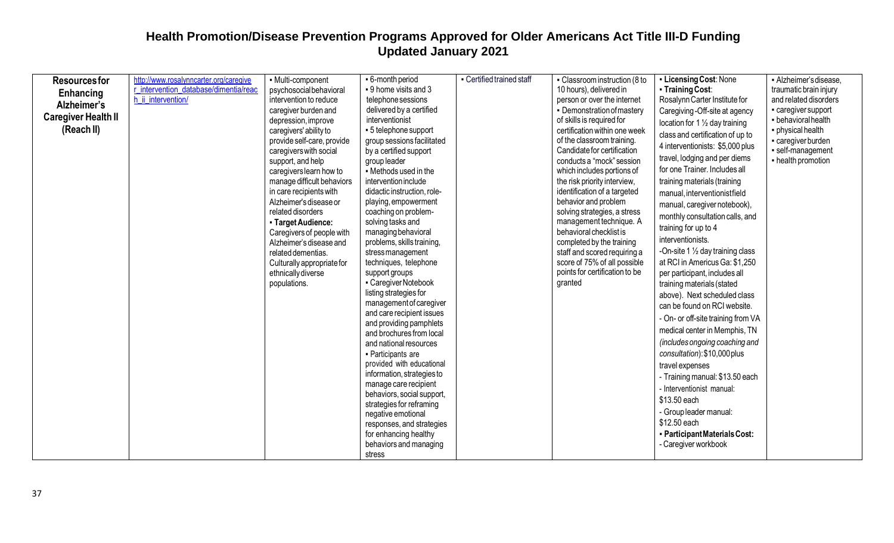| <b>Resourcesfor</b><br>Enhancing<br>Alzheimer's<br><b>Caregiver Health II</b><br>(Reach II) | http://www.rosalynncarter.org/caregive<br>r intervention database/dimentia/read<br>h ii intervention/ | - Multi-component<br>psychosocial behavioral<br>intervention to reduce<br>caregiver burden and<br>depression, improve<br>caregivers' ability to<br>provide self-care, provide<br>caregivers with social                                                                                                                      | • 6-month period<br>• 9 home visits and 3<br>telephone sessions<br>delivered by a certified<br>interventionist<br>• 5 telephone support<br>group sessions facilitated<br>by a certified support                                                                                                                                                                                                                                                                                                                                                                                                                                                                                                                                                                      | - Certified trained staff | - Classroom instruction (8 to<br>10 hours), delivered in<br>person or over the internet<br>• Demonstration of mastery<br>of skills is required for<br>certification within one week<br>of the classroom training.<br>Candidate for certification                                                                                                                                | • Licensing Cost: None<br>• Training Cost:<br>Rosalynn Carter Institute for<br>Caregiving -Off-site at agency<br>location for $1\frac{1}{2}$ day training<br>class and certification of up to<br>4 interventionists: \$5,000 plus                                                                                                                                                                                                                                                                                                                                                                                                                                                                                                                                                                   | - Alzheimer's disease,<br>traumatic brain injury<br>and related disorders<br>- caregiver support<br>- behavioral health<br>• physical health<br>- caregiver burden<br>· self-management |
|---------------------------------------------------------------------------------------------|-------------------------------------------------------------------------------------------------------|------------------------------------------------------------------------------------------------------------------------------------------------------------------------------------------------------------------------------------------------------------------------------------------------------------------------------|----------------------------------------------------------------------------------------------------------------------------------------------------------------------------------------------------------------------------------------------------------------------------------------------------------------------------------------------------------------------------------------------------------------------------------------------------------------------------------------------------------------------------------------------------------------------------------------------------------------------------------------------------------------------------------------------------------------------------------------------------------------------|---------------------------|---------------------------------------------------------------------------------------------------------------------------------------------------------------------------------------------------------------------------------------------------------------------------------------------------------------------------------------------------------------------------------|-----------------------------------------------------------------------------------------------------------------------------------------------------------------------------------------------------------------------------------------------------------------------------------------------------------------------------------------------------------------------------------------------------------------------------------------------------------------------------------------------------------------------------------------------------------------------------------------------------------------------------------------------------------------------------------------------------------------------------------------------------------------------------------------------------|-----------------------------------------------------------------------------------------------------------------------------------------------------------------------------------------|
|                                                                                             |                                                                                                       | support, and help<br>caregivers learn how to<br>manage difficult behaviors<br>in care recipients with<br>Alzheimer's disease or<br>related disorders<br>- Target Audience:<br>Caregivers of people with<br>Alzheimer's disease and<br>related dementias.<br>Culturally appropriate for<br>ethnically diverse<br>populations. | group leader<br>• Methods used in the<br>intervention include<br>didactic instruction, role-<br>playing, empowerment<br>coaching on problem-<br>solving tasks and<br>managing behavioral<br>problems, skills training,<br>stressmanagement<br>techniques, telephone<br>support groups<br>- Caregiver Notebook<br>listing strategies for<br>management of caregiver<br>and care recipient issues<br>and providing pamphlets<br>and brochures from local<br>and national resources<br>- Participants are<br>provided with educational<br>information, strategies to<br>manage care recipient<br>behaviors, social support,<br>strategies for reframing<br>negative emotional<br>responses, and strategies<br>for enhancing healthy<br>behaviors and managing<br>stress |                           | conducts a "mock" session<br>which includes portions of<br>the risk priority interview,<br>identification of a targeted<br>behavior and problem<br>solving strategies, a stress<br>management technique. A<br>behavioral checklist is<br>completed by the training<br>staff and scored requiring a<br>score of 75% of all possible<br>points for certification to be<br>granted | travel, lodging and per diems<br>for one Trainer. Includes all<br>training materials (training<br>manual, interventionistfield<br>manual, caregiver notebook),<br>monthly consultation calls, and<br>training for up to 4<br>interventionists.<br>-On-site 1 1/2 day training class<br>at RCI in Americus Ga: \$1,250<br>per participant, includes all<br>training materials (stated<br>above). Next scheduled class<br>can be found on RCI website.<br>- On- or off-site training from VA<br>medical center in Memphis, TN<br>(includes ongoing coaching and<br>consultation): \$10,000 plus<br>travel expenses<br>- Training manual: \$13.50 each<br>- Interventionist manual:<br>\$13.50 each<br>- Group leader manual:<br>\$12.50 each<br>- Participant Materials Cost:<br>- Caregiver workbook | - health promotion                                                                                                                                                                      |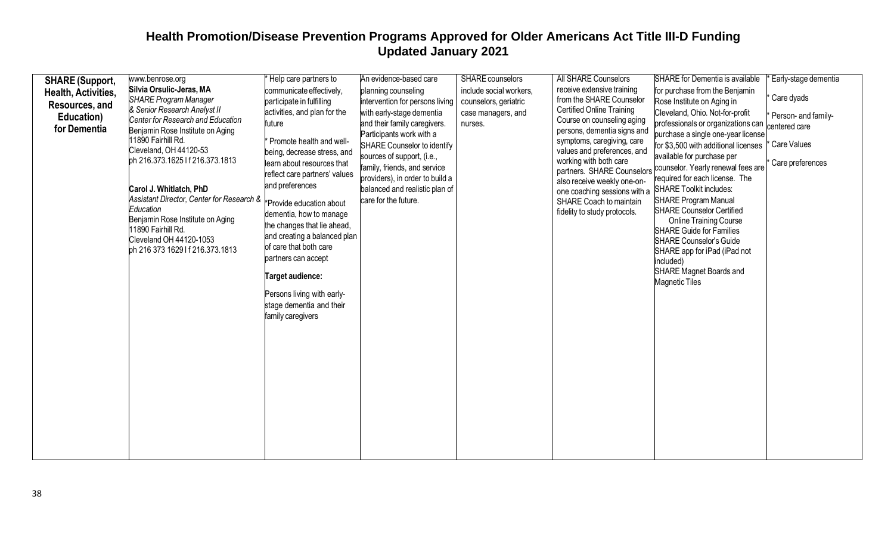|                                                                                               | www.benrose.org                                                                                                                                                                                                                                                                                                                                                                                                                                                                            | Help care partners to                                                                                                                                                                                                                                                                                                                                                                                                                                                                      | An evidence-based care                                                                                                                                                                                                                                                                                                                    | <b>SHARE</b> counselors                                                           | All SHARE Counselors                                                                                                                                                                                                                                                                                                                                                     | SHARE for Dementia is available                                                                                                                                                                                                                                                                                                                                                                                                                                                                                                                                                                                                                           | Early-stage dementia                                                                  |
|-----------------------------------------------------------------------------------------------|--------------------------------------------------------------------------------------------------------------------------------------------------------------------------------------------------------------------------------------------------------------------------------------------------------------------------------------------------------------------------------------------------------------------------------------------------------------------------------------------|--------------------------------------------------------------------------------------------------------------------------------------------------------------------------------------------------------------------------------------------------------------------------------------------------------------------------------------------------------------------------------------------------------------------------------------------------------------------------------------------|-------------------------------------------------------------------------------------------------------------------------------------------------------------------------------------------------------------------------------------------------------------------------------------------------------------------------------------------|-----------------------------------------------------------------------------------|--------------------------------------------------------------------------------------------------------------------------------------------------------------------------------------------------------------------------------------------------------------------------------------------------------------------------------------------------------------------------|-----------------------------------------------------------------------------------------------------------------------------------------------------------------------------------------------------------------------------------------------------------------------------------------------------------------------------------------------------------------------------------------------------------------------------------------------------------------------------------------------------------------------------------------------------------------------------------------------------------------------------------------------------------|---------------------------------------------------------------------------------------|
| <b>SHARE (Support,</b><br>Health, Activities,<br>Resources, and<br>Education)<br>for Dementia | Silvia Orsulic-Jeras, MA<br><b>SHARE Program Manager</b><br>& Senior Research Analyst II<br>Center for Research and Education<br>Benjamin Rose Institute on Aging<br>11890 Fairhill Rd.<br>Cleveland, OH 44120-53<br>ph 216.373.1625 If 216.373.1813<br>Carol J. Whitlatch, PhD<br>Assistant Director, Center for Research & FProvide education about<br>Education<br>Benjamin Rose Institute on Aging<br>11890 Fairhill Rd.<br>Cleveland OH 44120-1053<br>ph 216 373 1629 If 216.373.1813 | communicate effectively,<br>participate in fulfilling<br>activities, and plan for the<br>future<br>Promote health and well-<br>being, decrease stress, and<br>learn about resources that<br>reflect care partners' values<br>and preferences<br>dementia, how to manage<br>the changes that lie ahead,<br>and creating a balanced plan<br>of care that both care<br>partners can accept<br>Target audience:<br>Persons living with early-<br>stage dementia and their<br>family caregivers | planning counseling<br>intervention for persons living<br>with early-stage dementia<br>and their family caregivers.<br>Participants work with a<br>SHARE Counselor to identify<br>sources of support, (i.e.,<br>family, friends, and service<br>providers), in order to build a<br>balanced and realistic plan of<br>care for the future. | include social workers,<br>counselors, geriatric<br>case managers, and<br>nurses. | receive extensive training<br>from the SHARE Counselor<br><b>Certified Online Training</b><br>Course on counseling aging<br>persons, dementia signs and<br>symptoms, caregiving, care<br>values and preferences, and<br>working with both care<br>also receive weekly one-on-<br>one coaching sessions with a<br>SHARE Coach to maintain<br>fidelity to study protocols. | for purchase from the Benjamin<br>Rose Institute on Aging in<br>Cleveland, Ohio. Not-for-profit<br>professionals or organizations can<br>purchase a single one-year license<br>for \$3,500 with additional licenses<br>available for purchase per<br>partners. SHARE Counselors counselor. Yearly renewal fees are<br>required for each license. The<br><b>SHARE Toolkit includes:</b><br><b>SHARE Program Manual</b><br><b>SHARE Counselor Certified</b><br><b>Online Training Course</b><br><b>SHARE Guide for Families</b><br>SHARE Counselor's Guide<br>SHARE app for iPad (iPad not<br>included)<br>SHARE Magnet Boards and<br><b>Magnetic Tiles</b> | Care dyads<br>Person- and family-<br>centered care<br>Care Values<br>Care preferences |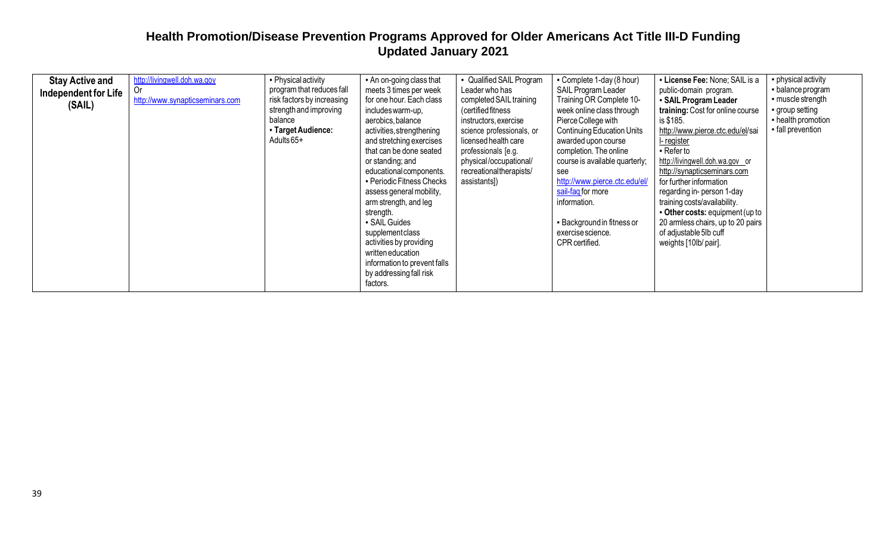| <b>Stay Active and</b><br>Independent for Life<br>(SAIL) | http://livingwell.doh.wa.gov<br><b>Or</b><br>http://www.synapticseminars.com | • Physical activity<br>program that reduces fall<br>risk factors by increasing<br>strength and improving<br>balance<br>- Target Audience:<br>Adults 65+ | • An on-going class that<br>meets 3 times per week<br>for one hour. Each class<br>includes warm-up,<br>aerobics, balance<br>activities, strengthening<br>and stretching exercises<br>that can be done seated<br>or standing; and<br>educational components.<br>• Periodic Fitness Checks<br>assess general mobility,<br>arm strength, and leg<br>strength.<br>SAIL Guides<br>supplementclass<br>activities by providing<br>written education<br>information to prevent falls<br>by addressing fall risk<br>factors. | • Qualified SAIL Program<br>Leader who has<br>completed SAIL training<br>(certified fitness<br>instructors, exercise<br>science professionals, or<br>licensed health care<br>professionals [e.g.<br>physical/occupational/<br>recreational therapists/<br>assistants]) | • Complete 1-day (8 hour)<br>SAIL Program Leader<br>Training OR Complete 10-<br>week online class through<br>Pierce College with<br><b>Continuing Education Units</b><br>awarded upon course<br>completion. The online<br>course is available quarterly;<br>see<br>http://www.pierce.ctc.edu/el/<br>sail-faq for more<br>information.<br>- Background in fitness or<br>exercise science.<br>CPR certified. | • License Fee: None; SAIL is a<br>public-domain program.<br>• SAIL Program Leader<br>training: Cost for online course<br>is \$185.<br>http://www.pierce.ctc.edu/el/sai<br>I-register<br>- Refer to<br>http://livingwell.doh.wa.gov or<br>http://synapticseminars.com<br>for further information<br>regarding in- person 1-day<br>training costs/availability.<br>• Other costs: equipment (up to<br>20 armless chairs, up to 20 pairs<br>of adjustable 5lb cuff<br>weights [10lb/ pair]. | • physical activity<br>- balance program<br>- muscle strength<br>group setting<br>• health promotion<br>• fall prevention |
|----------------------------------------------------------|------------------------------------------------------------------------------|---------------------------------------------------------------------------------------------------------------------------------------------------------|---------------------------------------------------------------------------------------------------------------------------------------------------------------------------------------------------------------------------------------------------------------------------------------------------------------------------------------------------------------------------------------------------------------------------------------------------------------------------------------------------------------------|------------------------------------------------------------------------------------------------------------------------------------------------------------------------------------------------------------------------------------------------------------------------|------------------------------------------------------------------------------------------------------------------------------------------------------------------------------------------------------------------------------------------------------------------------------------------------------------------------------------------------------------------------------------------------------------|------------------------------------------------------------------------------------------------------------------------------------------------------------------------------------------------------------------------------------------------------------------------------------------------------------------------------------------------------------------------------------------------------------------------------------------------------------------------------------------|---------------------------------------------------------------------------------------------------------------------------|
|----------------------------------------------------------|------------------------------------------------------------------------------|---------------------------------------------------------------------------------------------------------------------------------------------------------|---------------------------------------------------------------------------------------------------------------------------------------------------------------------------------------------------------------------------------------------------------------------------------------------------------------------------------------------------------------------------------------------------------------------------------------------------------------------------------------------------------------------|------------------------------------------------------------------------------------------------------------------------------------------------------------------------------------------------------------------------------------------------------------------------|------------------------------------------------------------------------------------------------------------------------------------------------------------------------------------------------------------------------------------------------------------------------------------------------------------------------------------------------------------------------------------------------------------|------------------------------------------------------------------------------------------------------------------------------------------------------------------------------------------------------------------------------------------------------------------------------------------------------------------------------------------------------------------------------------------------------------------------------------------------------------------------------------------|---------------------------------------------------------------------------------------------------------------------------|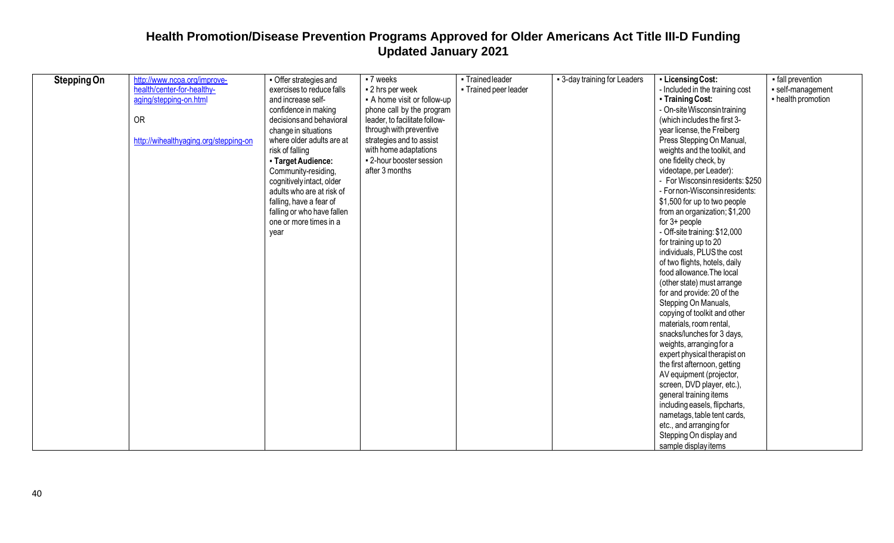| <b>Stepping On</b> | http://www.ncoa.org/improve-          | • Offer strategies and     | $-7$ weeks                    | - Trained leader      | - 3-day training for Leaders | - Licensing Cost:                | - fall prevention  |
|--------------------|---------------------------------------|----------------------------|-------------------------------|-----------------------|------------------------------|----------------------------------|--------------------|
|                    | health/center-for-healthy-            | exercises to reduce falls  | - 2 hrs per week              | - Trained peer leader |                              | - Included in the training cost  | - self-management  |
|                    | aging/stepping-on.html                | and increase self-         | • A home visit or follow-up   |                       |                              | • Training Cost:                 | - health promotion |
|                    |                                       | confidence in making       | phone call by the program     |                       |                              | - On-site Wisconsin training     |                    |
|                    | <b>OR</b>                             | decisions and behavioral   | leader, to facilitate follow- |                       |                              | (which includes the first 3-     |                    |
|                    |                                       | change in situations       | through with preventive       |                       |                              | year license, the Freiberg       |                    |
|                    | http://wihealthyaging.org/stepping-on | where older adults are at  | strategies and to assist      |                       |                              | Press Stepping On Manual,        |                    |
|                    |                                       | risk of falling            | with home adaptations         |                       |                              | weights and the toolkit, and     |                    |
|                    |                                       | - Target Audience:         | • 2-hour booster session      |                       |                              | one fidelity check, by           |                    |
|                    |                                       | Community-residing,        | after 3 months                |                       |                              | videotape, per Leader):          |                    |
|                    |                                       | cognitively intact, older  |                               |                       |                              | - For Wisconsin residents: \$250 |                    |
|                    |                                       | adults who are at risk of  |                               |                       |                              | - For non-Wisconsin residents:   |                    |
|                    |                                       | falling, have a fear of    |                               |                       |                              | \$1,500 for up to two people     |                    |
|                    |                                       | falling or who have fallen |                               |                       |                              | from an organization; \$1,200    |                    |
|                    |                                       | one or more times in a     |                               |                       |                              | for $3+$ people                  |                    |
|                    |                                       | year                       |                               |                       |                              | - Off-site training: \$12,000    |                    |
|                    |                                       |                            |                               |                       |                              | for training up to 20            |                    |
|                    |                                       |                            |                               |                       |                              | individuals, PLUS the cost       |                    |
|                    |                                       |                            |                               |                       |                              | of two flights, hotels, daily    |                    |
|                    |                                       |                            |                               |                       |                              | food allowance. The local        |                    |
|                    |                                       |                            |                               |                       |                              | (other state) must arrange       |                    |
|                    |                                       |                            |                               |                       |                              | for and provide: 20 of the       |                    |
|                    |                                       |                            |                               |                       |                              | Stepping On Manuals,             |                    |
|                    |                                       |                            |                               |                       |                              | copying of toolkit and other     |                    |
|                    |                                       |                            |                               |                       |                              | materials, room rental,          |                    |
|                    |                                       |                            |                               |                       |                              | snacks/lunches for 3 days,       |                    |
|                    |                                       |                            |                               |                       |                              | weights, arranging for a         |                    |
|                    |                                       |                            |                               |                       |                              | expert physical therapist on     |                    |
|                    |                                       |                            |                               |                       |                              | the first afternoon, getting     |                    |
|                    |                                       |                            |                               |                       |                              | AV equipment (projector,         |                    |
|                    |                                       |                            |                               |                       |                              | screen, DVD player, etc.),       |                    |
|                    |                                       |                            |                               |                       |                              | general training items           |                    |
|                    |                                       |                            |                               |                       |                              | including easels, flipcharts,    |                    |
|                    |                                       |                            |                               |                       |                              | nametags, table tent cards,      |                    |
|                    |                                       |                            |                               |                       |                              | etc., and arranging for          |                    |
|                    |                                       |                            |                               |                       |                              | Stepping On display and          |                    |
|                    |                                       |                            |                               |                       |                              | sample display items             |                    |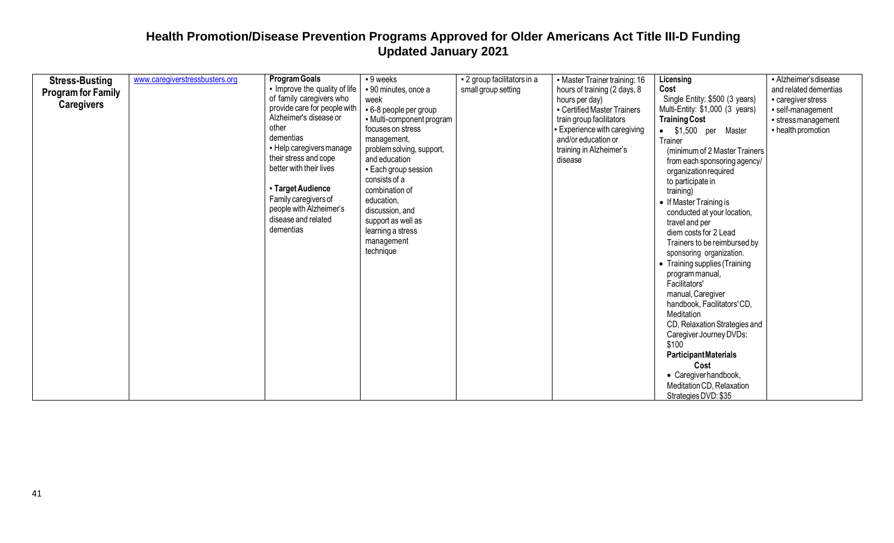| <b>Stress-Busting</b>     | www.caregiverstressbusters.org | <b>Program Goals</b>          | - 9 weeks                 | - 2 group facilitators in a | • Master Trainer training: 16 | Licensing                                     | - Alzheimer's disease |
|---------------------------|--------------------------------|-------------------------------|---------------------------|-----------------------------|-------------------------------|-----------------------------------------------|-----------------------|
|                           |                                | - Improve the quality of life | • 90 minutes, once a      | small group setting         | hours of training (2 days, 8  | Cost                                          | and related dementias |
| <b>Program for Family</b> |                                | of family caregivers who      | week                      |                             | hours per day)                | Single Entity: \$500 (3 years)                | - caregiver stress    |
| <b>Caregivers</b>         |                                | provide care for people with  | • 6-8 people per group    |                             | • Certified Master Trainers   | Multi-Entity: \$1,000 (3 years)               | · self-management     |
|                           |                                | Alzheimer's disease or        | - Multi-component program |                             | train group facilitators      | <b>Training Cost</b>                          | • stress management   |
|                           |                                | other                         | focuses on stress         |                             | - Experience with caregiving  | • \$1,500 per Master                          | - health promotion    |
|                           |                                | dementias                     | management,               |                             | and/or education or           | Trainer                                       |                       |
|                           |                                | • Help caregivers manage      | problem solving, support, |                             | training in Alzheimer's       | (minimum of 2 Master Trainers)                |                       |
|                           |                                | their stress and cope         | and education             |                             | disease                       |                                               |                       |
|                           |                                | better with their lives       | - Each group session      |                             |                               | from each sponsoring agency/                  |                       |
|                           |                                |                               | consists of a             |                             |                               | organization required<br>to participate in    |                       |
|                           |                                | - Target Audience             | combination of            |                             |                               | training)                                     |                       |
|                           |                                | Family caregivers of          | education,                |                             |                               | • If Master Training is                       |                       |
|                           |                                | people with Alzheimer's       | discussion, and           |                             |                               |                                               |                       |
|                           |                                | disease and related           | support as well as        |                             |                               | conducted at your location,<br>travel and per |                       |
|                           |                                | dementias                     | learning a stress         |                             |                               | diem costs for 2 Lead                         |                       |
|                           |                                |                               | management                |                             |                               | Trainers to be reimbursed by                  |                       |
|                           |                                |                               | technique                 |                             |                               |                                               |                       |
|                           |                                |                               |                           |                             |                               | sponsoring organization.                      |                       |
|                           |                                |                               |                           |                             |                               | • Training supplies (Training                 |                       |
|                           |                                |                               |                           |                             |                               | program manual,                               |                       |
|                           |                                |                               |                           |                             |                               | Facilitators'                                 |                       |
|                           |                                |                               |                           |                             |                               | manual, Caregiver                             |                       |
|                           |                                |                               |                           |                             |                               | handbook, Facilitators' CD,                   |                       |
|                           |                                |                               |                           |                             |                               | Meditation                                    |                       |
|                           |                                |                               |                           |                             |                               | CD, Relaxation Strategies and                 |                       |
|                           |                                |                               |                           |                             |                               | Caregiver Journey DVDs:                       |                       |
|                           |                                |                               |                           |                             |                               | \$100                                         |                       |
|                           |                                |                               |                           |                             |                               | <b>ParticipantMaterials</b>                   |                       |
|                           |                                |                               |                           |                             |                               | Cost                                          |                       |
|                           |                                |                               |                           |                             |                               | • Caregiver handbook,                         |                       |
|                           |                                |                               |                           |                             |                               | Meditation CD, Relaxation                     |                       |
|                           |                                |                               |                           |                             |                               | Strategies DVD: \$35                          |                       |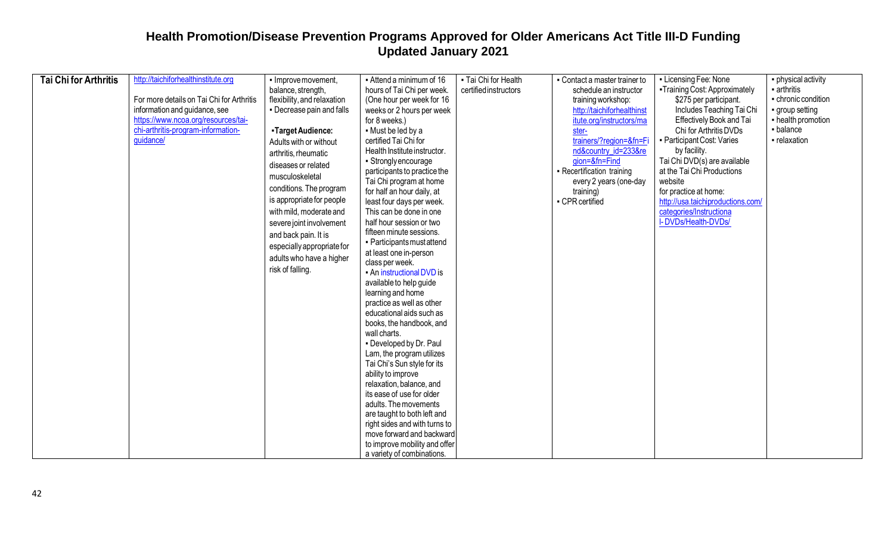| <b>Tai Chi for Arthritis</b> | http://taichiforhealthinstitute.org       | - Improve movement,         | • Attend a minimum of 16                       | - Tai Chi for Health  | • Contact a master trainer to | - Licensing Fee: None             | • physical activity |
|------------------------------|-------------------------------------------|-----------------------------|------------------------------------------------|-----------------------|-------------------------------|-----------------------------------|---------------------|
|                              |                                           | balance, strength,          | hours of Tai Chi per week.                     | certified instructors | schedule an instructor        | -Training Cost: Approximately     | - arthritis         |
|                              | For more details on Tai Chi for Arthritis | flexibility, and relaxation | (One hour per week for 16                      |                       | training workshop:            | \$275 per participant.            | - chronic condition |
|                              | information and guidance, see             | • Decrease pain and falls   | weeks or 2 hours per week                      |                       | http://taichiforhealthinst    | Includes Teaching Tai Chi         | group setting       |
|                              | https://www.ncoa.org/resources/tai-       |                             | for 8 weeks.)                                  |                       | itute.org/instructors/ma      | Effectively Book and Tai          | - health promotion  |
|                              | chi-arthritis-program-information-        | -Target Audience:           | • Must be led by a                             |                       | ster-                         | Chi for Arthritis DVDs            | - balance           |
|                              | guidance/                                 | Adults with or without      | certified Tai Chi for                          |                       | trainers/?region=&fn=Fi       | - Participant Cost: Varies        | - relaxation        |
|                              |                                           | arthritis, rheumatic        | Health Institute instructor.                   |                       | nd&country id=233&re          | by facility.                      |                     |
|                              |                                           | diseases or related         | • Strongly encourage                           |                       | gion=&fn=Find                 | Tai Chi DVD(s) are available      |                     |
|                              |                                           | musculoskeletal             | participants to practice the                   |                       | - Recertification training    | at the Tai Chi Productions        |                     |
|                              |                                           |                             | Tai Chi program at home                        |                       | every 2 years (one-day        | website                           |                     |
|                              |                                           | conditions. The program     | for half an hour daily, at                     |                       | training)                     | for practice at home:             |                     |
|                              |                                           | is appropriate for people   | least four days per week.                      |                       | - CPR certified               | http://usa.taichiproductions.com/ |                     |
|                              |                                           | with mild, moderate and     | This can be done in one                        |                       |                               | categories/Instructional          |                     |
|                              |                                           | severe joint involvement    | half hour session or two                       |                       |                               | I-DVDs/Health-DVDs/               |                     |
|                              |                                           | and back pain. It is        | fifteen minute sessions.                       |                       |                               |                                   |                     |
|                              |                                           | especially appropriate for  | • Participants must attend                     |                       |                               |                                   |                     |
|                              |                                           | adults who have a higher    | at least one in-person                         |                       |                               |                                   |                     |
|                              |                                           | risk of falling.            | class per week.                                |                       |                               |                                   |                     |
|                              |                                           |                             | • An instructional DVD is                      |                       |                               |                                   |                     |
|                              |                                           |                             | available to help guide                        |                       |                               |                                   |                     |
|                              |                                           |                             | learning and home<br>practice as well as other |                       |                               |                                   |                     |
|                              |                                           |                             | educational aids such as                       |                       |                               |                                   |                     |
|                              |                                           |                             | books, the handbook, and                       |                       |                               |                                   |                     |
|                              |                                           |                             | wall charts.                                   |                       |                               |                                   |                     |
|                              |                                           |                             | - Developed by Dr. Paul                        |                       |                               |                                   |                     |
|                              |                                           |                             | Lam, the program utilizes                      |                       |                               |                                   |                     |
|                              |                                           |                             | Tai Chi's Sun style for its                    |                       |                               |                                   |                     |
|                              |                                           |                             | ability to improve                             |                       |                               |                                   |                     |
|                              |                                           |                             | relaxation, balance, and                       |                       |                               |                                   |                     |
|                              |                                           |                             | its ease of use for older                      |                       |                               |                                   |                     |
|                              |                                           |                             | adults. The movements                          |                       |                               |                                   |                     |
|                              |                                           |                             | are taught to both left and                    |                       |                               |                                   |                     |
|                              |                                           |                             | right sides and with turns to                  |                       |                               |                                   |                     |
|                              |                                           |                             | move forward and backward                      |                       |                               |                                   |                     |
|                              |                                           |                             | to improve mobility and offer                  |                       |                               |                                   |                     |
|                              |                                           |                             | a variety of combinations.                     |                       |                               |                                   |                     |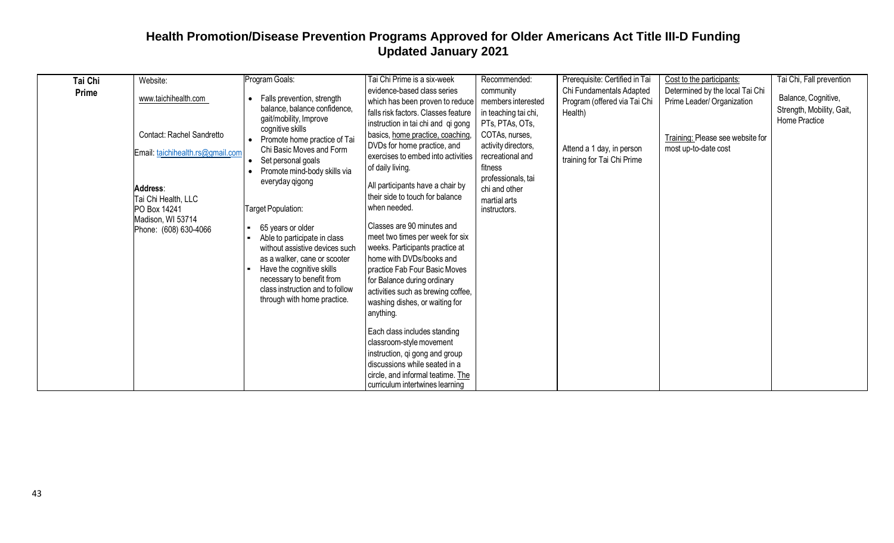| Tai Chi      | Website:                                                                                                                                                                               | Program Goals:                                                                                                                                                                                                                                                                                                                                                                                                                                                                                                                        | Tai Chi Prime is a six-week                                                                                                                                                                                                                                                                                                                                                                                                                                                                                                                                                                                                                                                                                                                                                                                                                                 | Recommended:                                                                                                                                                                                                              | Prerequisite: Certified in Tai                                                                                                 | Cost to the participants:                                                                                                 | Tai Chi, Fall prevention                                          |
|--------------|----------------------------------------------------------------------------------------------------------------------------------------------------------------------------------------|---------------------------------------------------------------------------------------------------------------------------------------------------------------------------------------------------------------------------------------------------------------------------------------------------------------------------------------------------------------------------------------------------------------------------------------------------------------------------------------------------------------------------------------|-------------------------------------------------------------------------------------------------------------------------------------------------------------------------------------------------------------------------------------------------------------------------------------------------------------------------------------------------------------------------------------------------------------------------------------------------------------------------------------------------------------------------------------------------------------------------------------------------------------------------------------------------------------------------------------------------------------------------------------------------------------------------------------------------------------------------------------------------------------|---------------------------------------------------------------------------------------------------------------------------------------------------------------------------------------------------------------------------|--------------------------------------------------------------------------------------------------------------------------------|---------------------------------------------------------------------------------------------------------------------------|-------------------------------------------------------------------|
| <b>Prime</b> | www.taichihealth.com<br>Contact: Rachel Sandretto<br>Email: taichihealth.rs@gmail.com<br>Address:<br>Tai Chi Health, LLC<br>PO Box 14241<br>Madison, WI 53714<br>Phone: (608) 630-4066 | Falls prevention, strength<br>$\bullet$<br>balance, balance confidence,<br>gait/mobility, Improve<br>cognitive skills<br>• Promote home practice of Tai<br>Chi Basic Moves and Form<br>Set personal goals<br>Promote mind-body skills via<br>everyday qigong<br>Target Population:<br>65 years or older<br>Able to participate in class<br>without assistive devices such<br>as a walker, cane or scooter<br>Have the cognitive skills<br>necessary to benefit from<br>class instruction and to follow<br>through with home practice. | evidence-based class series<br>which has been proven to reduce<br>falls risk factors. Classes feature<br>instruction in tai chi and qi gong<br>basics, home practice, coaching,<br>DVDs for home practice, and<br>exercises to embed into activities<br>of daily living.<br>All participants have a chair by<br>their side to touch for balance<br>when needed.<br>Classes are 90 minutes and<br>meet two times per week for six<br>weeks. Participants practice at<br>home with DVDs/books and<br>practice Fab Four Basic Moves<br>for Balance during ordinary<br>activities such as brewing coffee,<br>washing dishes, or waiting for<br>anything.<br>Each class includes standing<br>classroom-style movement<br>instruction, qi gong and group<br>discussions while seated in a<br>circle, and informal teatime. The<br>curriculum intertwines learning | community<br>members interested<br>in teaching tai chi,<br>PTs, PTAs, OTs,<br>COTAs, nurses,<br>activity directors,<br>recreational and<br>fitness<br>professionals, tai<br>chi and other<br>martial arts<br>instructors. | Chi Fundamentals Adapted<br>Program (offered via Tai Chi<br>Health)<br>Attend a 1 day, in person<br>training for Tai Chi Prime | Determined by the local Tai Chi<br>Prime Leader/ Organization<br>Training: Please see website for<br>most up-to-date cost | Balance, Cognitive,<br>Strength, Mobility, Gait,<br>Home Practice |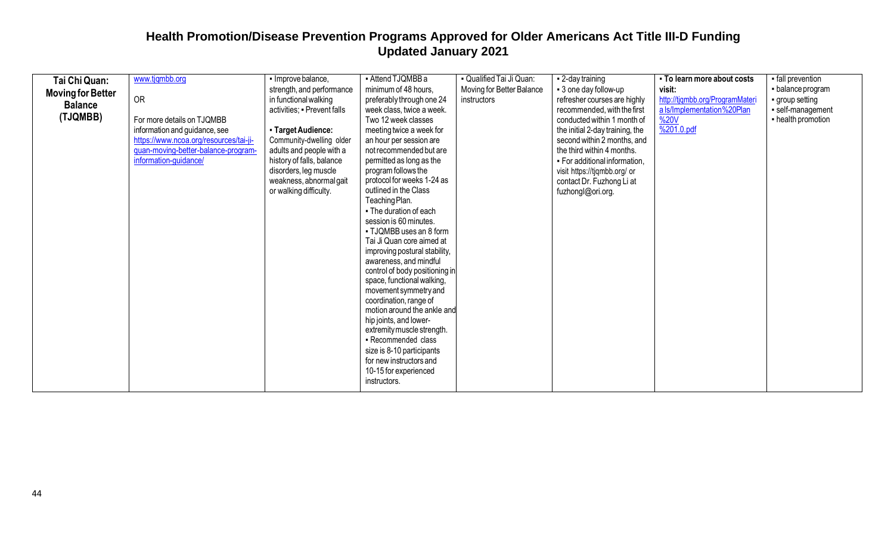| Tai Chi Quan:            | www.tjqmbb.org                         | • Improve balance,          | - Attend TJQMBB a                        | - Qualified Tai Ji Quan:  | - 2-day training                | - To learn more about costs     | • fall prevention  |
|--------------------------|----------------------------------------|-----------------------------|------------------------------------------|---------------------------|---------------------------------|---------------------------------|--------------------|
| <b>Moving for Better</b> |                                        | strength, and performance   | minimum of 48 hours.                     | Moving for Better Balance | • 3 one day follow-up           | visit:                          | - balance program  |
| <b>Balance</b>           | <b>OR</b>                              | in functional walking       | preferably through one 24                | instructors               | refresher courses are highly    | http://tjqmbb.org/ProgramMateri | • group setting    |
|                          |                                        | activities; · Prevent falls | week class, twice a week.                |                           | recommended, with the first     | a Is/Implementation%20Plan      | · self-management  |
| (TJQMBB)                 | For more details on TJQMBB             |                             | Two 12 week classes                      |                           | conducted within 1 month of     | %20V                            | - health promotion |
|                          | information and guidance, see          | - Target Audience:          | meeting twice a week for                 |                           | the initial 2-day training, the | $\frac{9}{201.0 \text{.pdf}}$   |                    |
|                          | https://www.ncoa.org/resources/tai-ji- | Community-dwelling older    | an hour per session are                  |                           | second within 2 months, and     |                                 |                    |
|                          | guan-moving-better-balance-program-    | adults and people with a    | not recommended but are                  |                           | the third within 4 months.      |                                 |                    |
|                          | information-guidance/                  | history of falls, balance   | permitted as long as the                 |                           | . For additional information,   |                                 |                    |
|                          |                                        | disorders, leg muscle       | program follows the                      |                           | visit https://tjqmbb.org/ or    |                                 |                    |
|                          |                                        | weakness, abnormal gait     | protocol for weeks 1-24 as               |                           | contact Dr. Fuzhong Li at       |                                 |                    |
|                          |                                        | or walking difficulty.      | outlined in the Class                    |                           | fuzhongl@ori.org.               |                                 |                    |
|                          |                                        |                             | Teaching Plan.<br>• The duration of each |                           |                                 |                                 |                    |
|                          |                                        |                             | session is 60 minutes.                   |                           |                                 |                                 |                    |
|                          |                                        |                             | • TJQMBB uses an 8 form                  |                           |                                 |                                 |                    |
|                          |                                        |                             | Tai Ji Quan core aimed at                |                           |                                 |                                 |                    |
|                          |                                        |                             | improving postural stability,            |                           |                                 |                                 |                    |
|                          |                                        |                             | awareness, and mindful                   |                           |                                 |                                 |                    |
|                          |                                        |                             | control of body positioning in           |                           |                                 |                                 |                    |
|                          |                                        |                             | space, functional walking,               |                           |                                 |                                 |                    |
|                          |                                        |                             | movement symmetry and                    |                           |                                 |                                 |                    |
|                          |                                        |                             | coordination, range of                   |                           |                                 |                                 |                    |
|                          |                                        |                             | motion around the ankle and              |                           |                                 |                                 |                    |
|                          |                                        |                             | hip joints, and lower-                   |                           |                                 |                                 |                    |
|                          |                                        |                             | extremity muscle strength.               |                           |                                 |                                 |                    |
|                          |                                        |                             | - Recommended class                      |                           |                                 |                                 |                    |
|                          |                                        |                             | size is 8-10 participants                |                           |                                 |                                 |                    |
|                          |                                        |                             | for new instructors and                  |                           |                                 |                                 |                    |
|                          |                                        |                             | 10-15 for experienced                    |                           |                                 |                                 |                    |
|                          |                                        |                             | instructors.                             |                           |                                 |                                 |                    |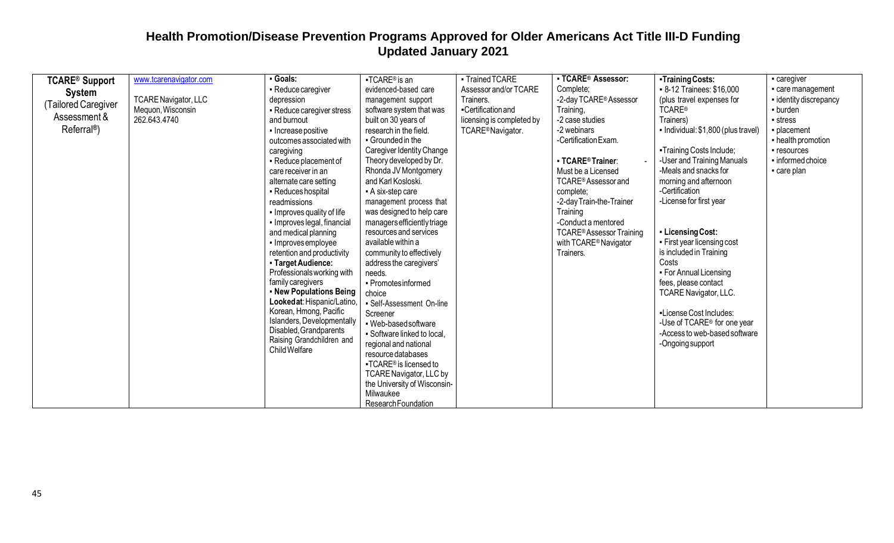| <b>TCARE® Support</b><br><b>System</b><br>(Tailored Caregiver<br>Assessment &<br>Referral <sup>®</sup> ) | www.tcarenavigator.com<br><b>TCARE Navigator, LLC</b><br>Mequon, Wisconsin<br>262.643.4740 | Goals:<br>- Reduce caregiver<br>depression<br>- Reduce caregiver stress<br>and burnout<br>• Increase positive<br>outcomes associated with<br>caregiving<br>• Reduce placement of<br>care receiver in an<br>alternate care setting<br>- Reduces hospital<br>readmissions<br>• Improves quality of life<br>· Improves legal, financial<br>and medical planning<br>- Improvesemployee<br>retention and productivity<br>- Target Audience:<br>Professionals working with<br>family caregivers<br>- New Populations Being<br>Lookedat: Hispanic/Latino,<br>Korean, Hmong, Pacific<br>Islanders, Developmentally<br>Disabled, Grandparents<br>Raising Grandchildren and<br>Child Welfare | $-TCARE®$ is an<br>evidenced-based care<br>management support<br>software system that was<br>built on 30 years of<br>research in the field.<br>• Grounded in the<br>Caregiver Identity Change<br>Theory developed by Dr.<br>Rhonda JV Montgomery<br>and Karl Kosloski.<br>- A six-step care<br>management process that<br>was designed to help care<br>managers efficiently triage<br>resources and services<br>available within a<br>community to effectively<br>address the caregivers'<br>needs.<br>- Promotes informed<br>choice<br>- Self-Assessment On-line<br>Screener<br>- Web-based software<br>• Software linked to local,<br>regional and national<br>resource databases<br>■TCARE® is licensed to<br>TCARE Navigator, LLC by<br>the University of Wisconsin-<br>Milwaukee | - Trained TCARE<br>Assessor and/or TCARE<br>Trainers.<br>-Certification and<br>licensing is completed by<br>TCARE®Navigator. | <b>- TCARE® Assessor:</b><br>Complete;<br>-2-day TCARE® Assessor<br>Training,<br>-2 case studies<br>-2 webinars<br>-Certification Exam.<br>- TCARE® Trainer:<br>Must be a Licensed<br>TCARE® Assessor and<br>complete;<br>-2-day Train-the-Trainer<br>Training<br>-Conduct a mentored<br><b>TCARE®Assessor Training</b><br>with TCARE <sup>®</sup> Navigator<br>Trainers. | -Training Costs:<br>- 8-12 Trainees: \$16,000<br>(plus travel expenses for<br><b>TCARE®</b><br>Trainers)<br>- Individual: \$1,800 (plus travel)<br>-Training Costs Include;<br>-User and Training Manuals<br>-Meals and snacks for<br>morning and afternoon<br>-Certification<br>-License for first year<br>- Licensing Cost:<br>• First year licensing cost<br>is included in Training<br>Costs<br>• For Annual Licensing<br>fees, please contact<br>TCARE Navigator, LLC.<br>-License Cost Includes:<br>-Use of TCARE <sup>®</sup> for one year<br>-Access to web-based software<br>-Ongoing support | - caregiver<br>care management<br>- identity discrepancy<br>- burden<br>• stress<br>- placement<br>- health promotion<br>• resources<br>informed choice<br>care plan |
|----------------------------------------------------------------------------------------------------------|--------------------------------------------------------------------------------------------|------------------------------------------------------------------------------------------------------------------------------------------------------------------------------------------------------------------------------------------------------------------------------------------------------------------------------------------------------------------------------------------------------------------------------------------------------------------------------------------------------------------------------------------------------------------------------------------------------------------------------------------------------------------------------------|---------------------------------------------------------------------------------------------------------------------------------------------------------------------------------------------------------------------------------------------------------------------------------------------------------------------------------------------------------------------------------------------------------------------------------------------------------------------------------------------------------------------------------------------------------------------------------------------------------------------------------------------------------------------------------------------------------------------------------------------------------------------------------------|------------------------------------------------------------------------------------------------------------------------------|---------------------------------------------------------------------------------------------------------------------------------------------------------------------------------------------------------------------------------------------------------------------------------------------------------------------------------------------------------------------------|--------------------------------------------------------------------------------------------------------------------------------------------------------------------------------------------------------------------------------------------------------------------------------------------------------------------------------------------------------------------------------------------------------------------------------------------------------------------------------------------------------------------------------------------------------------------------------------------------------|----------------------------------------------------------------------------------------------------------------------------------------------------------------------|
|                                                                                                          |                                                                                            |                                                                                                                                                                                                                                                                                                                                                                                                                                                                                                                                                                                                                                                                                    | Research Foundation                                                                                                                                                                                                                                                                                                                                                                                                                                                                                                                                                                                                                                                                                                                                                                   |                                                                                                                              |                                                                                                                                                                                                                                                                                                                                                                           |                                                                                                                                                                                                                                                                                                                                                                                                                                                                                                                                                                                                        |                                                                                                                                                                      |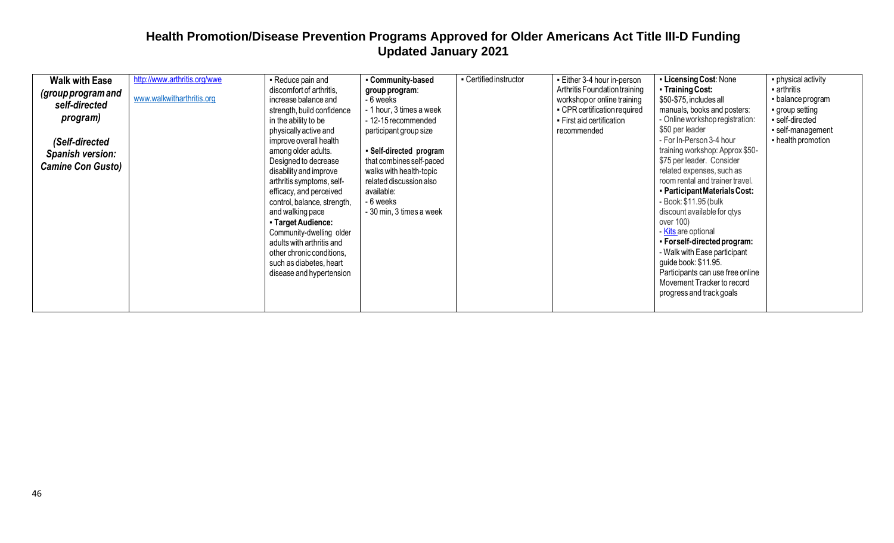| <b>Walk with Ease</b><br>(group program and<br>self-directed<br>program)<br>(Self-directed<br>Spanish version:<br><b>Camine Con Gusto)</b> | http://www.arthritis.org/wwe<br>www.walkwitharthritis.org | - Reduce pain and<br>discomfort of arthritis,<br>increase balance and<br>strength, build confidence<br>in the ability to be<br>physically active and<br>improve overall health<br>among older adults.<br>Designed to decrease<br>disability and improve<br>arthritis symptoms, self-<br>efficacy, and perceived<br>control, balance, strength,<br>and walking pace<br>- Target Audience:<br>Community-dwelling older<br>adults with arthritis and<br>other chronic conditions,<br>such as diabetes, heart<br>disease and hypertension | - Community-based<br>group program:<br>- 6 weeks<br>- 1 hour, 3 times a week<br>- 12-15 recommended<br>participant group size<br>- Self-directed program<br>that combines self-paced<br>walks with health-topic<br>related discussion also<br>available:<br>- 6 weeks<br>- 30 min, 3 times a week | - Certified instructor | • Either 3-4 hour in-person<br>Arthritis Foundation training<br>workshop or online training<br>• CPR certification required<br>• First aid certification<br>recommended | - Licensing Cost: None<br>• Training Cost:<br>\$50-\$75, includes all<br>manuals, books and posters:<br>- Online workshop registration:<br>\$50 per leader<br>- For In-Person 3-4 hour<br>training workshop: Approx \$50-<br>\$75 per leader. Consider<br>related expenses, such as<br>room rental and trainer travel.<br>- Participant Materials Cost:<br>- Book: \$11.95 (bulk<br>discount available for qtys<br>over 100)<br>Kits are optional<br>• For self-directed program:<br>- Walk with Ease participant<br>guide book: \$11.95.<br>Participants can use free online<br>Movement Tracker to record<br>progress and track goals | • physical activity<br>- arthritis<br>• balance program<br>group setting<br>- self-directed<br>self-management<br>- health promotion |
|--------------------------------------------------------------------------------------------------------------------------------------------|-----------------------------------------------------------|---------------------------------------------------------------------------------------------------------------------------------------------------------------------------------------------------------------------------------------------------------------------------------------------------------------------------------------------------------------------------------------------------------------------------------------------------------------------------------------------------------------------------------------|---------------------------------------------------------------------------------------------------------------------------------------------------------------------------------------------------------------------------------------------------------------------------------------------------|------------------------|-------------------------------------------------------------------------------------------------------------------------------------------------------------------------|-----------------------------------------------------------------------------------------------------------------------------------------------------------------------------------------------------------------------------------------------------------------------------------------------------------------------------------------------------------------------------------------------------------------------------------------------------------------------------------------------------------------------------------------------------------------------------------------------------------------------------------------|--------------------------------------------------------------------------------------------------------------------------------------|
|--------------------------------------------------------------------------------------------------------------------------------------------|-----------------------------------------------------------|---------------------------------------------------------------------------------------------------------------------------------------------------------------------------------------------------------------------------------------------------------------------------------------------------------------------------------------------------------------------------------------------------------------------------------------------------------------------------------------------------------------------------------------|---------------------------------------------------------------------------------------------------------------------------------------------------------------------------------------------------------------------------------------------------------------------------------------------------|------------------------|-------------------------------------------------------------------------------------------------------------------------------------------------------------------------|-----------------------------------------------------------------------------------------------------------------------------------------------------------------------------------------------------------------------------------------------------------------------------------------------------------------------------------------------------------------------------------------------------------------------------------------------------------------------------------------------------------------------------------------------------------------------------------------------------------------------------------------|--------------------------------------------------------------------------------------------------------------------------------------|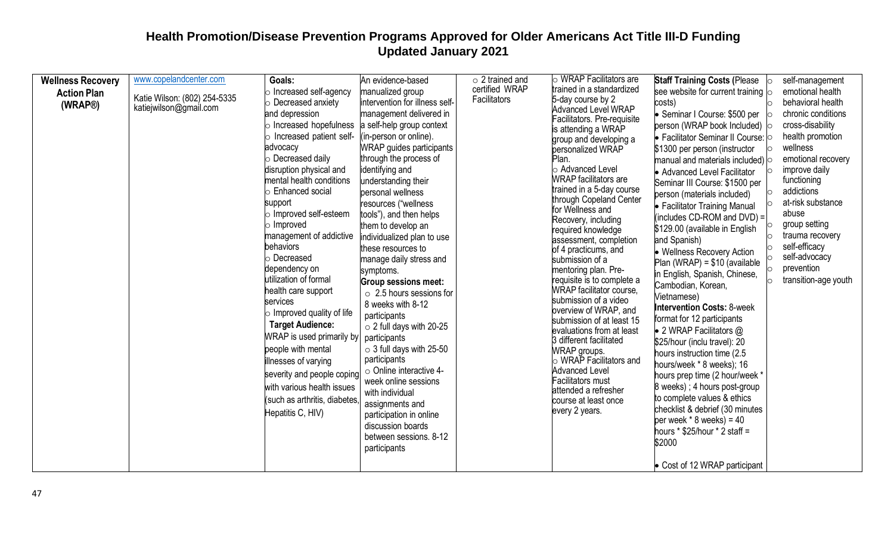| <b>Wellness Recovery</b><br><b>Action Plan</b><br>(WRAP®) | www.copelandcenter.com<br>Katie Wilson: (802) 254-5335<br>katiejwilson@gmail.com | Goals:<br>$\circ$ Increased self-agency<br>$\circ$ Decreased anxiety<br>and depression<br>$\circ$ Increased hopefulness<br>$\circ$ Increased patient self-<br>advocacy<br>$\circ$ Decreased daily<br>disruption physical and<br>mental health conditions<br><b>Enhanced social</b><br>support<br>$\circ$ Improved self-esteem<br>$\circ$ Improved<br>management of addictive<br>behaviors<br>○ Decreased<br>dependency on<br>utilization of formal<br>health care support<br>services<br>$\circ$ Improved quality of life<br><b>Target Audience:</b><br>WRAP is used primarily by<br>people with mental<br>illnesses of varying<br>severity and people coping<br>with various health issues<br>(such as arthritis, diabetes<br>Hepatitis C, HIV) | An evidence-based<br>manualized group<br>intervention for illness self-<br>management delivered in<br>a self-help group context<br>(in-person or online).<br>WRAP guides participants<br>through the process of<br>identifying and<br>understanding their<br>personal wellness<br>resources ("wellness<br>tools"), and then helps<br>them to develop an<br>individualized plan to use<br>these resources to<br>manage daily stress and<br>symptoms.<br><b>Group sessions meet:</b><br>$\circ$ 2.5 hours sessions for<br>8 weeks with 8-12<br>participants<br>$\circ$ 2 full days with 20-25<br>participants<br>$\circ$ 3 full days with 25-50<br>participants<br>o Online interactive 4-<br>week online sessions<br>with individual<br>assignments and<br>participation in online<br>discussion boards<br>between sessions. 8-12<br>participants | $\circ$ 2 trained and<br>certified WRAP<br>Facilitators | $\circ$ WRAP Facilitators are<br>trained in a standardized<br>5-day course by 2<br><b>Advanced Level WRAP</b><br>Facilitators. Pre-requisite<br>is attending a WRAP<br>group and developing a<br>personalized WRAP<br>Plan.<br>o Advanced Level<br><b>WRAP</b> facilitators are<br>trained in a 5-day course<br>through Copeland Center<br>for Wellness and<br>Recovery, including<br>required knowledge<br>assessment, completion<br>of 4 practicums, and<br>submission of a<br>mentoring plan. Pre-<br>requisite is to complete a<br><b>WRAP</b> facilitator course,<br>submission of a video<br>overview of WRAP, and<br>submission of at least 15<br>evaluations from at least<br>3 different facilitated<br><b>WRAP</b> groups.<br>$\circ$ WRAP Facilitators and<br><b>Advanced Level</b><br><b>Facilitators must</b><br>attended a refresher<br>course at least once<br>every 2 years. | <b>Staff Training Costs (Please</b><br>see website for current training $\circ$<br>costs)<br>Seminar I Course: \$500 per<br>person (WRAP book Included) o<br>• Facilitator Seminar II Course: o<br>\$1300 per person (instructor<br>manual and materials included) $\circ$<br>• Advanced Level Facilitator<br>Seminar III Course: \$1500 per<br>$\circ$<br>person (materials included)<br>• Facilitator Training Manual<br>(includes CD-ROM and DVD) =<br>\$129.00 (available in English<br>O<br>and Spanish)<br>• Wellness Recovery Action<br>Plan (WRAP) = $$10$ (available<br>in English, Spanish, Chinese,<br>Cambodian, Korean,<br>Vietnamese)<br><b>Intervention Costs: 8-week</b><br>format for 12 participants<br>• 2 WRAP Facilitators @<br>\$25/hour (inclu travel): 20<br>hours instruction time (2.5)<br>hours/week * 8 weeks); 16<br>hours prep time (2 hour/week *<br>8 weeks); 4 hours post-group<br>to complete values & ethics<br>checklist & debrief (30 minutes<br>per week $*$ 8 weeks) = 40<br>hours $*$ \$25/hour $*$ 2 staff =<br>\$2000<br>• Cost of 12 WRAP participant | self-management<br>emotional health<br>behavioral health<br>chronic conditions<br>cross-disability<br>health promotion<br>wellness<br>emotional recovery<br>improve daily<br>functioning<br>addictions<br>at-risk substance<br>abuse<br>group setting<br>trauma recovery<br>self-efficacy<br>self-advocacy<br>prevention<br>transition-age youth |
|-----------------------------------------------------------|----------------------------------------------------------------------------------|--------------------------------------------------------------------------------------------------------------------------------------------------------------------------------------------------------------------------------------------------------------------------------------------------------------------------------------------------------------------------------------------------------------------------------------------------------------------------------------------------------------------------------------------------------------------------------------------------------------------------------------------------------------------------------------------------------------------------------------------------|--------------------------------------------------------------------------------------------------------------------------------------------------------------------------------------------------------------------------------------------------------------------------------------------------------------------------------------------------------------------------------------------------------------------------------------------------------------------------------------------------------------------------------------------------------------------------------------------------------------------------------------------------------------------------------------------------------------------------------------------------------------------------------------------------------------------------------------------------|---------------------------------------------------------|----------------------------------------------------------------------------------------------------------------------------------------------------------------------------------------------------------------------------------------------------------------------------------------------------------------------------------------------------------------------------------------------------------------------------------------------------------------------------------------------------------------------------------------------------------------------------------------------------------------------------------------------------------------------------------------------------------------------------------------------------------------------------------------------------------------------------------------------------------------------------------------------|--------------------------------------------------------------------------------------------------------------------------------------------------------------------------------------------------------------------------------------------------------------------------------------------------------------------------------------------------------------------------------------------------------------------------------------------------------------------------------------------------------------------------------------------------------------------------------------------------------------------------------------------------------------------------------------------------------------------------------------------------------------------------------------------------------------------------------------------------------------------------------------------------------------------------------------------------------------------------------------------------------------------------------------------------------------------------------------------------|--------------------------------------------------------------------------------------------------------------------------------------------------------------------------------------------------------------------------------------------------------------------------------------------------------------------------------------------------|
|-----------------------------------------------------------|----------------------------------------------------------------------------------|--------------------------------------------------------------------------------------------------------------------------------------------------------------------------------------------------------------------------------------------------------------------------------------------------------------------------------------------------------------------------------------------------------------------------------------------------------------------------------------------------------------------------------------------------------------------------------------------------------------------------------------------------------------------------------------------------------------------------------------------------|--------------------------------------------------------------------------------------------------------------------------------------------------------------------------------------------------------------------------------------------------------------------------------------------------------------------------------------------------------------------------------------------------------------------------------------------------------------------------------------------------------------------------------------------------------------------------------------------------------------------------------------------------------------------------------------------------------------------------------------------------------------------------------------------------------------------------------------------------|---------------------------------------------------------|----------------------------------------------------------------------------------------------------------------------------------------------------------------------------------------------------------------------------------------------------------------------------------------------------------------------------------------------------------------------------------------------------------------------------------------------------------------------------------------------------------------------------------------------------------------------------------------------------------------------------------------------------------------------------------------------------------------------------------------------------------------------------------------------------------------------------------------------------------------------------------------------|--------------------------------------------------------------------------------------------------------------------------------------------------------------------------------------------------------------------------------------------------------------------------------------------------------------------------------------------------------------------------------------------------------------------------------------------------------------------------------------------------------------------------------------------------------------------------------------------------------------------------------------------------------------------------------------------------------------------------------------------------------------------------------------------------------------------------------------------------------------------------------------------------------------------------------------------------------------------------------------------------------------------------------------------------------------------------------------------------|--------------------------------------------------------------------------------------------------------------------------------------------------------------------------------------------------------------------------------------------------------------------------------------------------------------------------------------------------|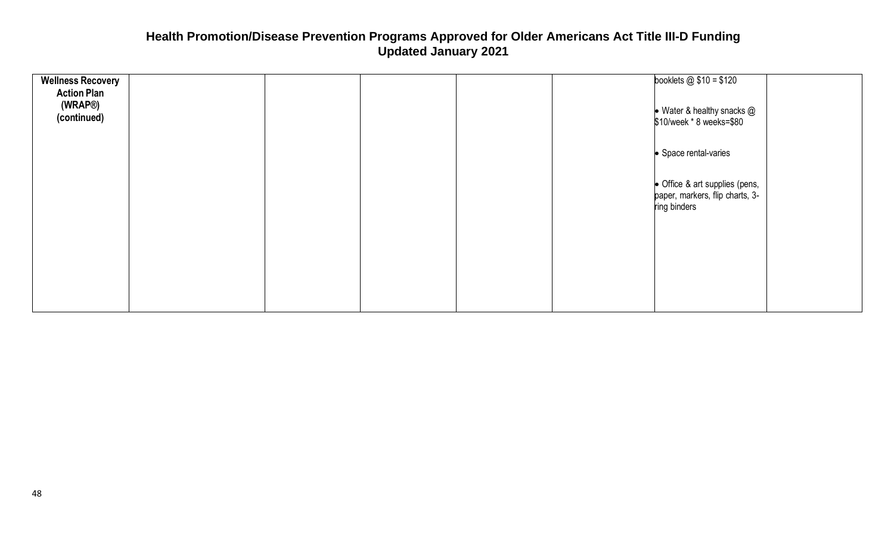| <b>Wellness Recovery</b><br><b>Action Plan</b><br>(WRAP®)<br>(continued) |  | booklets $@ $10 = $120$<br>$\bullet$ Water & healthy snacks $@$<br>\$10/week * 8 weeks=\$80 |
|--------------------------------------------------------------------------|--|---------------------------------------------------------------------------------------------|
|                                                                          |  | • Space rental-varies                                                                       |
|                                                                          |  | • Office & art supplies (pens,<br>paper, markers, flip charts, 3-<br>ring binders           |
|                                                                          |  |                                                                                             |
|                                                                          |  |                                                                                             |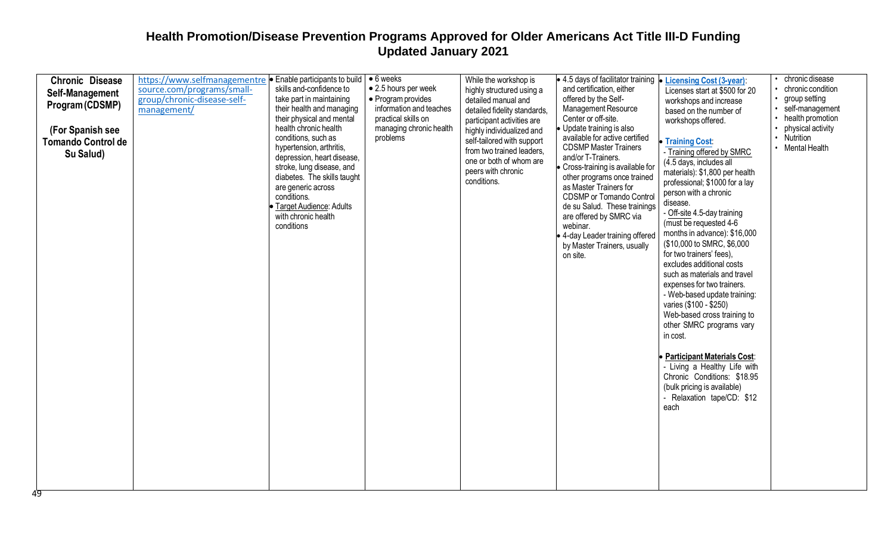| <b>Chronic Disease</b><br>Self-Management<br>Program (CDSMP)<br>(For Spanish see<br><b>Tomando Control de</b><br>Su Salud) | https://www.selfmanagementre<br>source.com/programs/small-<br>group/chronic-disease-self-<br>management/ | • Enable participants to build<br>skills and-confidence to<br>take part in maintaining<br>their health and managing<br>their physical and mental<br>health chronic health<br>conditions, such as<br>hypertension, arthritis,<br>depression, heart disease,<br>stroke, lung disease, and<br>diabetes. The skills taught<br>are generic across<br>conditions.<br>• Target Audience: Adults<br>with chronic health<br>conditions | $\bullet$ 6 weeks<br>• 2.5 hours per week<br>• Program provides<br>information and teaches<br>practical skills on<br>managing chronic health<br>problems | While the workshop is<br>highly structured using a<br>detailed manual and<br>detailed fidelity standards,<br>participant activities are<br>highly individualized and<br>self-tailored with support<br>from two trained leaders.<br>one or both of whom are<br>peers with chronic<br>conditions. | • 4.5 days of facilitator training  <br>and certification, either<br>offered by the Self-<br>Management Resource<br>Center or off-site.<br>Update training is also<br>available for active certified<br><b>CDSMP Master Trainers</b><br>and/or T-Trainers.<br>Cross-training is available for<br>other programs once trained<br>as Master Trainers for<br><b>CDSMP</b> or Tomando Control<br>de su Salud. These trainings<br>are offered by SMRC via<br>webinar.<br>• 4-day Leader training offered<br>by Master Trainers, usually<br>on site. | <b>Licensing Cost (3-year):</b><br>Licenses start at \$500 for 20<br>workshops and increase<br>based on the number of<br>workshops offered.<br><b>Training Cost:</b><br>- Training offered by SMRC<br>(4.5 days, includes all<br>materials): \$1,800 per health<br>professional; \$1000 for a lay<br>person with a chronic<br>disease.<br>- Off-site 4.5-day training<br>(must be requested 4-6<br>months in advance): \$16,000<br>(\$10,000 to SMRC, \$6,000)<br>for two trainers' fees),<br>excludes additional costs<br>such as materials and travel<br>expenses for two trainers.<br>- Web-based update training:<br>varies (\$100 - \$250)<br>Web-based cross training to<br>other SMRC programs vary<br>in cost. | chronic disease<br>chronic condition<br>group setting<br>self-management<br>health promotion<br>physical activity<br>Nutrition<br>Mental Health |
|----------------------------------------------------------------------------------------------------------------------------|----------------------------------------------------------------------------------------------------------|-------------------------------------------------------------------------------------------------------------------------------------------------------------------------------------------------------------------------------------------------------------------------------------------------------------------------------------------------------------------------------------------------------------------------------|----------------------------------------------------------------------------------------------------------------------------------------------------------|-------------------------------------------------------------------------------------------------------------------------------------------------------------------------------------------------------------------------------------------------------------------------------------------------|------------------------------------------------------------------------------------------------------------------------------------------------------------------------------------------------------------------------------------------------------------------------------------------------------------------------------------------------------------------------------------------------------------------------------------------------------------------------------------------------------------------------------------------------|------------------------------------------------------------------------------------------------------------------------------------------------------------------------------------------------------------------------------------------------------------------------------------------------------------------------------------------------------------------------------------------------------------------------------------------------------------------------------------------------------------------------------------------------------------------------------------------------------------------------------------------------------------------------------------------------------------------------|-------------------------------------------------------------------------------------------------------------------------------------------------|
|                                                                                                                            |                                                                                                          |                                                                                                                                                                                                                                                                                                                                                                                                                               |                                                                                                                                                          |                                                                                                                                                                                                                                                                                                 |                                                                                                                                                                                                                                                                                                                                                                                                                                                                                                                                                | <b>Participant Materials Cost:</b><br>- Living a Healthy Life with<br>Chronic Conditions: \$18.95<br>(bulk pricing is available)<br>- Relaxation tape/CD: \$12<br>each                                                                                                                                                                                                                                                                                                                                                                                                                                                                                                                                                 |                                                                                                                                                 |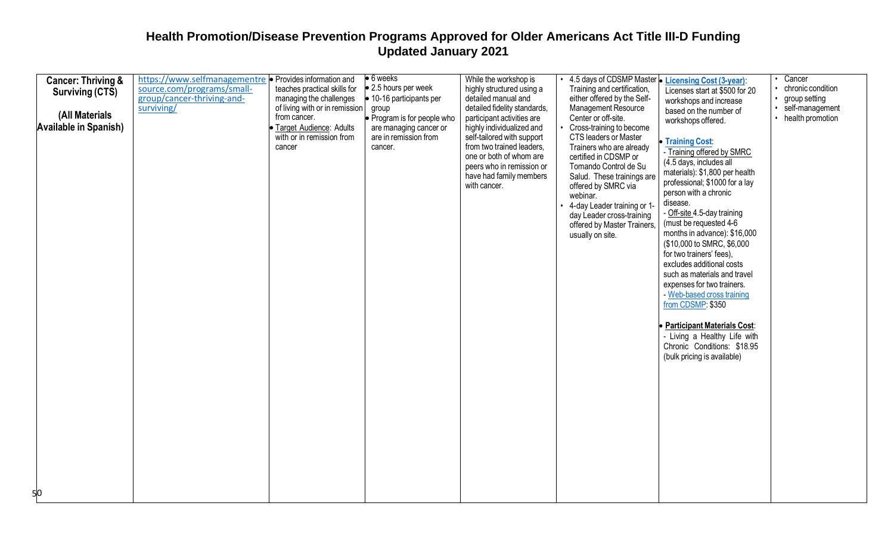| <b>Cancer: Thriving &amp;</b> | https://www.selfmanagementre · Provides information and |                                | $\bullet$ 6 weeks                | While the workshop is                                | 4.5 days of CDSMP Master • Licensing Cost (3-year): |                                    | Cancer            |
|-------------------------------|---------------------------------------------------------|--------------------------------|----------------------------------|------------------------------------------------------|-----------------------------------------------------|------------------------------------|-------------------|
| Surviving (CTS)               | source.com/programs/small-                              | teaches practical skills for   | $\bullet$ 2.5 hours per week     | highly structured using a                            | Training and certification,                         | Licenses start at \$500 for 20     | chronic condition |
|                               | group/cancer-thriving-and-                              | managing the challenges        | $\bullet$ 10-16 participants per | detailed manual and                                  | either offered by the Self-                         | workshops and increase             | group setting     |
|                               | surviving/                                              | of living with or in remission | group                            | detailed fidelity standards,                         | <b>Management Resource</b>                          | based on the number of             | self-management   |
| (All Materials                |                                                         | from cancer.                   | Program is for people who        | participant activities are                           | Center or off-site.                                 | workshops offered.                 | health promotion  |
| <b>Available in Spanish)</b>  |                                                         | · Target Audience: Adults      | are managing cancer or           | highly individualized and                            | Cross-training to become                            |                                    |                   |
|                               |                                                         | with or in remission from      | are in remission from            | self-tailored with support                           | <b>CTS leaders or Master</b>                        | Training Cost:                     |                   |
|                               |                                                         | cancer                         | cancer.                          | from two trained leaders,                            | Trainers who are already                            | - Training offered by SMRC         |                   |
|                               |                                                         |                                |                                  | one or both of whom are                              | certified in CDSMP or                               | (4.5 days, includes all            |                   |
|                               |                                                         |                                |                                  | peers who in remission or<br>have had family members | Tomando Control de Su<br>Salud. These trainings are | materials): \$1,800 per health     |                   |
|                               |                                                         |                                |                                  | with cancer.                                         | offered by SMRC via                                 | professional; \$1000 for a lay     |                   |
|                               |                                                         |                                |                                  |                                                      | webinar.                                            | person with a chronic              |                   |
|                               |                                                         |                                |                                  |                                                      | 4-day Leader training or 1-                         | disease.                           |                   |
|                               |                                                         |                                |                                  |                                                      | day Leader cross-training                           | - Off-site 4.5-day training        |                   |
|                               |                                                         |                                |                                  |                                                      | offered by Master Trainers,                         | (must be requested 4-6             |                   |
|                               |                                                         |                                |                                  |                                                      | usually on site.                                    | months in advance): \$16,000       |                   |
|                               |                                                         |                                |                                  |                                                      |                                                     | (\$10,000 to SMRC, \$6,000         |                   |
|                               |                                                         |                                |                                  |                                                      |                                                     | for two trainers' fees),           |                   |
|                               |                                                         |                                |                                  |                                                      |                                                     | excludes additional costs          |                   |
|                               |                                                         |                                |                                  |                                                      |                                                     | such as materials and travel       |                   |
|                               |                                                         |                                |                                  |                                                      |                                                     | expenses for two trainers.         |                   |
|                               |                                                         |                                |                                  |                                                      |                                                     | - Web-based cross training         |                   |
|                               |                                                         |                                |                                  |                                                      |                                                     | from CDSMP: \$350                  |                   |
|                               |                                                         |                                |                                  |                                                      |                                                     |                                    |                   |
|                               |                                                         |                                |                                  |                                                      |                                                     | <b>Participant Materials Cost:</b> |                   |
|                               |                                                         |                                |                                  |                                                      |                                                     | - Living a Healthy Life with       |                   |
|                               |                                                         |                                |                                  |                                                      |                                                     | Chronic Conditions: \$18.95        |                   |
|                               |                                                         |                                |                                  |                                                      |                                                     | (bulk pricing is available)        |                   |
|                               |                                                         |                                |                                  |                                                      |                                                     |                                    |                   |
|                               |                                                         |                                |                                  |                                                      |                                                     |                                    |                   |
|                               |                                                         |                                |                                  |                                                      |                                                     |                                    |                   |
|                               |                                                         |                                |                                  |                                                      |                                                     |                                    |                   |
|                               |                                                         |                                |                                  |                                                      |                                                     |                                    |                   |
|                               |                                                         |                                |                                  |                                                      |                                                     |                                    |                   |
|                               |                                                         |                                |                                  |                                                      |                                                     |                                    |                   |
|                               |                                                         |                                |                                  |                                                      |                                                     |                                    |                   |
|                               |                                                         |                                |                                  |                                                      |                                                     |                                    |                   |
|                               |                                                         |                                |                                  |                                                      |                                                     |                                    |                   |
|                               |                                                         |                                |                                  |                                                      |                                                     |                                    |                   |
| 50                            |                                                         |                                |                                  |                                                      |                                                     |                                    |                   |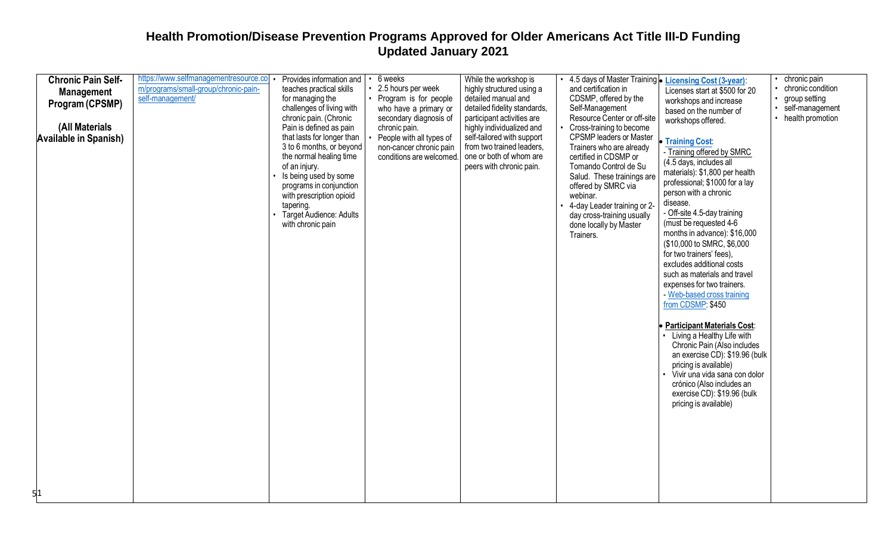| <b>Chronic Pain Self-</b>    | https://www.selfmanagementresource.co | Provides information and                                                                                                                                                                                                                        | 6 weeks                                                                         | While the workshop is                                                                                          | 4.5 days of Master Training • Licensing Cost (3-year):                                                                                                                                                                                                                            |                                                                                                                                                                                                                                                                                                                                                                                                                                                                                                                                                                                                                                                                                                                                                                          | chronic pain                     |
|------------------------------|---------------------------------------|-------------------------------------------------------------------------------------------------------------------------------------------------------------------------------------------------------------------------------------------------|---------------------------------------------------------------------------------|----------------------------------------------------------------------------------------------------------------|-----------------------------------------------------------------------------------------------------------------------------------------------------------------------------------------------------------------------------------------------------------------------------------|--------------------------------------------------------------------------------------------------------------------------------------------------------------------------------------------------------------------------------------------------------------------------------------------------------------------------------------------------------------------------------------------------------------------------------------------------------------------------------------------------------------------------------------------------------------------------------------------------------------------------------------------------------------------------------------------------------------------------------------------------------------------------|----------------------------------|
| <b>Management</b>            | m/programs/small-group/chronic-pain-  | teaches practical skills                                                                                                                                                                                                                        | 2.5 hours per week                                                              | highly structured using a                                                                                      | and certification in                                                                                                                                                                                                                                                              | Licenses start at \$500 for 20                                                                                                                                                                                                                                                                                                                                                                                                                                                                                                                                                                                                                                                                                                                                           | chronic condition                |
| Program (CPSMP)              | self-management/                      | for managing the<br>challenges of living with                                                                                                                                                                                                   | Program is for people<br>who have a primary or                                  | detailed manual and<br>detailed fidelity standards,                                                            | CDSMP, offered by the<br>Self-Management                                                                                                                                                                                                                                          | workshops and increase                                                                                                                                                                                                                                                                                                                                                                                                                                                                                                                                                                                                                                                                                                                                                   | group setting<br>self-management |
|                              |                                       | chronic pain. (Chronic                                                                                                                                                                                                                          | secondary diagnosis of                                                          | participant activities are                                                                                     | Resource Center or off-site                                                                                                                                                                                                                                                       | based on the number of<br>workshops offered.                                                                                                                                                                                                                                                                                                                                                                                                                                                                                                                                                                                                                                                                                                                             | • health promotion               |
| (All Materials               |                                       | Pain is defined as pain                                                                                                                                                                                                                         | chronic pain.                                                                   | highly individualized and                                                                                      | Cross-training to become                                                                                                                                                                                                                                                          |                                                                                                                                                                                                                                                                                                                                                                                                                                                                                                                                                                                                                                                                                                                                                                          |                                  |
| <b>Available in Spanish)</b> |                                       | that lasts for longer than<br>3 to 6 months, or beyond<br>the normal healing time<br>of an injury.<br>Is being used by some<br>programs in conjunction<br>with prescription opioid<br>tapering.<br>Target Audience: Adults<br>with chronic pain | People with all types of<br>non-cancer chronic pain<br>conditions are welcomed. | self-tailored with support<br>from two trained leaders,<br>one or both of whom are<br>peers with chronic pain. | <b>CPSMP</b> leaders or Master<br>Trainers who are already<br>certified in CDSMP or<br>Tomando Control de Su<br>Salud. These trainings are<br>offered by SMRC via<br>webinar.<br>4-day Leader training or 2-<br>day cross-training usually<br>done locally by Master<br>Trainers. | Training Cost:<br>- Training offered by SMRC<br>(4.5 days, includes all<br>materials): \$1,800 per health<br>professional; \$1000 for a lay<br>person with a chronic<br>disease.<br>- Off-site 4.5-day training<br>(must be requested 4-6)<br>months in advance): \$16,000<br>(\$10,000 to SMRC, \$6,000<br>for two trainers' fees),<br>excludes additional costs<br>such as materials and travel<br>expenses for two trainers.<br>- Web-based cross training<br>from CDSMP: \$450<br><b>Participant Materials Cost:</b><br>• Living a Healthy Life with<br>Chronic Pain (Also includes<br>an exercise CD): \$19.96 (bulk<br>pricing is available)<br>Vivir una vida sana con dolor<br>crónico (Also includes an<br>exercise CD): \$19.96 (bulk<br>pricing is available) |                                  |
|                              |                                       |                                                                                                                                                                                                                                                 |                                                                                 |                                                                                                                |                                                                                                                                                                                                                                                                                   |                                                                                                                                                                                                                                                                                                                                                                                                                                                                                                                                                                                                                                                                                                                                                                          |                                  |
|                              |                                       |                                                                                                                                                                                                                                                 |                                                                                 |                                                                                                                |                                                                                                                                                                                                                                                                                   |                                                                                                                                                                                                                                                                                                                                                                                                                                                                                                                                                                                                                                                                                                                                                                          |                                  |
|                              |                                       |                                                                                                                                                                                                                                                 |                                                                                 |                                                                                                                |                                                                                                                                                                                                                                                                                   |                                                                                                                                                                                                                                                                                                                                                                                                                                                                                                                                                                                                                                                                                                                                                                          |                                  |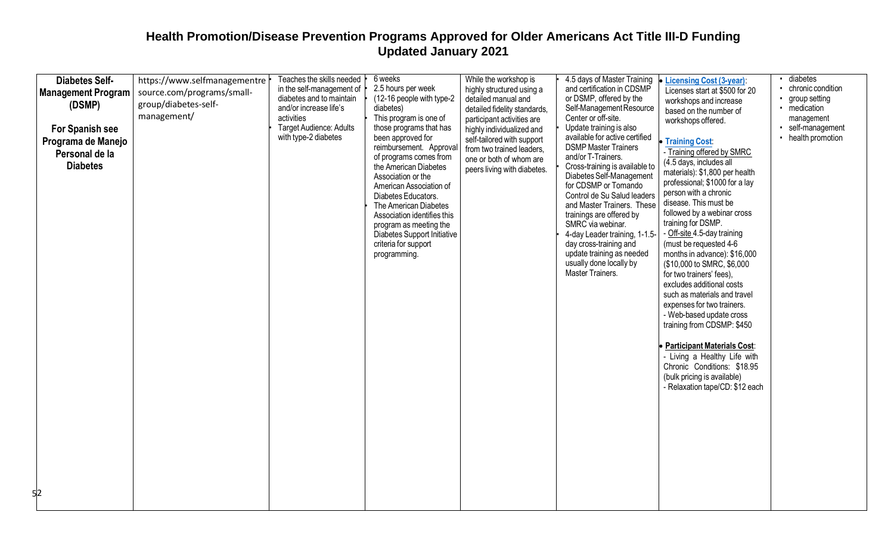| (12-16 people with type-2<br>or DSMP, offered by the<br>diabetes and to maintain<br>detailed manual and<br>workshops and increase<br>group/diabetes-self-<br>(DSMP)<br>Self-Management Resource<br>and/or increase life's<br>diabetes)<br>detailed fidelity standards,<br>$\bullet$<br>based on the number of<br>management/<br>Center or off-site.<br>activities<br>This program is one of<br>participant activities are<br>workshops offered.<br>Target Audience: Adults<br>those programs that has<br>Update training is also<br>For Spanish see<br>highly individualized and<br>with type-2 diabetes<br>available for active certified<br>been approved for<br>self-tailored with support<br>Programa de Manejo<br><b>Training Cost:</b><br><b>DSMP Master Trainers</b><br>reimbursement. Approval<br>from two trained leaders,<br>- Training offered by SMRC<br>Personal de la<br>of programs comes from<br>and/or T-Trainers.<br>one or both of whom are<br>(4.5 days, includes all<br><b>Diabetes</b><br>the American Diabetes<br>Cross-training is available to<br>peers living with diabetes.<br>materials): \$1,800 per health<br>Diabetes Self-Management<br>Association or the<br>professional; \$1000 for a lay<br>for CDSMP or Tomando<br>American Association of<br>person with a chronic<br>Control de Su Salud leaders<br>Diabetes Educators.<br>disease. This must be<br>and Master Trainers. These<br>The American Diabetes<br>followed by a webinar cross<br>Association identifies this<br>trainings are offered by<br>training for DSMP.<br>SMRC via webinar.<br>program as meeting the<br>- Off-site 4.5-day training<br>Diabetes Support Initiative<br>4-day Leader training, 1-1.5-<br>(must be requested 4-6<br>criteria for support<br>day cross-training and<br>update training as needed<br>months in advance): \$16,000<br>programming.<br>usually done locally by<br>(\$10,000 to SMRC, \$6,000<br>Master Trainers.<br>for two trainers' fees),<br>excludes additional costs<br>such as materials and travel<br>expenses for two trainers.<br>- Web-based update cross<br>training from CDSMP: \$450<br><b>Participant Materials Cost:</b><br>- Living a Healthy Life with<br>Chronic Conditions: \$18.95<br>(bulk pricing is available)<br>- Relaxation tape/CD: \$12 each<br>52 | group setting<br>medication<br>management<br>self-management<br>• health promotion |
|------------------------------------------------------------------------------------------------------------------------------------------------------------------------------------------------------------------------------------------------------------------------------------------------------------------------------------------------------------------------------------------------------------------------------------------------------------------------------------------------------------------------------------------------------------------------------------------------------------------------------------------------------------------------------------------------------------------------------------------------------------------------------------------------------------------------------------------------------------------------------------------------------------------------------------------------------------------------------------------------------------------------------------------------------------------------------------------------------------------------------------------------------------------------------------------------------------------------------------------------------------------------------------------------------------------------------------------------------------------------------------------------------------------------------------------------------------------------------------------------------------------------------------------------------------------------------------------------------------------------------------------------------------------------------------------------------------------------------------------------------------------------------------------------------------------------------------------------------------------------------------------------------------------------------------------------------------------------------------------------------------------------------------------------------------------------------------------------------------------------------------------------------------------------------------------------------------------------------------------------------------------------------------------------------------------|------------------------------------------------------------------------------------|
|------------------------------------------------------------------------------------------------------------------------------------------------------------------------------------------------------------------------------------------------------------------------------------------------------------------------------------------------------------------------------------------------------------------------------------------------------------------------------------------------------------------------------------------------------------------------------------------------------------------------------------------------------------------------------------------------------------------------------------------------------------------------------------------------------------------------------------------------------------------------------------------------------------------------------------------------------------------------------------------------------------------------------------------------------------------------------------------------------------------------------------------------------------------------------------------------------------------------------------------------------------------------------------------------------------------------------------------------------------------------------------------------------------------------------------------------------------------------------------------------------------------------------------------------------------------------------------------------------------------------------------------------------------------------------------------------------------------------------------------------------------------------------------------------------------------------------------------------------------------------------------------------------------------------------------------------------------------------------------------------------------------------------------------------------------------------------------------------------------------------------------------------------------------------------------------------------------------------------------------------------------------------------------------------------------------|------------------------------------------------------------------------------------|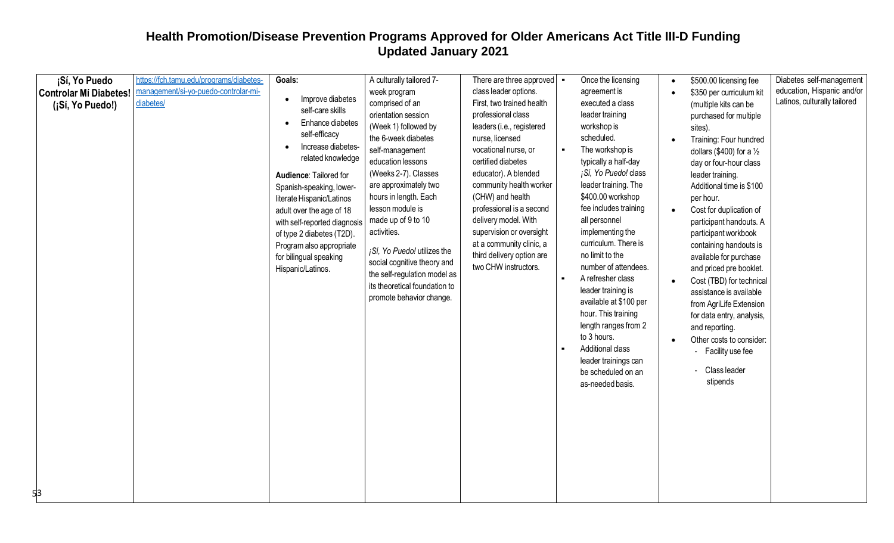| ¡Sí, Yo Puedo                                           | https://fch.tamu.edu/programs/diabetes-           | Goals:                                                                                                                                                                                                                                                                                                                                                                                   | A culturally tailored 7-                                                                                                                                                                                                                                                                                                                                                                                                                    | There are three approved $\vert \cdot \vert$                                                                                                                                                                                                                                                                                                                                                                   | Once the licensing                                                                                                                                                                                                                                                                                                                                                                                                                                                                                                                                         | $\bullet$              | \$500.00 licensing fee                                                                                                                                                                                                                                                                                                                                                                                                                                                                                                                                                                                                     | Diabetes self-management                                   |
|---------------------------------------------------------|---------------------------------------------------|------------------------------------------------------------------------------------------------------------------------------------------------------------------------------------------------------------------------------------------------------------------------------------------------------------------------------------------------------------------------------------------|---------------------------------------------------------------------------------------------------------------------------------------------------------------------------------------------------------------------------------------------------------------------------------------------------------------------------------------------------------------------------------------------------------------------------------------------|----------------------------------------------------------------------------------------------------------------------------------------------------------------------------------------------------------------------------------------------------------------------------------------------------------------------------------------------------------------------------------------------------------------|------------------------------------------------------------------------------------------------------------------------------------------------------------------------------------------------------------------------------------------------------------------------------------------------------------------------------------------------------------------------------------------------------------------------------------------------------------------------------------------------------------------------------------------------------------|------------------------|----------------------------------------------------------------------------------------------------------------------------------------------------------------------------------------------------------------------------------------------------------------------------------------------------------------------------------------------------------------------------------------------------------------------------------------------------------------------------------------------------------------------------------------------------------------------------------------------------------------------------|------------------------------------------------------------|
| <b>Controlar Mí Diabetes!</b><br>(¡Sí, Yo Puedo!)<br>53 | management/si-yo-puedo-controlar-mi-<br>diabetes/ | Improve diabetes<br>$\bullet$<br>self-care skills<br>Enhance diabetes<br>self-efficacy<br>Increase diabetes-<br>related knowledge<br>Audience: Tailored for<br>Spanish-speaking, lower-<br>literate Hispanic/Latinos<br>adult over the age of 18<br>with self-reported diagnosis<br>of type 2 diabetes (T2D).<br>Program also appropriate<br>for bilingual speaking<br>Hispanic/Latinos. | week program<br>comprised of an<br>orientation session<br>(Week 1) followed by<br>the 6-week diabetes<br>self-management<br>education lessons<br>(Weeks 2-7). Classes<br>are approximately two<br>hours in length. Each<br>lesson module is<br>made up of 9 to 10<br>activities.<br>¡Sí, Yo Puedo! utilizes the<br>social cognitive theory and<br>the self-regulation model as<br>its theoretical foundation to<br>promote behavior change. | class leader options.<br>First, two trained health<br>professional class<br>leaders (i.e., registered<br>nurse, licensed<br>vocational nurse, or<br>certified diabetes<br>educator). A blended<br>community health worker<br>(CHW) and health<br>professional is a second<br>delivery model. With<br>supervision or oversight<br>at a community clinic, a<br>third delivery option are<br>two CHW instructors. | agreement is<br>executed a class<br>leader training<br>workshop is<br>scheduled.<br>The workshop is<br>typically a half-day<br>¡Sí, Yo Puedo! class<br>leader training. The<br>\$400.00 workshop<br>fee includes training<br>all personnel<br>implementing the<br>curriculum. There is<br>no limit to the<br>number of attendees.<br>A refresher class<br>leader training is<br>available at \$100 per<br>hour. This training<br>length ranges from 2<br>to 3 hours.<br>Additional class<br>leader trainings can<br>be scheduled on an<br>as-needed basis. | $\bullet$<br>$\bullet$ | \$350 per curriculum kit<br>(multiple kits can be<br>purchased for multiple<br>sites).<br>Training: Four hundred<br>dollars (\$400) for a $\frac{1}{2}$<br>day or four-hour class<br>leader training.<br>Additional time is \$100<br>per hour.<br>Cost for duplication of<br>participant handouts. A<br>participant workbook<br>containing handouts is<br>available for purchase<br>and priced pre booklet.<br>Cost (TBD) for technical<br>assistance is available<br>from AgriLife Extension<br>for data entry, analysis,<br>and reporting.<br>Other costs to consider:<br>- Facility use fee<br>Class leader<br>stipends | education, Hispanic and/or<br>Latinos, culturally tailored |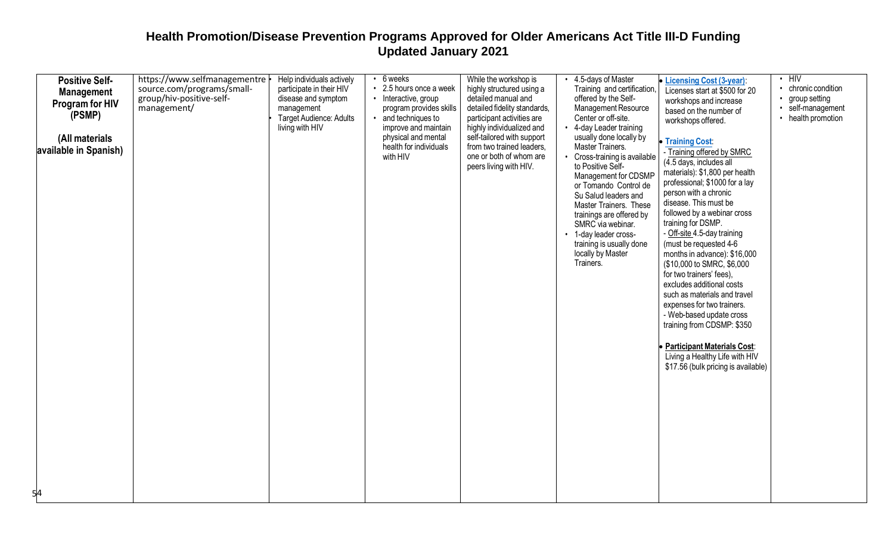| <b>Positive Self-</b><br><b>Management</b><br>Program for HIV<br>(PSMP)<br>(All materials<br>available in Spanish)<br>54 | https://www.selfmanagementre<br>source.com/programs/small-<br>group/hiv-positive-self-<br>management/ | Help individuals actively<br>participate in their HIV<br>disease and symptom<br>management<br>Target Audience: Adults<br>living with HIV | $\cdot$ 6 weeks<br>• 2.5 hours once a week<br>• Interactive, group<br>program provides skills<br>• and techniques to<br>improve and maintain<br>physical and mental<br>health for individuals<br>with HIV | While the workshop is<br>highly structured using a<br>detailed manual and<br>detailed fidelity standards,<br>participant activities are<br>highly individualized and<br>self-tailored with support<br>from two trained leaders,<br>one or both of whom are<br>peers living with HIV. | 4.5-days of Master<br>Training and certification,<br>offered by the Self-<br>Management Resource<br>Center or off-site.<br>4-day Leader training<br>usually done locally by<br>Master Trainers.<br>Cross-training is available<br>to Positive Self-<br>Management for CDSMP<br>or Tomando Control de<br>Su Salud leaders and<br>Master Trainers. These<br>trainings are offered by<br>SMRC via webinar.<br>• 1-day leader cross-<br>training is usually done<br>locally by Master<br>Trainers. | • Licensing Cost (3-year):<br>Licenses start at \$500 for 20<br>workshops and increase<br>based on the number of<br>workshops offered.<br>• Training Cost:<br>- Training offered by SMRC<br>(4.5 days, includes all<br>materials): \$1,800 per health<br>professional; \$1000 for a lay<br>person with a chronic<br>disease. This must be<br>followed by a webinar cross<br>training for DSMP.<br>- Off-site 4.5-day training<br>(must be requested 4-6<br>months in advance): \$16,000<br>(\$10,000 to SMRC, \$6,000<br>for two trainers' fees),<br>excludes additional costs<br>such as materials and travel<br>expenses for two trainers.<br>- Web-based update cross<br>training from CDSMP: \$350<br><b>Participant Materials Cost:</b><br>Living a Healthy Life with HIV<br>\$17.56 (bulk pricing is available) | $\cdot$ HIV<br>• chronic condition<br>group setting<br>· self-management<br>• health promotion |
|--------------------------------------------------------------------------------------------------------------------------|-------------------------------------------------------------------------------------------------------|------------------------------------------------------------------------------------------------------------------------------------------|-----------------------------------------------------------------------------------------------------------------------------------------------------------------------------------------------------------|--------------------------------------------------------------------------------------------------------------------------------------------------------------------------------------------------------------------------------------------------------------------------------------|------------------------------------------------------------------------------------------------------------------------------------------------------------------------------------------------------------------------------------------------------------------------------------------------------------------------------------------------------------------------------------------------------------------------------------------------------------------------------------------------|-----------------------------------------------------------------------------------------------------------------------------------------------------------------------------------------------------------------------------------------------------------------------------------------------------------------------------------------------------------------------------------------------------------------------------------------------------------------------------------------------------------------------------------------------------------------------------------------------------------------------------------------------------------------------------------------------------------------------------------------------------------------------------------------------------------------------|------------------------------------------------------------------------------------------------|
|--------------------------------------------------------------------------------------------------------------------------|-------------------------------------------------------------------------------------------------------|------------------------------------------------------------------------------------------------------------------------------------------|-----------------------------------------------------------------------------------------------------------------------------------------------------------------------------------------------------------|--------------------------------------------------------------------------------------------------------------------------------------------------------------------------------------------------------------------------------------------------------------------------------------|------------------------------------------------------------------------------------------------------------------------------------------------------------------------------------------------------------------------------------------------------------------------------------------------------------------------------------------------------------------------------------------------------------------------------------------------------------------------------------------------|-----------------------------------------------------------------------------------------------------------------------------------------------------------------------------------------------------------------------------------------------------------------------------------------------------------------------------------------------------------------------------------------------------------------------------------------------------------------------------------------------------------------------------------------------------------------------------------------------------------------------------------------------------------------------------------------------------------------------------------------------------------------------------------------------------------------------|------------------------------------------------------------------------------------------------|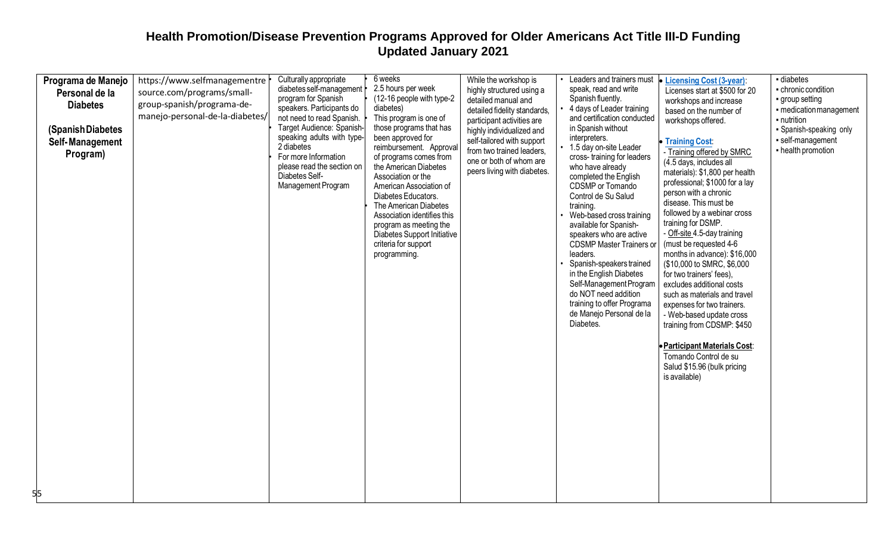| Programa de Manejo<br>Personal de la<br><b>Diabetes</b><br>(Spanish Diabetes<br>Self-Management<br>Program)<br>55 | https://www.selfmanagementre<br>source.com/programs/small-<br>group-spanish/programa-de-<br>manejo-personal-de-la-diabetes/ | Culturally appropriate<br>diabetes self-management<br>program for Spanish<br>speakers. Participants do<br>not need to read Spanish.<br>Target Audience: Spanish-<br>speaking adults with type-<br>2 diabetes<br>For more Information<br>please read the section on<br>Diabetes Self-<br>Management Program | 6 weeks<br>2.5 hours per week<br>(12-16 people with type-2<br>diabetes)<br>This program is one of<br>those programs that has<br>been approved for<br>reimbursement. Approval<br>of programs comes from<br>the American Diabetes<br>Association or the<br>American Association of<br>Diabetes Educators.<br>The American Diabetes<br>Association identifies this<br>program as meeting the<br><b>Diabetes Support Initiative</b><br>criteria for support<br>programming. | While the workshop is<br>highly structured using a<br>detailed manual and<br>detailed fidelity standards,<br>participant activities are<br>highly individualized and<br>self-tailored with support<br>from two trained leaders,<br>one or both of whom are<br>peers living with diabetes. | Leaders and trainers must<br>speak, read and write<br>Spanish fluently.<br>4 days of Leader training<br>and certification conducted<br>in Spanish without<br>interpreters.<br>1.5 day on-site Leader<br>cross-training for leaders<br>who have already<br>completed the English<br>CDSMP or Tomando<br>Control de Su Salud<br>training.<br>Web-based cross training<br>available for Spanish-<br>speakers who are active<br><b>CDSMP Master Trainers or</b><br>leaders.<br>Spanish-speakers trained<br>in the English Diabetes<br>Self-Management Program<br>do NOT need addition<br>training to offer Programa<br>de Manejo Personal de la<br>Diabetes. | <b>Licensing Cost (3-year):</b><br>Licenses start at \$500 for 20<br>workshops and increase<br>based on the number of<br>workshops offered.<br>Training Cost:<br>- Training offered by SMRC<br>(4.5 days, includes all<br>materials): \$1,800 per health<br>professional; \$1000 for a lay<br>person with a chronic<br>disease. This must be<br>followed by a webinar cross<br>training for DSMP.<br>- Off-site 4.5-day training<br>(must be requested 4-6<br>months in advance): \$16,000<br>(\$10,000 to SMRC, \$6,000<br>for two trainers' fees),<br>excludes additional costs<br>such as materials and travel<br>expenses for two trainers.<br>- Web-based update cross<br>training from CDSMP: \$450<br><b>Participant Materials Cost:</b><br>Tomando Control de su<br>Salud \$15.96 (bulk pricing<br>is available) | - diabetes<br>- chronic condition<br>• group setting<br>- medication management<br>- nutrition<br>- Spanish-speaking only<br>- self-management<br>- health promotion |
|-------------------------------------------------------------------------------------------------------------------|-----------------------------------------------------------------------------------------------------------------------------|------------------------------------------------------------------------------------------------------------------------------------------------------------------------------------------------------------------------------------------------------------------------------------------------------------|-------------------------------------------------------------------------------------------------------------------------------------------------------------------------------------------------------------------------------------------------------------------------------------------------------------------------------------------------------------------------------------------------------------------------------------------------------------------------|-------------------------------------------------------------------------------------------------------------------------------------------------------------------------------------------------------------------------------------------------------------------------------------------|----------------------------------------------------------------------------------------------------------------------------------------------------------------------------------------------------------------------------------------------------------------------------------------------------------------------------------------------------------------------------------------------------------------------------------------------------------------------------------------------------------------------------------------------------------------------------------------------------------------------------------------------------------|--------------------------------------------------------------------------------------------------------------------------------------------------------------------------------------------------------------------------------------------------------------------------------------------------------------------------------------------------------------------------------------------------------------------------------------------------------------------------------------------------------------------------------------------------------------------------------------------------------------------------------------------------------------------------------------------------------------------------------------------------------------------------------------------------------------------------|----------------------------------------------------------------------------------------------------------------------------------------------------------------------|
|-------------------------------------------------------------------------------------------------------------------|-----------------------------------------------------------------------------------------------------------------------------|------------------------------------------------------------------------------------------------------------------------------------------------------------------------------------------------------------------------------------------------------------------------------------------------------------|-------------------------------------------------------------------------------------------------------------------------------------------------------------------------------------------------------------------------------------------------------------------------------------------------------------------------------------------------------------------------------------------------------------------------------------------------------------------------|-------------------------------------------------------------------------------------------------------------------------------------------------------------------------------------------------------------------------------------------------------------------------------------------|----------------------------------------------------------------------------------------------------------------------------------------------------------------------------------------------------------------------------------------------------------------------------------------------------------------------------------------------------------------------------------------------------------------------------------------------------------------------------------------------------------------------------------------------------------------------------------------------------------------------------------------------------------|--------------------------------------------------------------------------------------------------------------------------------------------------------------------------------------------------------------------------------------------------------------------------------------------------------------------------------------------------------------------------------------------------------------------------------------------------------------------------------------------------------------------------------------------------------------------------------------------------------------------------------------------------------------------------------------------------------------------------------------------------------------------------------------------------------------------------|----------------------------------------------------------------------------------------------------------------------------------------------------------------------|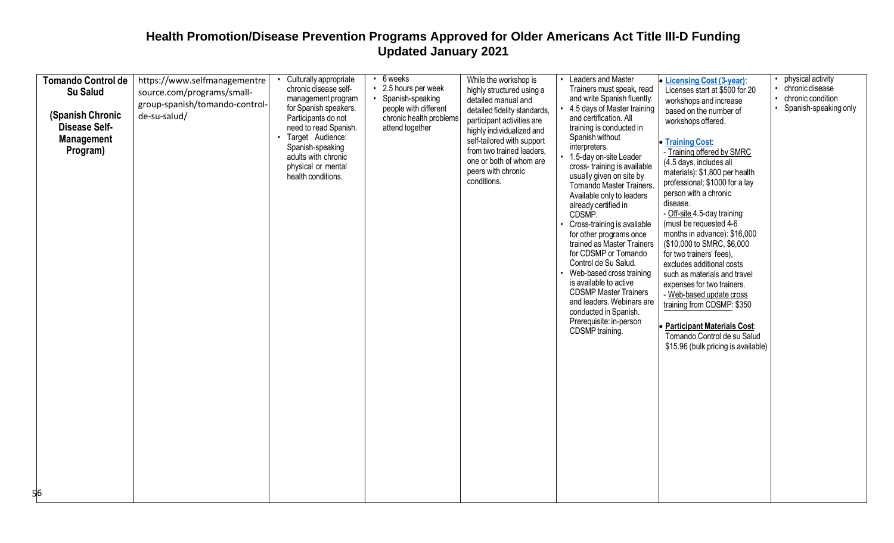|  | <b>Tomando Control de</b><br><b>Su Salud</b><br>(Spanish Chronic<br><b>Disease Self-</b><br><b>Management</b><br>Program) | https://www.selfmanagementre<br>source.com/programs/small-<br>group-spanish/tomando-control-<br>de-su-salud/ | Culturally appropriate<br>chronic disease self-<br>management program<br>for Spanish speakers.<br>Participants do not<br>need to read Spanish.<br>Target Audience:<br>Spanish-speaking<br>adults with chronic<br>physical or mental<br>health conditions. | $\cdot$ 6 weeks<br>• 2.5 hours per week<br>Spanish-speaking<br>people with different<br>chronic health problems<br>attend together | While the workshop is<br>highly structured using a<br>detailed manual and<br>detailed fidelity standards,<br>participant activities are<br>highly individualized and<br>self-tailored with support<br>from two trained leaders,<br>one or both of whom are<br>peers with chronic<br>conditions. | Leaders and Master<br>Trainers must speak, read<br>and write Spanish fluently.<br>4.5 days of Master training<br>and certification. All<br>training is conducted in<br>Spanish without<br>interpreters.<br>1.5-day on-site Leader<br>cross-training is available<br>usually given on site by<br>Tomando Master Trainers.<br>Available only to leaders<br>already certified in<br>CDSMP.<br>Cross-training is available<br>for other programs once<br>trained as Master Trainers<br>for CDSMP or Tomando<br>Control de Su Salud.<br>Web-based cross training<br>is available to active<br><b>CDSMP Master Trainers</b><br>and leaders. Webinars are<br>conducted in Spanish.<br>Prerequisite: in-person<br>CDSMP training. | <b>Licensing Cost (3-year):</b><br>Licenses start at \$500 for 20<br>workshops and increase<br>based on the number of<br>workshops offered.<br>• Training Cost:<br>- Training offered by SMRC<br>(4.5 days, includes all<br>materials): \$1,800 per health<br>professional; \$1000 for a lay<br>person with a chronic<br>disease.<br>- Off-site 4.5-day training<br>(must be requested 4-6<br>months in advance): \$16,000<br>(\$10,000 to SMRC, \$6,000<br>for two trainers' fees),<br>excludes additional costs<br>such as materials and travel<br>expenses for two trainers.<br>- Web-based update cross<br>training from CDSMP: \$350<br><b>Participant Materials Cost:</b><br>Tomando Control de su Salud<br>\$15.96 (bulk pricing is available) | physical activity<br>chronic disease<br>chronic condition<br>Spanish-speaking only |
|--|---------------------------------------------------------------------------------------------------------------------------|--------------------------------------------------------------------------------------------------------------|-----------------------------------------------------------------------------------------------------------------------------------------------------------------------------------------------------------------------------------------------------------|------------------------------------------------------------------------------------------------------------------------------------|-------------------------------------------------------------------------------------------------------------------------------------------------------------------------------------------------------------------------------------------------------------------------------------------------|---------------------------------------------------------------------------------------------------------------------------------------------------------------------------------------------------------------------------------------------------------------------------------------------------------------------------------------------------------------------------------------------------------------------------------------------------------------------------------------------------------------------------------------------------------------------------------------------------------------------------------------------------------------------------------------------------------------------------|-------------------------------------------------------------------------------------------------------------------------------------------------------------------------------------------------------------------------------------------------------------------------------------------------------------------------------------------------------------------------------------------------------------------------------------------------------------------------------------------------------------------------------------------------------------------------------------------------------------------------------------------------------------------------------------------------------------------------------------------------------|------------------------------------------------------------------------------------|
|--|---------------------------------------------------------------------------------------------------------------------------|--------------------------------------------------------------------------------------------------------------|-----------------------------------------------------------------------------------------------------------------------------------------------------------------------------------------------------------------------------------------------------------|------------------------------------------------------------------------------------------------------------------------------------|-------------------------------------------------------------------------------------------------------------------------------------------------------------------------------------------------------------------------------------------------------------------------------------------------|---------------------------------------------------------------------------------------------------------------------------------------------------------------------------------------------------------------------------------------------------------------------------------------------------------------------------------------------------------------------------------------------------------------------------------------------------------------------------------------------------------------------------------------------------------------------------------------------------------------------------------------------------------------------------------------------------------------------------|-------------------------------------------------------------------------------------------------------------------------------------------------------------------------------------------------------------------------------------------------------------------------------------------------------------------------------------------------------------------------------------------------------------------------------------------------------------------------------------------------------------------------------------------------------------------------------------------------------------------------------------------------------------------------------------------------------------------------------------------------------|------------------------------------------------------------------------------------|